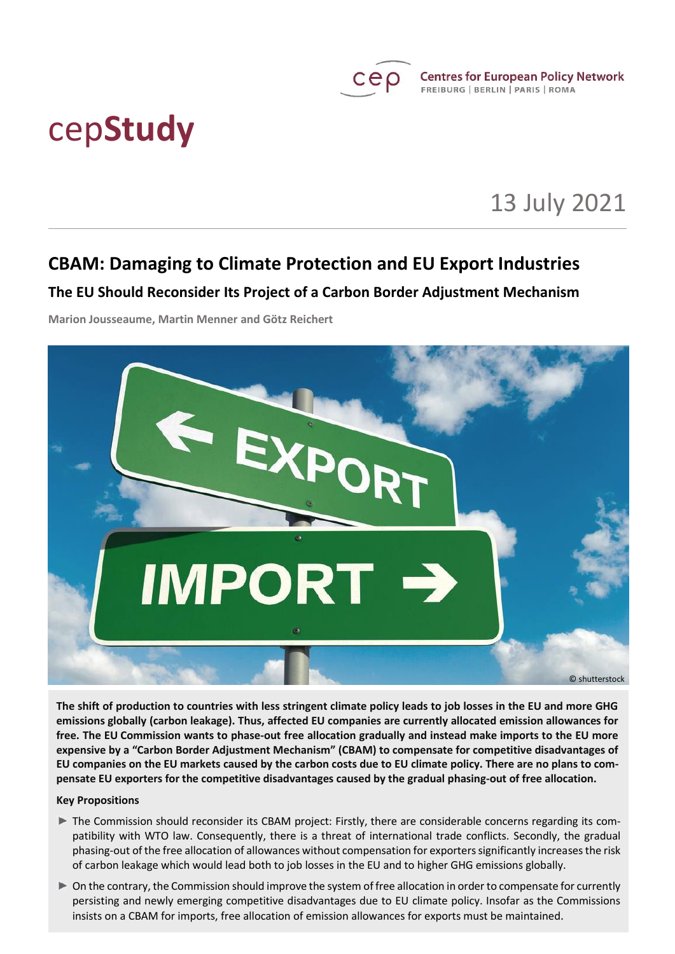

# cep**Study**

## 13 July 2021

## **CBAM: Damaging to Climate Protection and EU Export Industries**

## **The EU Should Reconsider Its Project of a Carbon Border Adjustment Mechanism**

**Marion Jousseaume, Martin Menner and Götz Reichert**



**The shift of production to countries with less stringent climate policy leads to job losses in the EU and more GHG emissions globally (carbon leakage). Thus, affected EU companies are currently allocated emission allowances for free. The EU Commission wants to phase-out free allocation gradually and instead make imports to the EU more expensive by a "Carbon Border Adjustment Mechanism" (CBAM) to compensate for competitive disadvantages of EU companies on the EU markets caused by the carbon costs due to EU climate policy. There are no plans to compensate EU exporters for the competitive disadvantages caused by the gradual phasing-out of free allocation.**

## **Key Propositions**

- The Commission should reconsider its CBAM project: Firstly, there are considerable concerns regarding its compatibility with WTO law. Consequently, there is a threat of international trade conflicts. Secondly, the gradual phasing-out of the free allocation of allowances without compensation for exporters significantly increases the risk of carbon leakage which would lead both to job losses in the EU and to higher GHG emissions globally.
- On the contrary, the Commission should improve the system of free allocation in order to compensate for currently persisting and newly emerging competitive disadvantages due to EU climate policy. Insofar as the Commissions insists on a CBAM for imports, free allocation of emission allowances for exports must be maintained.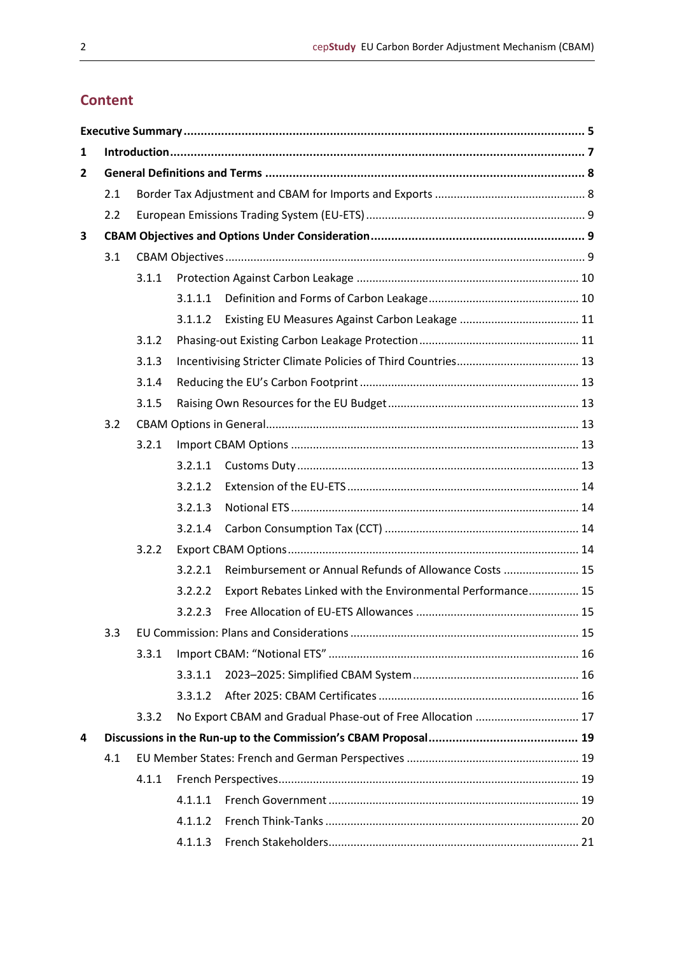## **Content**

| $\mathbf{1}$ |     |       |         |                                                             |    |  |  |
|--------------|-----|-------|---------|-------------------------------------------------------------|----|--|--|
| $\mathbf{2}$ |     |       |         |                                                             |    |  |  |
|              | 2.1 |       |         |                                                             |    |  |  |
|              | 2.2 |       |         |                                                             |    |  |  |
| 3            |     |       |         |                                                             |    |  |  |
|              | 3.1 |       |         |                                                             |    |  |  |
|              |     | 3.1.1 |         |                                                             |    |  |  |
|              |     |       | 3.1.1.1 |                                                             |    |  |  |
|              |     |       | 3.1.1.2 |                                                             |    |  |  |
|              |     | 3.1.2 |         |                                                             |    |  |  |
|              |     | 3.1.3 |         |                                                             |    |  |  |
|              |     | 3.1.4 |         |                                                             |    |  |  |
|              |     | 3.1.5 |         |                                                             |    |  |  |
|              | 3.2 |       |         |                                                             |    |  |  |
|              |     | 3.2.1 |         |                                                             |    |  |  |
|              |     |       | 3.2.1.1 |                                                             |    |  |  |
|              |     |       | 3.2.1.2 |                                                             |    |  |  |
|              |     |       | 3.2.1.3 |                                                             |    |  |  |
|              |     |       | 3.2.1.4 |                                                             |    |  |  |
|              |     | 3.2.2 |         |                                                             |    |  |  |
|              |     |       | 3.2.2.1 | Reimbursement or Annual Refunds of Allowance Costs  15      |    |  |  |
|              |     |       | 3.2.2.2 | Export Rebates Linked with the Environmental Performance 15 |    |  |  |
|              |     |       | 3.2.2.3 |                                                             |    |  |  |
|              | 3.3 |       |         |                                                             | 15 |  |  |
|              |     | 3.3.1 |         |                                                             |    |  |  |
|              |     |       | 3.3.1.1 |                                                             |    |  |  |
|              |     |       | 3.3.1.2 |                                                             |    |  |  |
|              |     | 3.3.2 |         | No Export CBAM and Gradual Phase-out of Free Allocation  17 |    |  |  |
| 4            |     |       |         |                                                             |    |  |  |
|              | 4.1 |       |         |                                                             |    |  |  |
|              |     | 4.1.1 |         |                                                             |    |  |  |
|              |     |       | 4.1.1.1 |                                                             |    |  |  |
|              |     |       | 4.1.1.2 |                                                             |    |  |  |
|              |     |       | 4.1.1.3 |                                                             |    |  |  |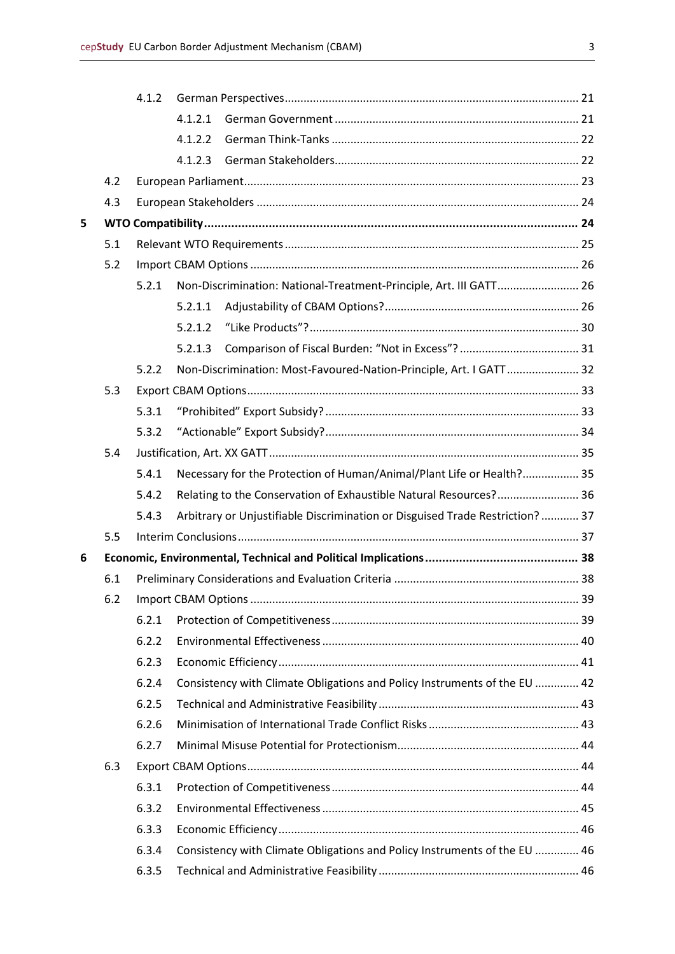|   |     | 4.1.2                                                                          |         |                                                                               |  |  |  |
|---|-----|--------------------------------------------------------------------------------|---------|-------------------------------------------------------------------------------|--|--|--|
|   |     |                                                                                | 4.1.2.1 |                                                                               |  |  |  |
|   |     |                                                                                | 4.1.2.2 |                                                                               |  |  |  |
|   |     |                                                                                | 4.1.2.3 |                                                                               |  |  |  |
|   | 4.2 |                                                                                |         |                                                                               |  |  |  |
|   | 4.3 |                                                                                |         |                                                                               |  |  |  |
| 5 |     |                                                                                |         |                                                                               |  |  |  |
|   | 5.1 |                                                                                |         |                                                                               |  |  |  |
|   | 5.2 |                                                                                |         |                                                                               |  |  |  |
|   |     | 5.2.1                                                                          |         | Non-Discrimination: National-Treatment-Principle, Art. III GATT 26            |  |  |  |
|   |     |                                                                                | 5.2.1.1 |                                                                               |  |  |  |
|   |     |                                                                                | 5.2.1.2 |                                                                               |  |  |  |
|   |     |                                                                                | 5.2.1.3 |                                                                               |  |  |  |
|   |     | 5.2.2                                                                          |         | Non-Discrimination: Most-Favoured-Nation-Principle, Art. I GATT 32            |  |  |  |
|   | 5.3 |                                                                                |         |                                                                               |  |  |  |
|   |     | 5.3.1                                                                          |         |                                                                               |  |  |  |
|   |     | 5.3.2                                                                          |         |                                                                               |  |  |  |
|   | 5.4 |                                                                                |         |                                                                               |  |  |  |
|   |     | Necessary for the Protection of Human/Animal/Plant Life or Health? 35<br>5.4.1 |         |                                                                               |  |  |  |
|   |     | 5.4.2                                                                          |         | Relating to the Conservation of Exhaustible Natural Resources? 36             |  |  |  |
|   |     | 5.4.3                                                                          |         | Arbitrary or Unjustifiable Discrimination or Disguised Trade Restriction?  37 |  |  |  |
|   | 5.5 |                                                                                |         |                                                                               |  |  |  |
| 6 |     |                                                                                |         |                                                                               |  |  |  |
|   | 6.1 |                                                                                |         |                                                                               |  |  |  |
|   |     |                                                                                |         |                                                                               |  |  |  |
|   |     | 6.2.1                                                                          |         |                                                                               |  |  |  |
|   |     | 6.2.2                                                                          |         |                                                                               |  |  |  |
|   |     | 6.2.3                                                                          |         |                                                                               |  |  |  |
|   |     | 6.2.4                                                                          |         | Consistency with Climate Obligations and Policy Instruments of the EU  42     |  |  |  |
|   |     | 6.2.5                                                                          |         |                                                                               |  |  |  |
|   |     | 6.2.6                                                                          |         |                                                                               |  |  |  |
|   |     | 6.2.7                                                                          |         |                                                                               |  |  |  |
|   | 6.3 |                                                                                |         |                                                                               |  |  |  |
|   |     | 6.3.1                                                                          |         |                                                                               |  |  |  |
|   |     | 6.3.2                                                                          |         |                                                                               |  |  |  |
|   |     | 6.3.3                                                                          |         |                                                                               |  |  |  |
|   |     | 6.3.4                                                                          |         | Consistency with Climate Obligations and Policy Instruments of the EU  46     |  |  |  |
|   |     | 6.3.5                                                                          |         |                                                                               |  |  |  |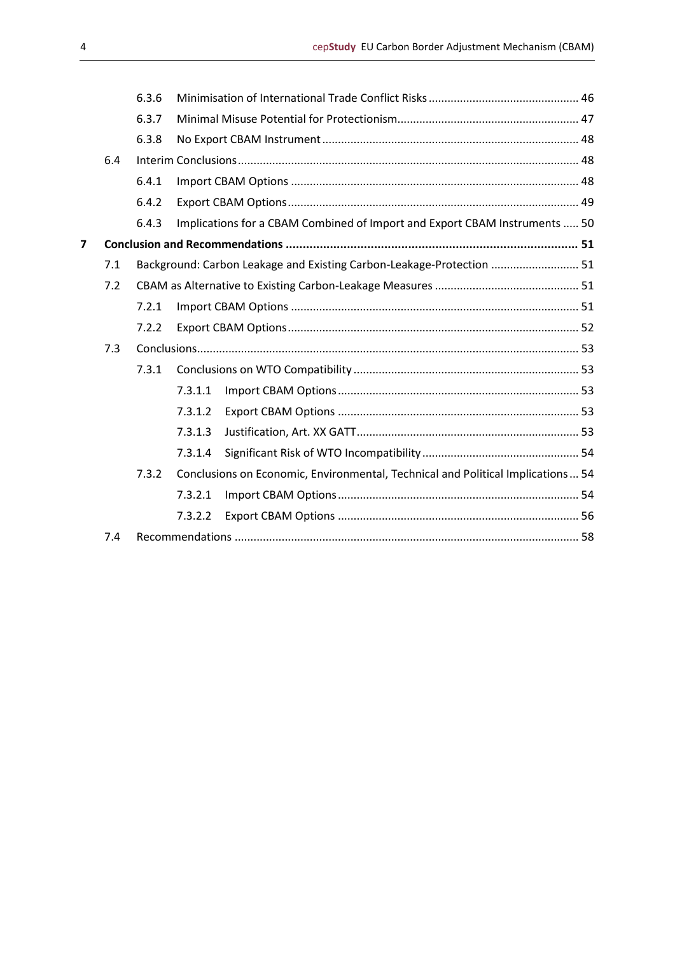|       |     | 6.3.6 |                                                                                 |  |  |
|-------|-----|-------|---------------------------------------------------------------------------------|--|--|
|       |     | 6.3.7 |                                                                                 |  |  |
|       |     | 6.3.8 |                                                                                 |  |  |
|       | 6.4 |       |                                                                                 |  |  |
|       |     | 6.4.1 |                                                                                 |  |  |
|       |     | 6.4.2 |                                                                                 |  |  |
|       |     | 6.4.3 | Implications for a CBAM Combined of Import and Export CBAM Instruments  50      |  |  |
| 7     |     |       |                                                                                 |  |  |
|       | 7.1 |       | Background: Carbon Leakage and Existing Carbon-Leakage-Protection  51           |  |  |
|       | 7.2 |       |                                                                                 |  |  |
|       |     | 7.2.1 |                                                                                 |  |  |
|       |     | 7.2.2 |                                                                                 |  |  |
|       | 7.3 |       |                                                                                 |  |  |
|       |     | 7.3.1 |                                                                                 |  |  |
|       |     |       | 7.3.1.1                                                                         |  |  |
|       |     |       | 7.3.1.2                                                                         |  |  |
|       |     |       | 7.3.1.3                                                                         |  |  |
|       |     |       | 7.3.1.4                                                                         |  |  |
| 7.3.2 |     |       | Conclusions on Economic, Environmental, Technical and Political Implications 54 |  |  |
|       |     |       | 7.3.2.1                                                                         |  |  |
|       |     |       | 7.3.2.2                                                                         |  |  |
|       | 7.4 |       |                                                                                 |  |  |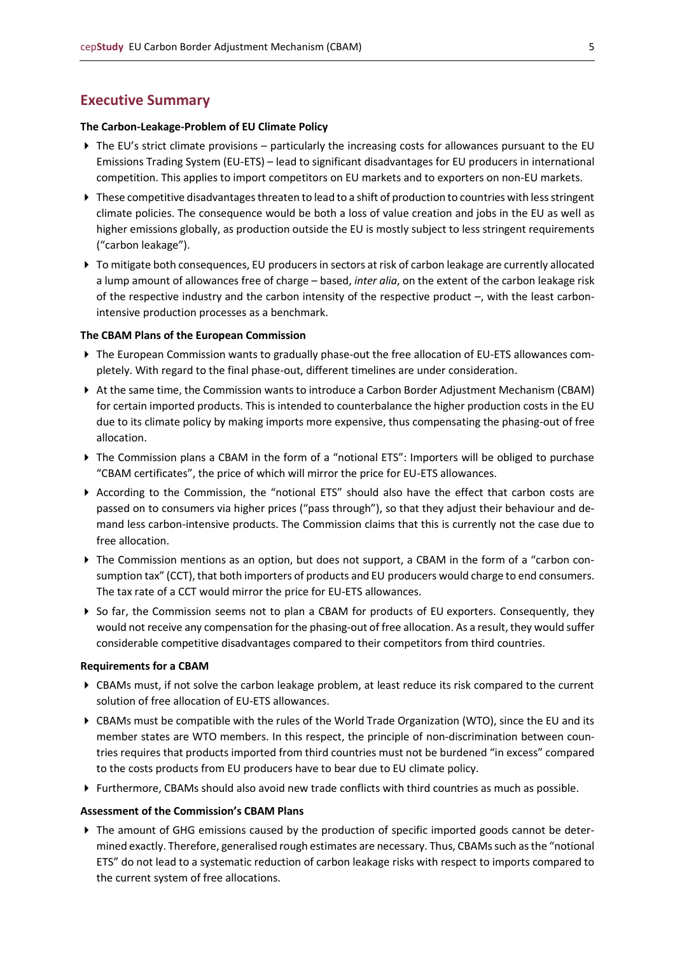## <span id="page-4-0"></span>**Executive Summary**

#### **The Carbon-Leakage-Problem of EU Climate Policy**

- $\blacktriangleright$  The EU's strict climate provisions particularly the increasing costs for allowances pursuant to the EU Emissions Trading System (EU-ETS) – lead to significant disadvantages for EU producers in international competition. This applies to import competitors on EU markets and to exporters on non-EU markets.
- ▶ These competitive disadvantages threaten to lead to a shift of production to countries with less stringent climate policies. The consequence would be both a loss of value creation and jobs in the EU as well as higher emissions globally, as production outside the EU is mostly subject to less stringent requirements ("carbon leakage").
- ▶ To mitigate both consequences, EU producers in sectors at risk of carbon leakage are currently allocated a lump amount of allowances free of charge – based, *inter alia*, on the extent of the carbon leakage risk of the respective industry and the carbon intensity of the respective product –, with the least carbonintensive production processes as a benchmark.

#### **The CBAM Plans of the European Commission**

- The European Commission wants to gradually phase-out the free allocation of EU-ETS allowances completely. With regard to the final phase-out, different timelines are under consideration.
- At the same time, the Commission wants to introduce a Carbon Border Adjustment Mechanism (CBAM) for certain imported products. This is intended to counterbalance the higher production costs in the EU due to its climate policy by making imports more expensive, thus compensating the phasing-out of free allocation.
- ▶ The Commission plans a CBAM in the form of a "notional ETS": Importers will be obliged to purchase "CBAM certificates", the price of which will mirror the price for EU-ETS allowances.
- According to the Commission, the "notional ETS" should also have the effect that carbon costs are passed on to consumers via higher prices ("pass through"), so that they adjust their behaviour and demand less carbon-intensive products. The Commission claims that this is currently not the case due to free allocation.
- ▶ The Commission mentions as an option, but does not support, a CBAM in the form of a "carbon consumption tax" (CCT), that both importers of products and EU producers would charge to end consumers. The tax rate of a CCT would mirror the price for EU-ETS allowances.
- So far, the Commission seems not to plan a CBAM for products of EU exporters. Consequently, they would not receive any compensation for the phasing-out of free allocation. As a result, they would suffer considerable competitive disadvantages compared to their competitors from third countries.

#### **Requirements for a CBAM**

- CBAMs must, if not solve the carbon leakage problem, at least reduce its risk compared to the current solution of free allocation of EU-ETS allowances.
- CBAMs must be compatible with the rules of the World Trade Organization (WTO), since the EU and its member states are WTO members. In this respect, the principle of non-discrimination between countries requires that products imported from third countries must not be burdened "in excess" compared to the costs products from EU producers have to bear due to EU climate policy.
- Furthermore, CBAMs should also avoid new trade conflicts with third countries as much as possible.

#### **Assessment of the Commission's CBAM Plans**

The amount of GHG emissions caused by the production of specific imported goods cannot be determined exactly. Therefore, generalised rough estimates are necessary. Thus, CBAMs such as the "notional ETS" do not lead to a systematic reduction of carbon leakage risks with respect to imports compared to the current system of free allocations.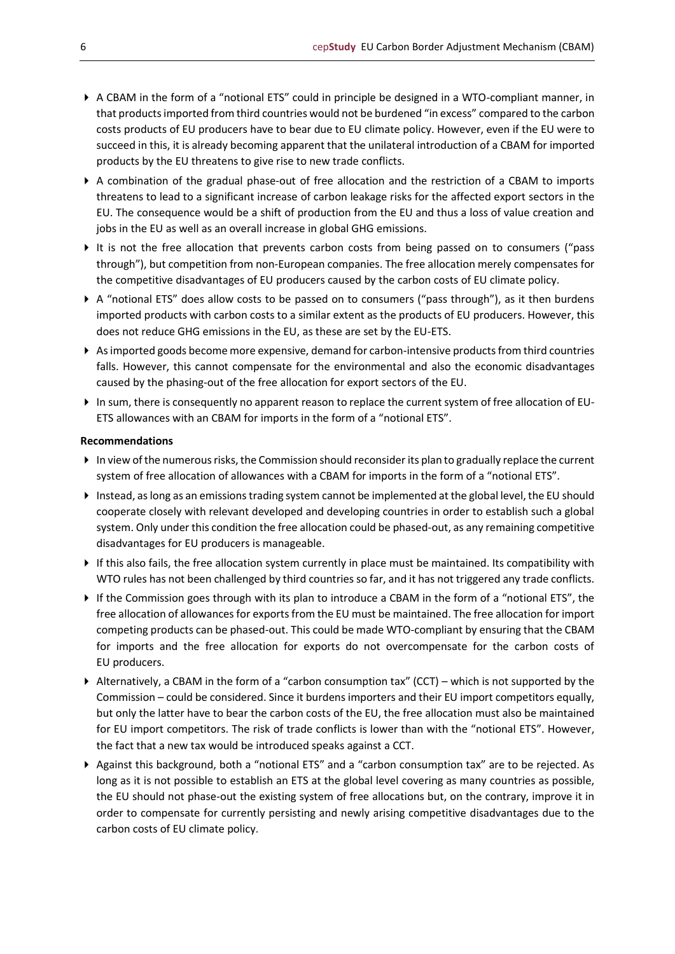- A CBAM in the form of a "notional ETS" could in principle be designed in a WTO-compliant manner, in that products imported from third countries would not be burdened "in excess" compared to the carbon costs products of EU producers have to bear due to EU climate policy. However, even if the EU were to succeed in this, it is already becoming apparent that the unilateral introduction of a CBAM for imported products by the EU threatens to give rise to new trade conflicts.
- A combination of the gradual phase-out of free allocation and the restriction of a CBAM to imports threatens to lead to a significant increase of carbon leakage risks for the affected export sectors in the EU. The consequence would be a shift of production from the EU and thus a loss of value creation and jobs in the EU as well as an overall increase in global GHG emissions.
- It is not the free allocation that prevents carbon costs from being passed on to consumers ("pass through"), but competition from non-European companies. The free allocation merely compensates for the competitive disadvantages of EU producers caused by the carbon costs of EU climate policy.
- A "notional ETS" does allow costs to be passed on to consumers ("pass through"), as it then burdens imported products with carbon costs to a similar extent as the products of EU producers. However, this does not reduce GHG emissions in the EU, as these are set by the EU-ETS.
- As imported goods become more expensive, demand for carbon-intensive products from third countries falls. However, this cannot compensate for the environmental and also the economic disadvantages caused by the phasing-out of the free allocation for export sectors of the EU.
- In sum, there is consequently no apparent reason to replace the current system of free allocation of EU-ETS allowances with an CBAM for imports in the form of a "notional ETS".

#### **Recommendations**

- In view of the numerous risks, the Commission should reconsider its plan to gradually replace the current system of free allocation of allowances with a CBAM for imports in the form of a "notional ETS".
- Instead, as long as an emissions trading system cannot be implemented at the global level, the EU should cooperate closely with relevant developed and developing countries in order to establish such a global system. Only under this condition the free allocation could be phased-out, as any remaining competitive disadvantages for EU producers is manageable.
- If this also fails, the free allocation system currently in place must be maintained. Its compatibility with WTO rules has not been challenged by third countries so far, and it has not triggered any trade conflicts.
- If the Commission goes through with its plan to introduce a CBAM in the form of a "notional ETS", the free allocation of allowances for exports from the EU must be maintained. The free allocation for import competing products can be phased-out. This could be made WTO-compliant by ensuring that the CBAM for imports and the free allocation for exports do not overcompensate for the carbon costs of EU producers.
- Alternatively, a CBAM in the form of a "carbon consumption tax" (CCT) which is not supported by the Commission – could be considered. Since it burdens importers and their EU import competitors equally, but only the latter have to bear the carbon costs of the EU, the free allocation must also be maintained for EU import competitors. The risk of trade conflicts is lower than with the "notional ETS". However, the fact that a new tax would be introduced speaks against a CCT.
- Against this background, both a "notional ETS" and a "carbon consumption tax" are to be rejected. As long as it is not possible to establish an ETS at the global level covering as many countries as possible, the EU should not phase-out the existing system of free allocations but, on the contrary, improve it in order to compensate for currently persisting and newly arising competitive disadvantages due to the carbon costs of EU climate policy.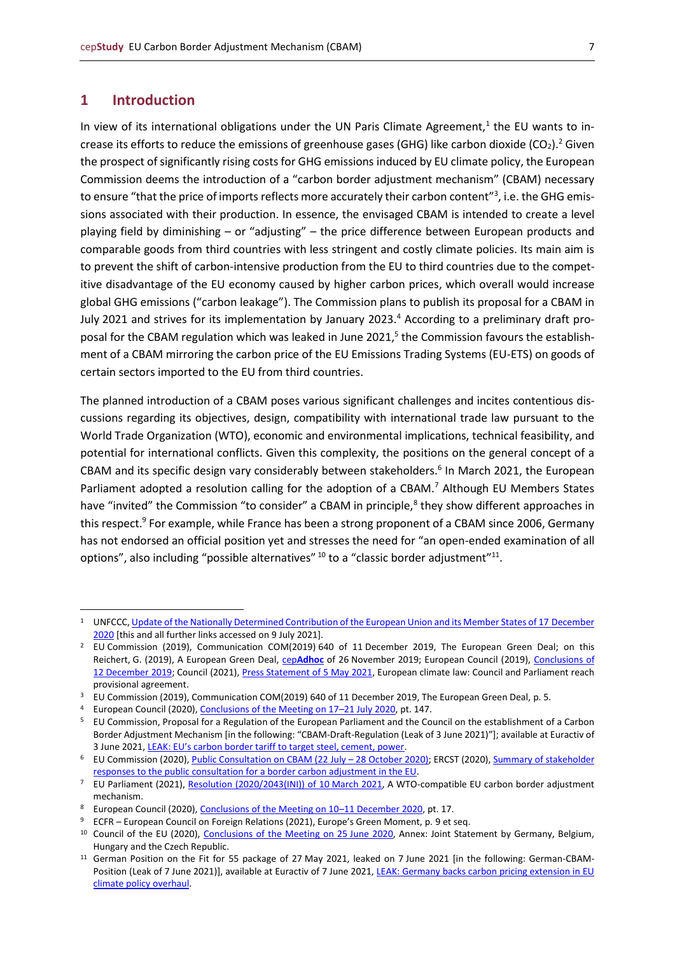## <span id="page-6-0"></span>**1 Introduction**

In view of its international obligations under the UN Paris Climate Agreement,<sup>1</sup> the EU wants to increase its efforts to reduce the emissions of greenhouse gases (GHG) like carbon dioxide (CO<sub>2</sub>).<sup>2</sup> Given the prospect of significantly rising costs for GHG emissions induced by EU climate policy, the European Commission deems the introduction of a "carbon border adjustment mechanism" (CBAM) necessary to ensure "that the price of imports reflects more accurately their carbon content"<sup>3</sup>, i.e. the GHG emissions associated with their production. In essence, the envisaged CBAM is intended to create a level playing field by diminishing – or "adjusting" – the price difference between European products and comparable goods from third countries with less stringent and costly climate policies. Its main aim is to prevent the shift of carbon-intensive production from the EU to third countries due to the competitive disadvantage of the EU economy caused by higher carbon prices, which overall would increase global GHG emissions ("carbon leakage"). The Commission plans to publish its proposal for a CBAM in July 2021 and strives for its implementation by January 2023.<sup>4</sup> According to a preliminary draft proposal for the CBAM regulation which was leaked in June 2021,<sup>5</sup> the Commission favours the establishment of a CBAM mirroring the carbon price of the EU Emissions Trading Systems (EU-ETS) on goods of certain sectors imported to the EU from third countries.

The planned introduction of a CBAM poses various significant challenges and incites contentious discussions regarding its objectives, design, compatibility with international trade law pursuant to the World Trade Organization (WTO), economic and environmental implications, technical feasibility, and potential for international conflicts. Given this complexity, the positions on the general concept of a CBAM and its specific design vary considerably between stakeholders.<sup>6</sup> In March 2021, the European Parliament adopted a resolution calling for the adoption of a CBAM.<sup>7</sup> Although EU Members States have "invited" the Commission "to consider" a CBAM in principle,<sup>8</sup> they show different approaches in this respect.<sup>9</sup> For example, while France has been a strong proponent of a CBAM since 2006, Germany has not endorsed an official position yet and stresses the need for "an open-ended examination of all options", also including "possible alternatives"  $^{10}$  to a "classic border adjustment" $^{11}$ .

UNFCCC[, Update of the Nationally Determined Contribution of the European Union and its Member States of 17](https://www4.unfccc.int/sites/ndcstaging/PublishedDocuments/European%20Union%20First/EU_NDC_Submission_December%202020.pdf) December [2020](https://www4.unfccc.int/sites/ndcstaging/PublishedDocuments/European%20Union%20First/EU_NDC_Submission_December%202020.pdf) [this and all further links accessed on 9 July 2021].

<sup>&</sup>lt;sup>2</sup> EU Commission (2019), Communication COM(2019) 640 of 11 December 2019, The European Green Deal; on this Reichert, G. (2019), A European Green Deal, cep**[Adhoc](https://www.cep.eu/en/eu-topics/details/cep/arbeitsauftraege-von-der-leyens-an-die-neue-eu-kommission-teil-2-ein-europaeischer-gruener-deal.html)** of 26 November 2019; European Council (2019)[, Conclusions of](https://www.consilium.europa.eu/media/41768/12-euco-final-conclusions-en.pdf)  12 [December 2019;](https://www.consilium.europa.eu/media/41768/12-euco-final-conclusions-en.pdf) Council (2021)[, Press Statement of 5](https://www.consilium.europa.eu/en/press/press-releases/2021/05/05/european-climate-law-council-and-parliament-reach-provisional-agreement/?utm_source=dsms-auto&utm_medium=email&utm_campaign=European+climate+law:+Council+and+Parliament+reach+provisional+agreement) May 2021, European climate law: Council and Parliament reach provisional agreement.

<sup>3</sup> EU Commission (2019), Communication COM(2019) 640 of 11 December 2019, The European Green Deal, p. 5.

<sup>4</sup> European Council (2020)[, Conclusions of the Meeting on 17](https://www.consilium.europa.eu/media/45109/210720-euco-final-conclusions-en.pdf)–21 July 2020, pt. 147.

<sup>5</sup> EU Commission, Proposal for a Regulation of the European Parliament and the Council on the establishment of a Carbon Border Adjustment Mechanism [in the following: "CBAM-Draft-Regulation (Leak of 3 June 2021)"]; available at Euractiv of 3 June 2021, [LEAK: EU's carbon border tariff to target steel, cement, power](https://www.euractiv.com/section/energy-environment/news/eus-carbon-border-tariff-to-target-steel-cement-power/).

<sup>&</sup>lt;sup>6</sup> EU Commission (2020)[, Public Consultation on CBAM \(22](https://ec.europa.eu/info/law/better-regulation/have-your-say/initiatives/12228-Carbon-Border-Adjustment-Mechanism/public-consultation_en) July – 28 October 2020); ERCST (2020), Summary of stakeholder [responses to the public consultation for a border carbon adjustment in the EU.](https://ercst.org/summary-of-stakeholder-responses-to-the-public-consultation-for-a-border-carbon-adjustment/)

<sup>&</sup>lt;sup>7</sup> EU Parliament (2021), [Resolution \(2020/2043\(INI\)\) of 10](https://www.europarl.europa.eu/doceo/document/TA-9-2021-0071_EN.html) March 2021, A WTO-compatible EU carbon border adjustment mechanism.

European Council (2020)[, Conclusions of the Meeting on 10](https://www.consilium.europa.eu/media/47296/1011-12-20-euco-conclusions-en.pdf)-11 December 2020, pt. 17.

<sup>9</sup> ECFR – European Council on Foreign Relations (2021), Europe's Green Moment, p. 9 et seq.

<sup>&</sup>lt;sup>10</sup> Council of the EU (2020), [Conclusions of the Meeting on 25](https://data.consilium.europa.eu/doc/document/ST-9133-2020-INIT/en/pdf) June 2020, Annex: Joint Statement by Germany, Belgium, Hungary and the Czech Republic.

<sup>&</sup>lt;sup>11</sup> German Position on the Fit for 55 package of 27 May 2021, leaked on 7 June 2021 [in the following: German-CBAM-Position (Leak of 7 June 2021)], available at Euractiv of 7 June 2021, LEAK: Germany backs carbon pricing extension in EU [climate policy overhaul.](https://www.euractiv.com/section/climate-environment/news/germany-backs-carbon-pricing-extension-in-eu-climate-policy-overhaul/)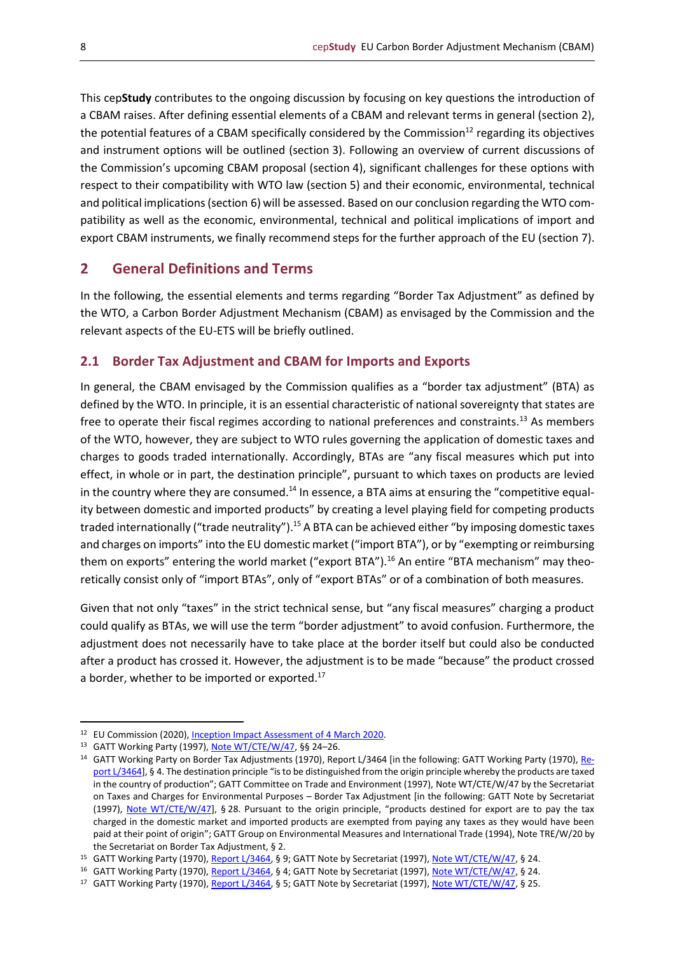This cep**Study** contributes to the ongoing discussion by focusing on key questions the introduction of a CBAM raises. After defining essential elements of a CBAM and relevant terms in general (section 2), the potential features of a CBAM specifically considered by the Commission<sup>12</sup> regarding its objectives and instrument options will be outlined (section 3). Following an overview of current discussions of the Commission's upcoming CBAM proposal (section 4), significant challenges for these options with respect to their compatibility with WTO law (section 5) and their economic, environmental, technical and political implications (section 6) will be assessed. Based on our conclusion regarding the WTO compatibility as well as the economic, environmental, technical and political implications of import and export CBAM instruments, we finally recommend steps for the further approach of the EU (section 7).

## <span id="page-7-0"></span>**2 General Definitions and Terms**

In the following, the essential elements and terms regarding "Border Tax Adjustment" as defined by the WTO, a Carbon Border Adjustment Mechanism (CBAM) as envisaged by the Commission and the relevant aspects of the EU-ETS will be briefly outlined.

## <span id="page-7-1"></span>**2.1 Border Tax Adjustment and CBAM for Imports and Exports**

In general, the CBAM envisaged by the Commission qualifies as a "border tax adjustment" (BTA) as defined by the WTO. In principle, it is an essential characteristic of national sovereignty that states are free to operate their fiscal regimes according to national preferences and constraints.<sup>13</sup> As members of the WTO, however, they are subject to WTO rules governing the application of domestic taxes and charges to goods traded internationally. Accordingly, BTAs are "any fiscal measures which put into effect, in whole or in part, the destination principle", pursuant to which taxes on products are levied in the country where they are consumed.<sup>14</sup> In essence, a BTA aims at ensuring the "competitive equality between domestic and imported products" by creating a level playing field for competing products traded internationally ("trade neutrality").<sup>15</sup> A BTA can be achieved either "by imposing domestic taxes and charges on imports" into the EU domestic market ("import BTA"), or by "exempting or reimbursing them on exports" entering the world market ("export BTA").<sup>16</sup> An entire "BTA mechanism" may theoretically consist only of "import BTAs", only of "export BTAs" or of a combination of both measures.

Given that not only "taxes" in the strict technical sense, but "any fiscal measures" charging a product could qualify as BTAs, we will use the term "border adjustment" to avoid confusion. Furthermore, the adjustment does not necessarily have to take place at the border itself but could also be conducted after a product has crossed it. However, the adjustment is to be made "because" the product crossed a border, whether to be imported or exported.<sup>17</sup>

<sup>12</sup> EU Commission (2020)[, Inception Impact Assessment of 4](https://ec.europa.eu/info/law/better-regulation/have-your-say/initiatives/12228-EU-Green-Deal-carbon-border-adjustment-mechanism-_en) March 2020.

<sup>13</sup> GATT Working Party (1997)[, Note WT/CTE/W/47,](https://docs.wto.org/dol2fe/Pages/SS/directdoc.aspx?filename=Q:/WT/CTE/W47.pdf&Open=True) §§ 24–26.

<sup>&</sup>lt;sup>14</sup> GATT Working Party on Border Tax Adjustments (1970), Report L/3464 [in the following: GATT Working Party (1970)[, Re](https://docs.wto.org/gattdocs/q/GG/L3799/3464.PDF)[port L/3464\]](https://docs.wto.org/gattdocs/q/GG/L3799/3464.PDF), § 4. The destination principle "is to be distinguished from the origin principle whereby the products are taxed in the country of production"; GATT Committee on Trade and Environment (1997), Note WT/CTE/W/47 by the Secretariat on Taxes and Charges for Environmental Purposes – Border Tax Adjustment [in the following: GATT Note by Secretariat (1997), [Note WT/CTE/W/47\]](https://docs.wto.org/dol2fe/Pages/SS/directdoc.aspx?filename=Q:/WT/CTE/W47.pdf&Open=True), § 28. Pursuant to the origin principle, "products destined for export are to pay the tax charged in the domestic market and imported products are exempted from paying any taxes as they would have been paid at their point of origin"; GATT Group on Environmental Measures and International Trade (1994), Note TRE/W/20 by the Secretariat on Border Tax Adjustment, § 2.

<sup>15</sup> GATT Working Party (1970)[, Report L/3464,](https://docs.wto.org/gattdocs/q/GG/L3799/3464.PDF) § 9; GATT Note by Secretariat (1997)[, Note WT/CTE/W/47,](https://docs.wto.org/dol2fe/Pages/SS/directdoc.aspx?filename=Q:/WT/CTE/W47.pdf&Open=True) § 24.

<sup>&</sup>lt;sup>16</sup> GATT Working Party (1970)[, Report L/3464,](https://docs.wto.org/gattdocs/q/GG/L3799/3464.PDF) § 4; GATT Note by Secretariat (1997)[, Note WT/CTE/W/47,](https://docs.wto.org/dol2fe/Pages/SS/directdoc.aspx?filename=Q:/WT/CTE/W47.pdf&Open=True) § 24.

<sup>17</sup> GATT Working Party (1970)[, Report L/3464,](https://docs.wto.org/gattdocs/q/GG/L3799/3464.PDF) § 5; GATT Note by Secretariat (1997)[, Note WT/CTE/W/47,](https://docs.wto.org/dol2fe/Pages/SS/directdoc.aspx?filename=Q:/WT/CTE/W47.pdf&Open=True) § 25.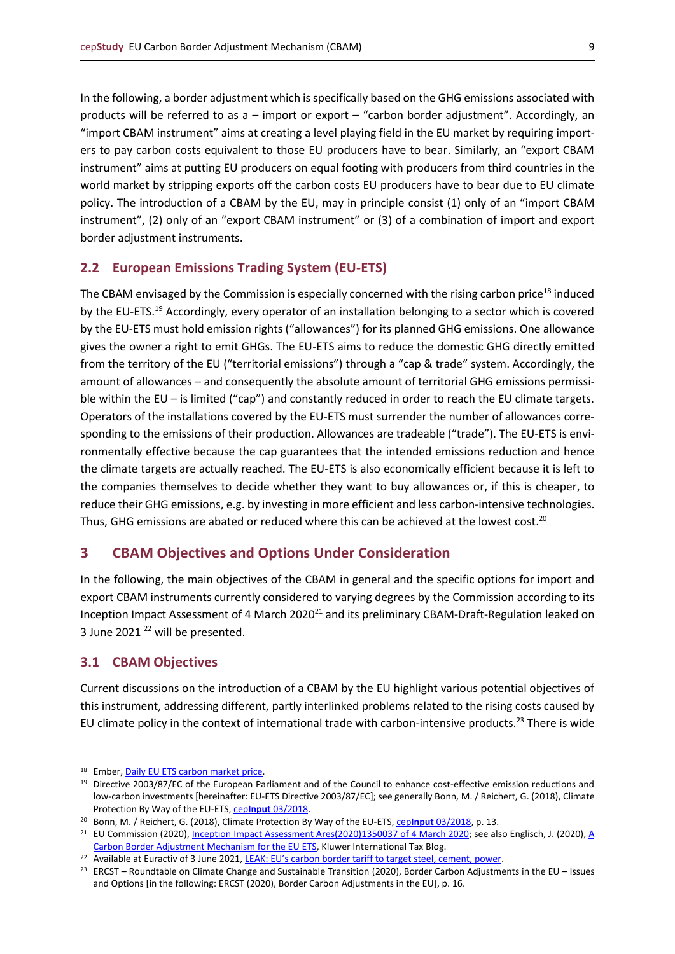In the following, a border adjustment which is specifically based on the GHG emissions associated with products will be referred to as a – import or export – "carbon border adjustment". Accordingly, an "import CBAM instrument" aims at creating a level playing field in the EU market by requiring importers to pay carbon costs equivalent to those EU producers have to bear. Similarly, an "export CBAM instrument" aims at putting EU producers on equal footing with producers from third countries in the world market by stripping exports off the carbon costs EU producers have to bear due to EU climate policy. The introduction of a CBAM by the EU, may in principle consist (1) only of an "import CBAM instrument", (2) only of an "export CBAM instrument" or (3) of a combination of import and export border adjustment instruments.

## <span id="page-8-0"></span>**2.2 European Emissions Trading System (EU-ETS)**

The CBAM envisaged by the Commission is especially concerned with the rising carbon price<sup>18</sup> induced by the EU-ETS.<sup>19</sup> Accordingly, every operator of an installation belonging to a sector which is covered by the EU-ETS must hold emission rights ("allowances") for its planned GHG emissions. One allowance gives the owner a right to emit GHGs. The EU-ETS aims to reduce the domestic GHG directly emitted from the territory of the EU ("territorial emissions") through a "cap & trade" system. Accordingly, the amount of allowances – and consequently the absolute amount of territorial GHG emissions permissible within the EU – is limited ("cap") and constantly reduced in order to reach the EU climate targets. Operators of the installations covered by the EU-ETS must surrender the number of allowances corresponding to the emissions of their production. Allowances are tradeable ("trade"). The EU-ETS is environmentally effective because the cap guarantees that the intended emissions reduction and hence the climate targets are actually reached. The EU-ETS is also economically efficient because it is left to the companies themselves to decide whether they want to buy allowances or, if this is cheaper, to reduce their GHG emissions, e.g. by investing in more efficient and less carbon-intensive technologies. Thus, GHG emissions are abated or reduced where this can be achieved at the lowest cost.<sup>20</sup>

## <span id="page-8-1"></span>**3 CBAM Objectives and Options Under Consideration**

In the following, the main objectives of the CBAM in general and the specific options for import and export CBAM instruments currently considered to varying degrees by the Commission according to its Inception Impact Assessment of 4 March 2020<sup>21</sup> and its preliminary CBAM-Draft-Regulation leaked on 3 June 2021 <sup>22</sup> will be presented.

## <span id="page-8-2"></span>**3.1 CBAM Objectives**

Current discussions on the introduction of a CBAM by the EU highlight various potential objectives of this instrument, addressing different, partly interlinked problems related to the rising costs caused by EU climate policy in the context of international trade with carbon-intensive products.<sup>23</sup> There is wide

<sup>18</sup> Ember[, Daily EU ETS carbon market price.](https://ember-climate.org/data/carbon-price-viewer/)

<sup>&</sup>lt;sup>19</sup> Directive 2003/87/EC of the European Parliament and of the Council to enhance cost-effective emission reductions and low-carbon investments [hereinafter: EU-ETS Directive 2003/87/EC]; see generally Bonn, M. / Reichert, G. (2018), Climate Protection By Way of the EU-ETS, cep**Input** [03/2018.](https://www.cep.eu/en/eu-topics/details/cep/climate-protection-by-way-of-the-eu-ets.html)

<sup>&</sup>lt;sup>20</sup> Bonn, M. / Reichert, G. (2018), Climate Protection By Way of the EU-ETS, cepInput [03/2018,](https://www.cep.eu/en/eu-topics/details/cep/climate-protection-by-way-of-the-eu-ets.html) p. 13.

<sup>&</sup>lt;sup>21</sup> EU Commission (2020), *Inception Impact Assessment Ares*(2020)1350037 of 4 March 2020; see also Englisch, J. (2020), A [Carbon Border Adjustment Mechanism for the EU ETS,](http://kluwertaxblog.com/2020/10/30/a-carbon-border-adjustment-mechanism-for-the-eu-ets/) Kluwer International Tax Blog.

<sup>&</sup>lt;sup>22</sup> Available at Euractiv of 3 June 2021, [LEAK: EU's carbon border tariff to target steel, cement, power](https://www.euractiv.com/section/energy-environment/news/eus-carbon-border-tariff-to-target-steel-cement-power/).

<sup>&</sup>lt;sup>23</sup> ERCST – Roundtable on Climate Change and Sustainable Transition (2020), Border Carbon Adjustments in the EU – Issues and Options [in the following: ERCST (2020), Border Carbon Adjustments in the EU], p. 16.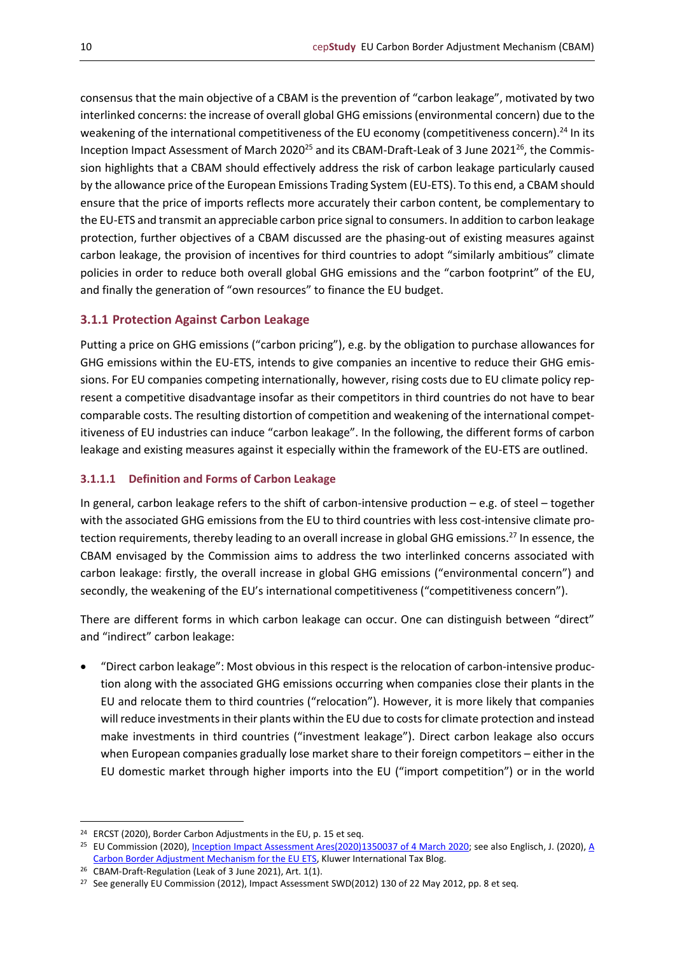consensus that the main objective of a CBAM is the prevention of "carbon leakage", motivated by two interlinked concerns: the increase of overall global GHG emissions (environmental concern) due to the weakening of the international competitiveness of the EU economy (competitiveness concern).<sup>24</sup> In its Inception Impact Assessment of March 2020<sup>25</sup> and its CBAM-Draft-Leak of 3 June 2021<sup>26</sup>, the Commission highlights that a CBAM should effectively address the risk of carbon leakage particularly caused by the allowance price of the European Emissions Trading System (EU-ETS). To this end, a CBAM should ensure that the price of imports reflects more accurately their carbon content, be complementary to the EU-ETS and transmit an appreciable carbon price signal to consumers. In addition to carbon leakage protection, further objectives of a CBAM discussed are the phasing-out of existing measures against carbon leakage, the provision of incentives for third countries to adopt "similarly ambitious" climate policies in order to reduce both overall global GHG emissions and the "carbon footprint" of the EU, and finally the generation of "own resources" to finance the EU budget.

## <span id="page-9-0"></span>**3.1.1 Protection Against Carbon Leakage**

Putting a price on GHG emissions ("carbon pricing"), e.g. by the obligation to purchase allowances for GHG emissions within the EU-ETS, intends to give companies an incentive to reduce their GHG emissions. For EU companies competing internationally, however, rising costs due to EU climate policy represent a competitive disadvantage insofar as their competitors in third countries do not have to bear comparable costs. The resulting distortion of competition and weakening of the international competitiveness of EU industries can induce "carbon leakage". In the following, the different forms of carbon leakage and existing measures against it especially within the framework of the EU-ETS are outlined.

#### <span id="page-9-1"></span>**3.1.1.1 Definition and Forms of Carbon Leakage**

In general, carbon leakage refers to the shift of carbon-intensive production – e.g. of steel – together with the associated GHG emissions from the EU to third countries with less cost-intensive climate protection requirements, thereby leading to an overall increase in global GHG emissions.<sup>27</sup> In essence, the CBAM envisaged by the Commission aims to address the two interlinked concerns associated with carbon leakage: firstly, the overall increase in global GHG emissions ("environmental concern") and secondly, the weakening of the EU's international competitiveness ("competitiveness concern").

There are different forms in which carbon leakage can occur. One can distinguish between "direct" and "indirect" carbon leakage:

• "Direct carbon leakage": Most obvious in this respect is the relocation of carbon-intensive production along with the associated GHG emissions occurring when companies close their plants in the EU and relocate them to third countries ("relocation"). However, it is more likely that companies will reduce investments in their plants within the EU due to costs for climate protection and instead make investments in third countries ("investment leakage"). Direct carbon leakage also occurs when European companies gradually lose market share to their foreign competitors – either in the EU domestic market through higher imports into the EU ("import competition") or in the world

<sup>24</sup> ERCST (2020), Border Carbon Adjustments in the EU, p. 15 et seq.

<sup>&</sup>lt;sup>25</sup> EU Commission (2020), *Inception Impact Assessment Ares*(2020)1350037 of 4 March 2020; see also Englisch, J. (2020), A [Carbon Border Adjustment Mechanism for the EU ETS,](http://kluwertaxblog.com/2020/10/30/a-carbon-border-adjustment-mechanism-for-the-eu-ets/) Kluwer International Tax Blog.

<sup>26</sup> CBAM-Draft-Regulation (Leak of 3 June 2021), Art. 1(1).

<sup>&</sup>lt;sup>27</sup> See generally EU Commission (2012), Impact Assessment SWD(2012) 130 of 22 May 2012, pp. 8 et seq.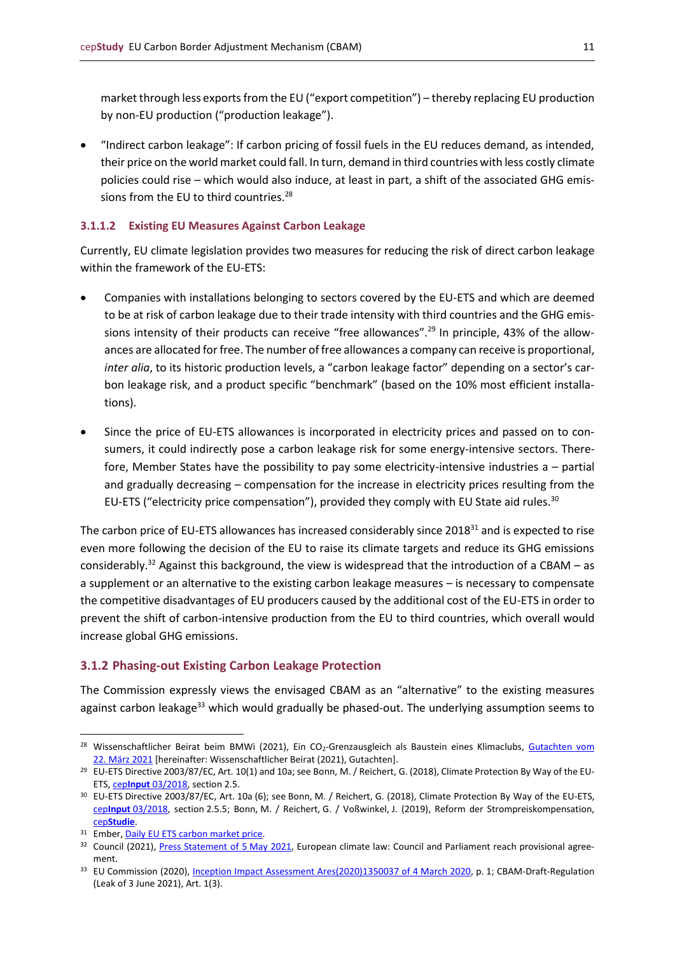market through less exports from the EU ("export competition") – thereby replacing EU production by non-EU production ("production leakage").

• "Indirect carbon leakage": If carbon pricing of fossil fuels in the EU reduces demand, as intended, their price on the world market could fall. In turn, demand in third countries with less costly climate policies could rise – which would also induce, at least in part, a shift of the associated GHG emissions from the EU to third countries.<sup>28</sup>

#### <span id="page-10-0"></span>**3.1.1.2 Existing EU Measures Against Carbon Leakage**

Currently, EU climate legislation provides two measures for reducing the risk of direct carbon leakage within the framework of the EU-ETS:

- Companies with installations belonging to sectors covered by the EU-ETS and which are deemed to be at risk of carbon leakage due to their trade intensity with third countries and the GHG emissions intensity of their products can receive "free allowances".<sup>29</sup> In principle, 43% of the allowances are allocated for free. The number of free allowances a company can receive is proportional, *inter alia*, to its historic production levels, a "carbon leakage factor" depending on a sector's carbon leakage risk, and a product specific "benchmark" (based on the 10% most efficient installations).
- Since the price of EU-ETS allowances is incorporated in electricity prices and passed on to consumers, it could indirectly pose a carbon leakage risk for some energy-intensive sectors. Therefore, Member States have the possibility to pay some electricity-intensive industries a – partial and gradually decreasing – compensation for the increase in electricity prices resulting from the EU-ETS ("electricity price compensation"), provided they comply with EU State aid rules.<sup>30</sup>

The carbon price of EU-ETS allowances has increased considerably since 2018<sup>31</sup> and is expected to rise even more following the decision of the EU to raise its climate targets and reduce its GHG emissions considerably.<sup>32</sup> Against this background, the view is widespread that the introduction of a CBAM – as a supplement or an alternative to the existing carbon leakage measures – is necessary to compensate the competitive disadvantages of EU producers caused by the additional cost of the EU-ETS in order to prevent the shift of carbon-intensive production from the EU to third countries, which overall would increase global GHG emissions.

#### <span id="page-10-1"></span>**3.1.2 Phasing-out Existing Carbon Leakage Protection**

The Commission expressly views the envisaged CBAM as an "alternative" to the existing measures against carbon leakage<sup>33</sup> which would gradually be phased-out. The underlying assumption seems to

<sup>&</sup>lt;sup>28</sup> Wissenschaftlicher Beirat beim BMWi (2021), Ein CO<sub>2</sub>-Grenzausgleich als Baustein eines Klimaclubs, [Gutachten vom](https://www.bmwi.de/Redaktion/DE/Publikationen/Ministerium/Veroeffentlichung-Wissenschaftlicher-Beirat/gutachten-co2-grenzausgleich.html) 22. [März 2021](https://www.bmwi.de/Redaktion/DE/Publikationen/Ministerium/Veroeffentlichung-Wissenschaftlicher-Beirat/gutachten-co2-grenzausgleich.html) [hereinafter: Wissenschaftlicher Beirat (2021), Gutachten].

<sup>&</sup>lt;sup>29</sup> EU-ETS Directive 2003/87/EC, Art. 10(1) and 10a; see Bonn, M. / Reichert, G. (2018), Climate Protection By Way of the EU-ETS, cep**Input** [03/2018,](https://www.cep.eu/en/eu-topics/details/cep/climate-protection-by-way-of-the-eu-ets.html) section 2.5.

<sup>30</sup> EU-ETS Directive 2003/87/EC, Art. 10a (6); see Bonn, M. / Reichert, G. (2018), Climate Protection By Way of the EU-ETS, cep**Input** [03/2018,](https://www.cep.eu/en/eu-topics/details/cep/climate-protection-by-way-of-the-eu-ets.html) section 2.5.5; Bonn, M. / Reichert, G. / Voßwinkel, J. (2019), Reform der Strompreiskompensation, cep**[Studie](https://www.cep.eu/eu-themen/details/cep/reform-der-strompreiskompensation.html)**.

<sup>31</sup> Ember[, Daily EU ETS carbon market price.](https://ember-climate.org/data/carbon-price-viewer/)

<sup>&</sup>lt;sup>32</sup> Council (2021), [Press Statement of 5](https://www.consilium.europa.eu/en/press/press-releases/2021/05/05/european-climate-law-council-and-parliament-reach-provisional-agreement/?utm_source=dsms-auto&utm_medium=email&utm_campaign=European+climate+law:+Council+and+Parliament+reach+provisional+agreement) May 2021, European climate law: Council and Parliament reach provisional agreement.

<sup>33</sup> EU Commission (2020), [Inception Impact Assessment Ares\(2020\)1350037 of 4](https://ec.europa.eu/info/law/better-regulation/have-your-say/initiatives/12228-Carbon-Border-Adjustment-Mechanism) March 2020, p. 1; CBAM-Draft-Regulation (Leak of 3 June 2021), Art. 1(3).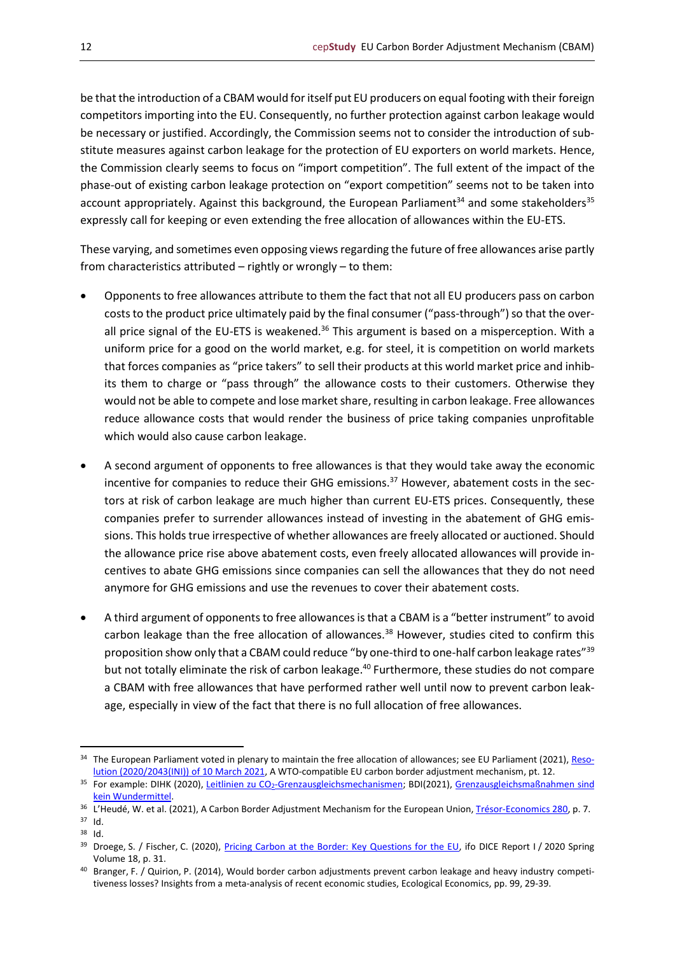be that the introduction of a CBAM would for itself put EU producers on equal footing with their foreign competitors importing into the EU. Consequently, no further protection against carbon leakage would be necessary or justified. Accordingly, the Commission seems not to consider the introduction of substitute measures against carbon leakage for the protection of EU exporters on world markets. Hence, the Commission clearly seems to focus on "import competition". The full extent of the impact of the phase-out of existing carbon leakage protection on "export competition" seems not to be taken into account appropriately. Against this background, the European Parliament<sup>34</sup> and some stakeholders<sup>35</sup> expressly call for keeping or even extending the free allocation of allowances within the EU-ETS.

These varying, and sometimes even opposing views regarding the future of free allowances arise partly from characteristics attributed – rightly or wrongly – to them:

- Opponents to free allowances attribute to them the fact that not all EU producers pass on carbon costs to the product price ultimately paid by the final consumer ("pass-through") so that the overall price signal of the EU-ETS is weakened.<sup>36</sup> This argument is based on a misperception. With a uniform price for a good on the world market, e.g. for steel, it is competition on world markets that forces companies as "price takers" to sell their products at this world market price and inhibits them to charge or "pass through" the allowance costs to their customers. Otherwise they would not be able to compete and lose market share, resulting in carbon leakage. Free allowances reduce allowance costs that would render the business of price taking companies unprofitable which would also cause carbon leakage.
- A second argument of opponents to free allowances is that they would take away the economic incentive for companies to reduce their GHG emissions.<sup>37</sup> However, abatement costs in the sectors at risk of carbon leakage are much higher than current EU-ETS prices. Consequently, these companies prefer to surrender allowances instead of investing in the abatement of GHG emissions. This holds true irrespective of whether allowances are freely allocated or auctioned. Should the allowance price rise above abatement costs, even freely allocated allowances will provide incentives to abate GHG emissions since companies can sell the allowances that they do not need anymore for GHG emissions and use the revenues to cover their abatement costs.
- A third argument of opponents to free allowances is that a CBAM is a "better instrument" to avoid carbon leakage than the free allocation of allowances.<sup>38</sup> However, studies cited to confirm this proposition show only that a CBAM could reduce "by one-third to one-half carbon leakage rates"<sup>39</sup> but not totally eliminate the risk of carbon leakage.<sup>40</sup> Furthermore, these studies do not compare a CBAM with free allowances that have performed rather well until now to prevent carbon leakage, especially in view of the fact that there is no full allocation of free allowances.

<sup>&</sup>lt;sup>34</sup> The European Parliament voted in plenary to maintain the free allocation of allowances; see EU Parliament (2021), [Reso](https://www.europarl.europa.eu/doceo/document/TA-9-2021-0071_EN.html)[lution \(2020/2043\(INI\)\) of 10](https://www.europarl.europa.eu/doceo/document/TA-9-2021-0071_EN.html) March 2021, A WTO-compatible EU carbon border adjustment mechanism, pt. 12.

<sup>35</sup> For example: DIHK (2020), Leitlinien zu CO<sub>2</sub>[-Grenzausgleichsmechanismen;](https://www.dihk.de/resource/blob/22524/e2c41a819a97e0ee2a4ae27f0613446b/dihk-leitlinien-co2-grenzausgleich-de-en-data.pdf) BDI(2021), Grenzausgleichsmaßnahmen sind [kein Wundermittel.](https://bdi.eu/artikel/news/grenzausgleichsmanahmen-sind-kein-wundermittel/)

<sup>&</sup>lt;sup>36</sup> L'Heudé, W. et al. (2021), A Carbon Border Adjustment Mechanism for the European Union, [Trésor-Economics 280,](https://www.tresor.economie.gouv.fr/Articles/2021/03/23/a-carbon-border-adjustment-mechanism-for-the-european-union) p. 7.

<sup>37</sup> Id.

<sup>38</sup> Id.

<sup>&</sup>lt;sup>39</sup> Droege, S. / Fischer, C. (2020), [Pricing Carbon at the Border: Key Questions for the EU,](https://www.ifo.de/DocDL/ifo-dice-2020-1-spring.pdf) ifo DICE Report I / 2020 Spring Volume 18, p. 31.

<sup>40</sup> Branger, F. / Quirion, P. (2014), Would border carbon adjustments prevent carbon leakage and heavy industry competitiveness losses? Insights from a meta-analysis of recent economic studies, Ecological Economics, pp. 99, 29-39.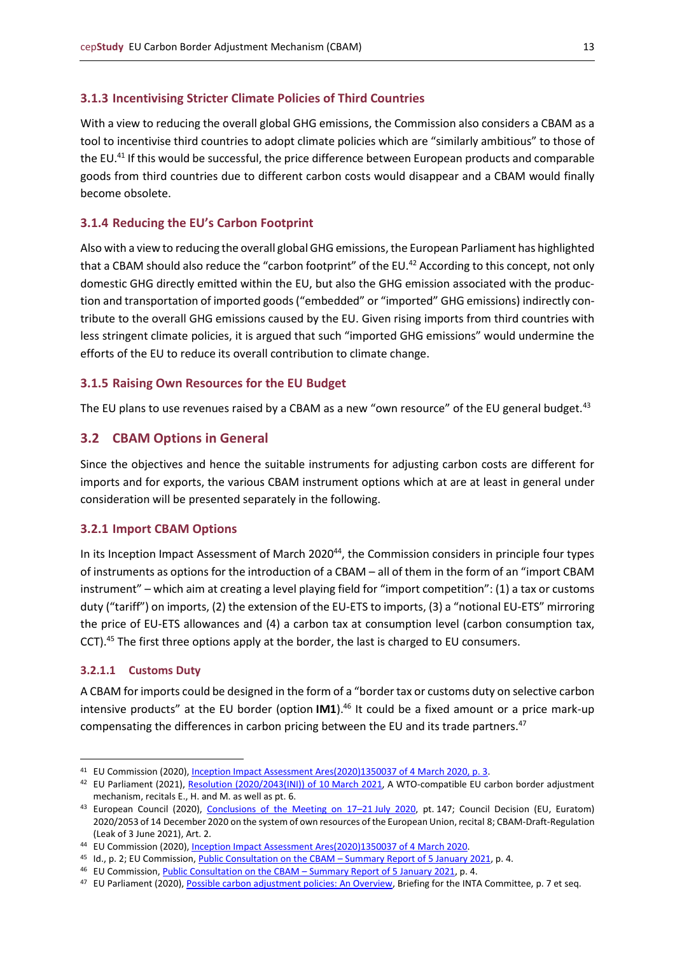#### <span id="page-12-0"></span>**3.1.3 Incentivising Stricter Climate Policies of Third Countries**

With a view to reducing the overall global GHG emissions, the Commission also considers a CBAM as a tool to incentivise third countries to adopt climate policies which are "similarly ambitious" to those of the EU.<sup>41</sup> If this would be successful, the price difference between European products and comparable goods from third countries due to different carbon costs would disappear and a CBAM would finally become obsolete.

#### <span id="page-12-1"></span>**3.1.4 Reducing the EU's Carbon Footprint**

Also with a view to reducing the overall global GHG emissions, the European Parliament has highlighted that a CBAM should also reduce the "carbon footprint" of the EU.<sup>42</sup> According to this concept, not only domestic GHG directly emitted within the EU, but also the GHG emission associated with the production and transportation of imported goods ("embedded" or "imported" GHG emissions) indirectly contribute to the overall GHG emissions caused by the EU. Given rising imports from third countries with less stringent climate policies, it is argued that such "imported GHG emissions" would undermine the efforts of the EU to reduce its overall contribution to climate change.

#### <span id="page-12-2"></span>**3.1.5 Raising Own Resources for the EU Budget**

The EU plans to use revenues raised by a CBAM as a new "own resource" of the EU general budget. $43$ 

## <span id="page-12-3"></span>**3.2 CBAM Options in General**

Since the objectives and hence the suitable instruments for adjusting carbon costs are different for imports and for exports, the various CBAM instrument options which at are at least in general under consideration will be presented separately in the following.

#### <span id="page-12-4"></span>**3.2.1 Import CBAM Options**

In its Inception Impact Assessment of March 2020<sup>44</sup>, the Commission considers in principle four types of instruments as options for the introduction of a CBAM – all of them in the form of an "import CBAM instrument" – which aim at creating a level playing field for "import competition": (1) a tax or customs duty ("tariff") on imports, (2) the extension of the EU-ETS to imports, (3) a "notional EU-ETS" mirroring the price of EU-ETS allowances and (4) a carbon tax at consumption level (carbon consumption tax, CCT).<sup>45</sup> The first three options apply at the border, the last is charged to EU consumers.

#### <span id="page-12-5"></span>**3.2.1.1 Customs Duty**

A CBAM for imports could be designed in the form of a "border tax or customs duty on selective carbon intensive products" at the EU border (option **IM1**). <sup>46</sup> It could be a fixed amount or a price mark-up compensating the differences in carbon pricing between the EU and its trade partners.<sup>47</sup>

<sup>41</sup> EU Commission (2020)[, Inception Impact Assessment Ares\(2020\)1350037 of 4](https://ec.europa.eu/info/law/better-regulation/have-your-say/initiatives/12228-Carbon-Border-Adjustment-Mechanism) March 2020, p. 3.

<sup>42</sup> EU Parliament (2021), [Resolution \(2020/2043\(INI\)\) of 10](https://www.europarl.europa.eu/doceo/document/TA-9-2021-0071_EN.html) March 2021, A WTO-compatible EU carbon border adjustment mechanism, recitals E., H. and M. as well as pt. 6.

<sup>43</sup> European Council (2020), [Conclusions of the Meeting on 17](https://www.consilium.europa.eu/media/45109/210720-euco-final-conclusions-en.pdf)-21 July 2020, pt. 147; Council Decision (EU, Euratom) 2020/2053 of 14 December 2020 on the system of own resources of the European Union, recital 8; CBAM-Draft-Regulation (Leak of 3 June 2021), Art. 2.

<sup>44</sup> EU Commission (2020)[, Inception Impact Assessment Ares\(2020\)1350037 of 4](https://ec.europa.eu/info/law/better-regulation/have-your-say/initiatives/12228-Carbon-Border-Adjustment-Mechanism) March 2020.

<sup>45</sup> Id., p. 2; EU Commission, [Public Consultation on the CBAM](https://ec.europa.eu/info/law/better-regulation/have-your-say/initiatives/12228-Carbon-Border-Adjustment-Mechanism/public-consultation_de) – Summary Report of 5 January 2021, p. 4.

<sup>46</sup> EU Commission[, Public Consultation on the CBAM](https://ec.europa.eu/info/law/better-regulation/have-your-say/initiatives/12228-Carbon-Border-Adjustment-Mechanism/public-consultation_de) – Summary Report of 5 January 2021, p. 4.

<sup>47</sup> EU Parliament (2020)[, Possible carbon adjustment policies: An Overview,](https://www.europarl.europa.eu/RegData/etudes/BRIE/2020/603500/EXPO_BRI(2020)603500_EN.pdf) Briefing for the INTA Committee, p. 7 et seq.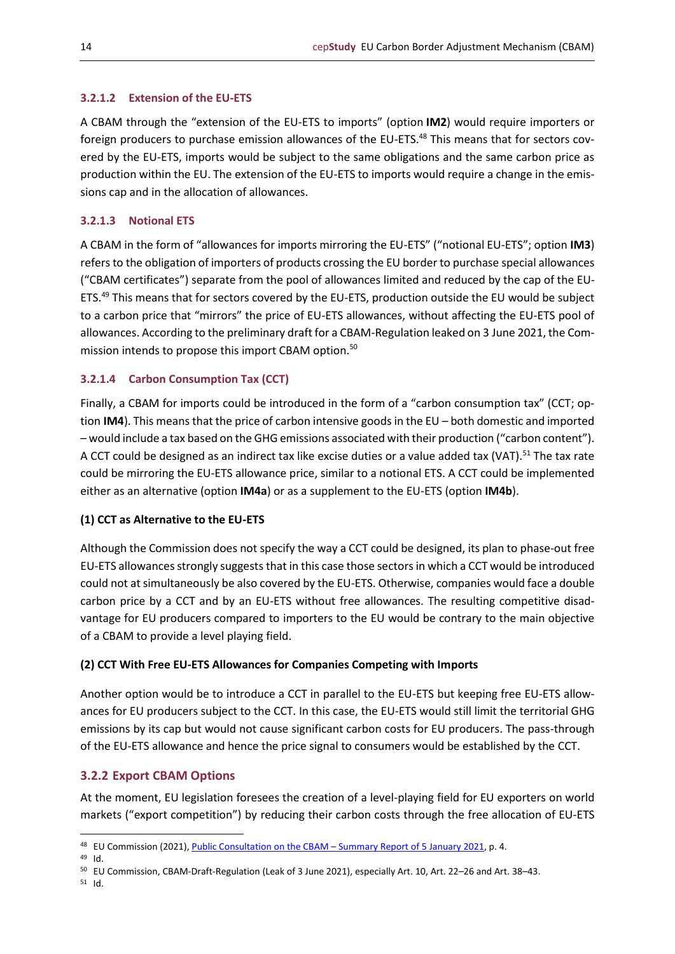## <span id="page-13-0"></span>**3.2.1.2 Extension of the EU-ETS**

A CBAM through the "extension of the EU-ETS to imports" (option **IM2**) would require importers or foreign producers to purchase emission allowances of the EU-ETS.<sup>48</sup> This means that for sectors covered by the EU-ETS, imports would be subject to the same obligations and the same carbon price as production within the EU. The extension of the EU-ETS to imports would require a change in the emissions cap and in the allocation of allowances.

## <span id="page-13-1"></span>**3.2.1.3 Notional ETS**

A CBAM in the form of "allowances for imports mirroring the EU-ETS" ("notional EU-ETS"; option **IM3**) refers to the obligation of importers of products crossing the EU border to purchase special allowances ("CBAM certificates") separate from the pool of allowances limited and reduced by the cap of the EU-ETS.<sup>49</sup> This means that for sectors covered by the EU-ETS, production outside the EU would be subject to a carbon price that "mirrors" the price of EU-ETS allowances, without affecting the EU-ETS pool of allowances. According to the preliminary draft for a CBAM-Regulation leaked on 3 June 2021, the Commission intends to propose this import CBAM option.<sup>50</sup>

## <span id="page-13-2"></span>**3.2.1.4 Carbon Consumption Tax (CCT)**

Finally, a CBAM for imports could be introduced in the form of a "carbon consumption tax" (CCT; option **IM4**). This means that the price of carbon intensive goods in the EU – both domestic and imported – would include a tax based on the GHG emissions associated with their production ("carbon content"). A CCT could be designed as an indirect tax like excise duties or a value added tax (VAT).<sup>51</sup> The tax rate could be mirroring the EU-ETS allowance price, similar to a notional ETS. A CCT could be implemented either as an alternative (option **IM4a**) or as a supplement to the EU-ETS (option **IM4b**).

## **(1) CCT as Alternative to the EU-ETS**

Although the Commission does not specify the way a CCT could be designed, its plan to phase-out free EU-ETS allowances strongly suggeststhat in this case those sectors in which a CCT would be introduced could not at simultaneously be also covered by the EU-ETS. Otherwise, companies would face a double carbon price by a CCT and by an EU-ETS without free allowances. The resulting competitive disadvantage for EU producers compared to importers to the EU would be contrary to the main objective of a CBAM to provide a level playing field.

## **(2) CCT With Free EU-ETS Allowances for Companies Competing with Imports**

Another option would be to introduce a CCT in parallel to the EU-ETS but keeping free EU-ETS allowances for EU producers subject to the CCT. In this case, the EU-ETS would still limit the territorial GHG emissions by its cap but would not cause significant carbon costs for EU producers. The pass-through of the EU-ETS allowance and hence the price signal to consumers would be established by the CCT.

## <span id="page-13-3"></span>**3.2.2 Export CBAM Options**

At the moment, EU legislation foresees the creation of a level-playing field for EU exporters on world markets ("export competition") by reducing their carbon costs through the free allocation of EU-ETS

<sup>49</sup> Id.

<sup>51</sup> Id.

<sup>48</sup> EU Commission (2021)[, Public Consultation on the CBAM](https://ec.europa.eu/info/law/better-regulation/have-your-say/initiatives/12228-Carbon-Border-Adjustment-Mechanism/public-consultation_de) – Summary Report of 5 January 2021, p. 4.

<sup>50</sup> EU Commission, CBAM-Draft-Regulation (Leak of 3 June 2021), especially Art. 10, Art. 22–26 and Art. 38–43.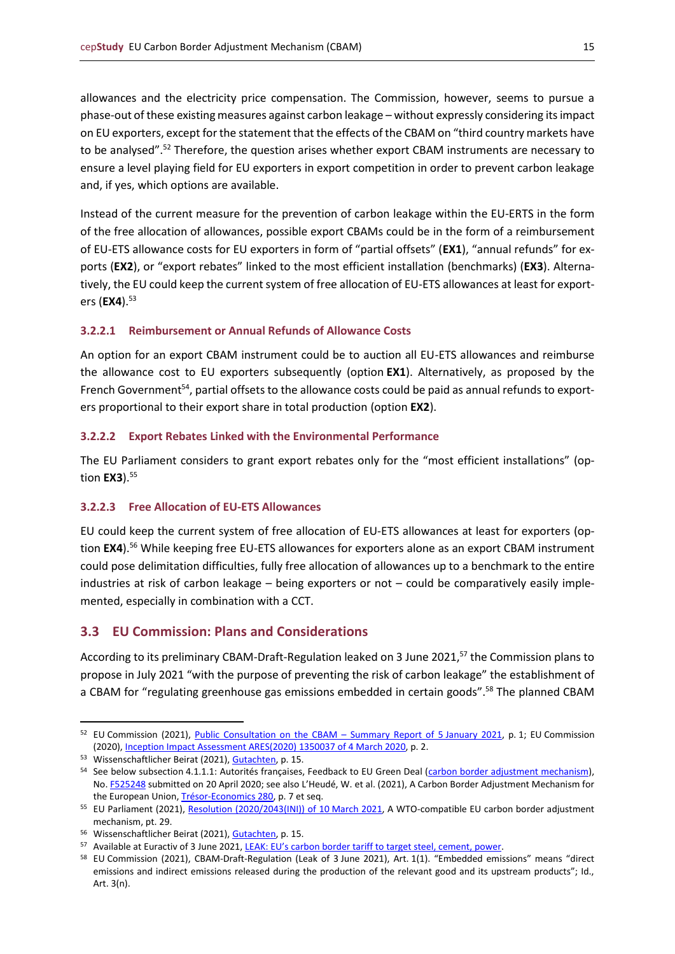allowances and the electricity price compensation. The Commission, however, seems to pursue a phase-out of these existing measures against carbon leakage – without expressly considering its impact on EU exporters, except for the statement that the effects of the CBAM on "third country markets have to be analysed".<sup>52</sup> Therefore, the question arises whether export CBAM instruments are necessary to ensure a level playing field for EU exporters in export competition in order to prevent carbon leakage and, if yes, which options are available.

Instead of the current measure for the prevention of carbon leakage within the EU-ERTS in the form of the free allocation of allowances, possible export CBAMs could be in the form of a reimbursement of EU-ETS allowance costs for EU exporters in form of "partial offsets" (**EX1**), "annual refunds" for exports (**EX2**), or "export rebates" linked to the most efficient installation (benchmarks) (**EX3**). Alternatively, the EU could keep the current system of free allocation of EU-ETS allowances at least for exporters (**EX4**).<sup>53</sup>

## <span id="page-14-0"></span>**3.2.2.1 Reimbursement or Annual Refunds of Allowance Costs**

An option for an export CBAM instrument could be to auction all EU-ETS allowances and reimburse the allowance cost to EU exporters subsequently (option **EX1**). Alternatively, as proposed by the French Government<sup>54</sup>, partial offsets to the allowance costs could be paid as annual refunds to exporters proportional to their export share in total production (option **EX2**).

#### <span id="page-14-1"></span>**3.2.2.2 Export Rebates Linked with the Environmental Performance**

The EU Parliament considers to grant export rebates only for the "most efficient installations" (option **EX3**). 55

## <span id="page-14-2"></span>**3.2.2.3 Free Allocation of EU-ETS Allowances**

EU could keep the current system of free allocation of EU-ETS allowances at least for exporters (option **EX4**). <sup>56</sup> While keeping free EU-ETS allowances for exporters alone as an export CBAM instrument could pose delimitation difficulties, fully free allocation of allowances up to a benchmark to the entire industries at risk of carbon leakage – being exporters or not – could be comparatively easily implemented, especially in combination with a CCT.

## <span id="page-14-3"></span>**3.3 EU Commission: Plans and Considerations**

According to its preliminary CBAM-Draft-Regulation leaked on 3 June 2021,<sup>57</sup> the Commission plans to propose in July 2021 "with the purpose of preventing the risk of carbon leakage" the establishment of a CBAM for "regulating greenhouse gas emissions embedded in certain goods".<sup>58</sup> The planned CBAM

<sup>&</sup>lt;sup>52</sup> EU Commission (2021), [Public Consultation on the CBAM](https://ec.europa.eu/info/law/better-regulation/have-your-say/initiatives/12228-Carbon-Border-Adjustment-Mechanism/public-consultation_de) – Summary Report of 5 January 2021, p. 1; EU Commission (2020)[, Inception Impact Assessment ARES\(2020\)](https://eur-lex.europa.eu/legal-content/EN/ALL/?uri=PI_COM%3AAres%282020%291350037) 1350037 of 4 March 2020, p. 2.

<sup>53</sup> Wissenschaftlicher Beirat (2021), [Gutachten,](https://www.bmwi.de/Redaktion/DE/Publikationen/Ministerium/Veroeffentlichung-Wissenschaftlicher-Beirat/gutachten-co2-grenzausgleich.html) p. 15.

<sup>54</sup> See below subsection 4.1.1.1: Autorités françaises, Feedback to EU Green Deal [\(carbon border adjustment mechanism\)](https://ec.europa.eu/info/law/better-regulation/have-your-say/initiatives/12228-Carbon-Border-Adjustment-Mechanism/), No. [F525248](https://ec.europa.eu/info/law/better-regulation/have-your-say/initiatives/12228-Carbon-Border-Adjustment-Mechanism/F525248) submitted on 20 April 2020; see also L'Heudé, W. et al. (2021), A Carbon Border Adjustment Mechanism for the European Union[, Trésor-Economics 280,](https://www.tresor.economie.gouv.fr/Articles/2021/03/23/a-carbon-border-adjustment-mechanism-for-the-european-union) p. 7 et seq.

<sup>&</sup>lt;sup>55</sup> EU Parliament (2021), [Resolution \(2020/2043\(INI\)\) of 10](https://www.europarl.europa.eu/doceo/document/TA-9-2021-0071_EN.html) March 2021</u>, A WTO-compatible EU carbon border adjustment mechanism, pt. 29.

<sup>56</sup> Wissenschaftlicher Beirat (2021), [Gutachten,](https://www.bmwi.de/Redaktion/DE/Publikationen/Ministerium/Veroeffentlichung-Wissenschaftlicher-Beirat/gutachten-co2-grenzausgleich.html) p. 15.

<sup>57</sup> Available at Euractiv of 3 June 2021, [LEAK: EU's carbon border tariff to target steel, cement, power](https://www.euractiv.com/section/energy-environment/news/eus-carbon-border-tariff-to-target-steel-cement-power/).

<sup>58</sup> EU Commission (2021), CBAM-Draft-Regulation (Leak of 3 June 2021), Art. 1(1). "Embedded emissions" means "direct emissions and indirect emissions released during the production of the relevant good and its upstream products"; Id., Art. 3(n).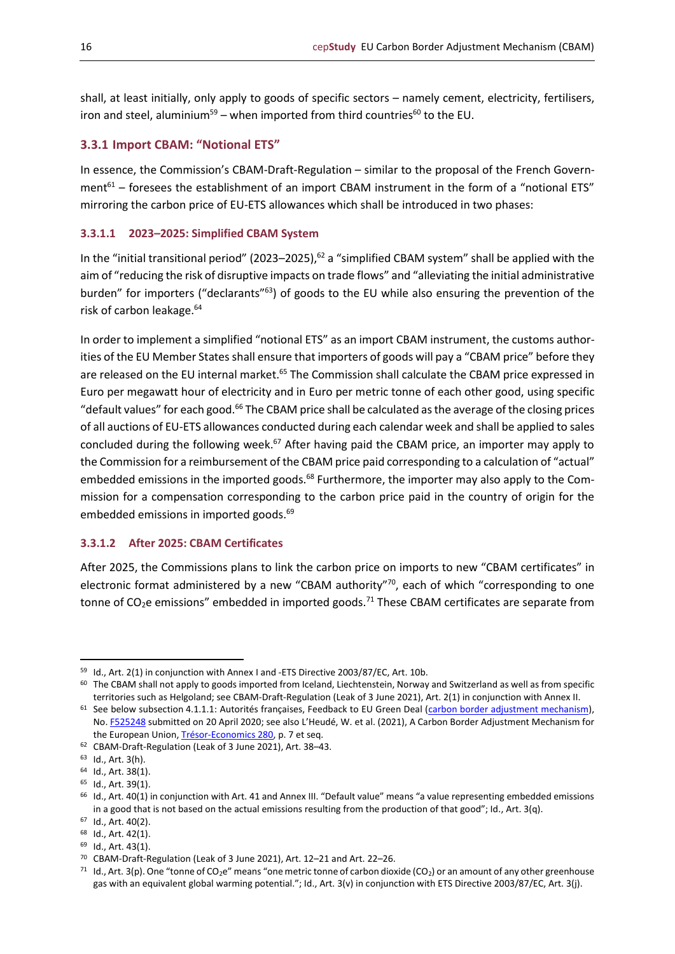shall, at least initially, only apply to goods of specific sectors – namely cement, electricity, fertilisers, iron and steel, aluminium<sup>59</sup> – when imported from third countries<sup>60</sup> to the EU.

## <span id="page-15-0"></span>**3.3.1 Import CBAM: "Notional ETS"**

In essence, the Commission's CBAM-Draft-Regulation – similar to the proposal of the French Government $^{61}$  – foresees the establishment of an import CBAM instrument in the form of a "notional ETS" mirroring the carbon price of EU-ETS allowances which shall be introduced in two phases:

#### <span id="page-15-1"></span>**3.3.1.1 2023–2025: Simplified CBAM System**

In the "initial transitional period" (2023–2025),<sup>62</sup> a "simplified CBAM system" shall be applied with the aim of "reducing the risk of disruptive impacts on trade flows" and "alleviating the initial administrative burden" for importers ("declarants"<sup>63</sup>) of goods to the EU while also ensuring the prevention of the risk of carbon leakage.<sup>64</sup>

In order to implement a simplified "notional ETS" as an import CBAM instrument, the customs authorities of the EU Member States shall ensure that importers of goods will pay a "CBAM price" before they are released on the EU internal market.<sup>65</sup> The Commission shall calculate the CBAM price expressed in Euro per megawatt hour of electricity and in Euro per metric tonne of each other good, using specific "default values" for each good.<sup>66</sup> The CBAM price shall be calculated as the average of the closing prices of all auctions of EU-ETS allowances conducted during each calendar week and shall be applied to sales concluded during the following week.<sup>67</sup> After having paid the CBAM price, an importer may apply to the Commission for a reimbursement of the CBAM price paid corresponding to a calculation of "actual" embedded emissions in the imported goods.<sup>68</sup> Furthermore, the importer may also apply to the Commission for a compensation corresponding to the carbon price paid in the country of origin for the embedded emissions in imported goods.<sup>69</sup>

#### <span id="page-15-2"></span>**3.3.1.2 After 2025: CBAM Certificates**

After 2025, the Commissions plans to link the carbon price on imports to new "CBAM certificates" in electronic format administered by a new "CBAM authority"<sup>70</sup>, each of which "corresponding to one tonne of  $CO<sub>2</sub>e$  emissions" embedded in imported goods.<sup>71</sup> These CBAM certificates are separate from

<sup>59</sup> Id., Art. 2(1) in conjunction with Annex I and -ETS Directive 2003/87/EC, Art. 10b.

<sup>60</sup> The CBAM shall not apply to goods imported from Iceland, Liechtenstein, Norway and Switzerland as well as from specific territories such as Helgoland; see CBAM-Draft-Regulation (Leak of 3 June 2021), Art. 2(1) in conjunction with Annex II.

 $61$  See below subsection 4.1.1.1: Autorités françaises, Feedback to EU Green Deal [\(carbon border adjustment mechanism\)](https://ec.europa.eu/info/law/better-regulation/have-your-say/initiatives/12228-Carbon-Border-Adjustment-Mechanism/), No. [F525248](https://ec.europa.eu/info/law/better-regulation/have-your-say/initiatives/12228-Carbon-Border-Adjustment-Mechanism/F525248) submitted on 20 April 2020; see also L'Heudé, W. et al. (2021), A Carbon Border Adjustment Mechanism for the European Union[, Trésor-Economics 280,](https://www.tresor.economie.gouv.fr/Articles/2021/03/23/a-carbon-border-adjustment-mechanism-for-the-european-union) p. 7 et seq.

<sup>62</sup> CBAM-Draft-Regulation (Leak of 3 June 2021), Art. 38–43.

<sup>63</sup> Id., Art. 3(h).

<sup>64</sup> Id., Art. 38(1).

<sup>65</sup> Id., Art. 39(1).

<sup>66</sup> Id., Art. 40(1) in conjunction with Art. 41 and Annex III. "Default value" means "a value representing embedded emissions in a good that is not based on the actual emissions resulting from the production of that good"; Id., Art. 3(q).

<sup>67</sup> Id., Art. 40(2).

<sup>68</sup> Id., Art. 42(1). <sup>69</sup> Id., Art. 43(1).

<sup>70</sup> CBAM-Draft-Regulation (Leak of 3 June 2021), Art. 12–21 and Art. 22–26.

<sup>&</sup>lt;sup>71</sup> Id., Art. 3(p). One "tonne of CO<sub>2</sub>e" means "one metric tonne of carbon dioxide (CO<sub>2</sub>) or an amount of any other greenhouse gas with an equivalent global warming potential."; Id., Art. 3(v) in conjunction with ETS Directive 2003/87/EC, Art. 3(j).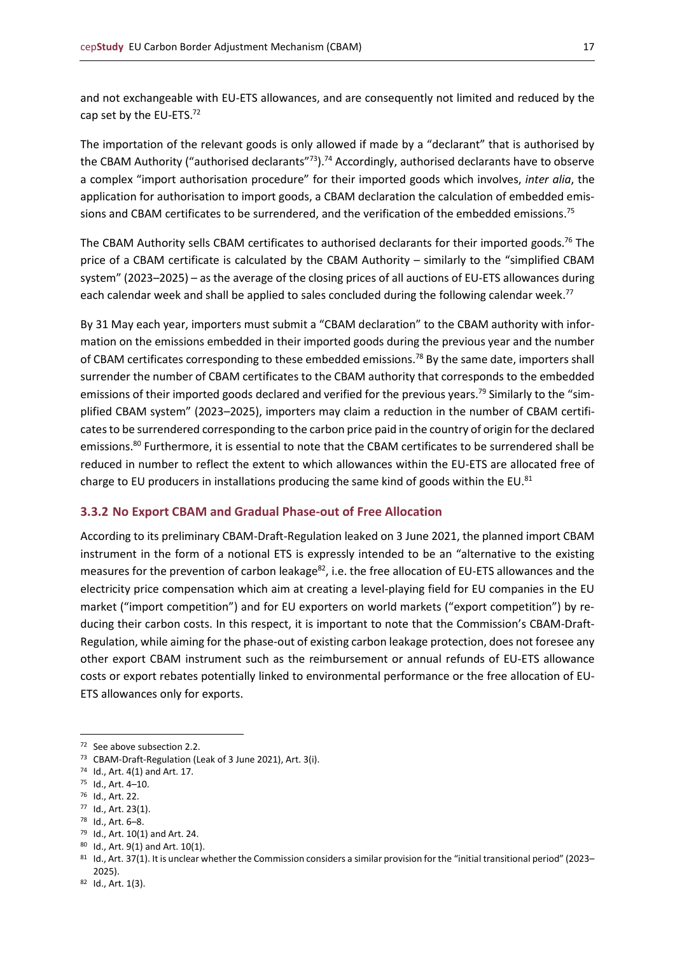and not exchangeable with EU-ETS allowances, and are consequently not limited and reduced by the cap set by the EU-ETS.<sup>72</sup>

The importation of the relevant goods is only allowed if made by a "declarant" that is authorised by the CBAM Authority ("authorised declarants"<sup>73</sup>).<sup>74</sup> Accordingly, authorised declarants have to observe a complex "import authorisation procedure" for their imported goods which involves, *inter alia*, the application for authorisation to import goods, a CBAM declaration the calculation of embedded emissions and CBAM certificates to be surrendered, and the verification of the embedded emissions.<sup>75</sup>

The CBAM Authority sells CBAM certificates to authorised declarants for their imported goods. <sup>76</sup> The price of a CBAM certificate is calculated by the CBAM Authority – similarly to the "simplified CBAM system" (2023–2025) – as the average of the closing prices of all auctions of EU-ETS allowances during each calendar week and shall be applied to sales concluded during the following calendar week.<sup>77</sup>

By 31 May each year, importers must submit a "CBAM declaration" to the CBAM authority with information on the emissions embedded in their imported goods during the previous year and the number of CBAM certificates corresponding to these embedded emissions.<sup>78</sup> By the same date, importers shall surrender the number of CBAM certificates to the CBAM authority that corresponds to the embedded emissions of their imported goods declared and verified for the previous years.<sup>79</sup> Similarly to the "simplified CBAM system" (2023–2025), importers may claim a reduction in the number of CBAM certificatesto be surrendered corresponding to the carbon price paid in the country of origin for the declared emissions.<sup>80</sup> Furthermore, it is essential to note that the CBAM certificates to be surrendered shall be reduced in number to reflect the extent to which allowances within the EU-ETS are allocated free of charge to EU producers in installations producing the same kind of goods within the EU.<sup>81</sup>

#### <span id="page-16-0"></span>**3.3.2 No Export CBAM and Gradual Phase-out of Free Allocation**

According to its preliminary CBAM-Draft-Regulation leaked on 3 June 2021, the planned import CBAM instrument in the form of a notional ETS is expressly intended to be an "alternative to the existing measures for the prevention of carbon leakage<sup>82</sup>, i.e. the free allocation of EU-ETS allowances and the electricity price compensation which aim at creating a level-playing field for EU companies in the EU market ("import competition") and for EU exporters on world markets ("export competition") by reducing their carbon costs. In this respect, it is important to note that the Commission's CBAM-Draft-Regulation, while aiming for the phase-out of existing carbon leakage protection, does not foresee any other export CBAM instrument such as the reimbursement or annual refunds of EU-ETS allowance costs or export rebates potentially linked to environmental performance or the free allocation of EU-ETS allowances only for exports.

<sup>77</sup> Id., Art. 23(1).

- <sup>79</sup> Id., Art. 10(1) and Art. 24.
- <sup>80</sup> Id., Art. 9(1) and Art. 10(1).

<sup>72</sup> See above subsection 2.2.

<sup>73</sup> CBAM-Draft-Regulation (Leak of 3 June 2021), Art. 3(i).

<sup>74</sup> Id., Art. 4(1) and Art. 17.

<sup>75</sup> Id., Art. 4–10.

<sup>76</sup> Id., Art. 22.

<sup>78</sup> Id., Art. 6–8.

<sup>81</sup> Id., Art. 37(1). It is unclear whether the Commission considers a similar provision for the "initial transitional period" (2023– 2025).

<sup>82</sup> Id., Art. 1(3).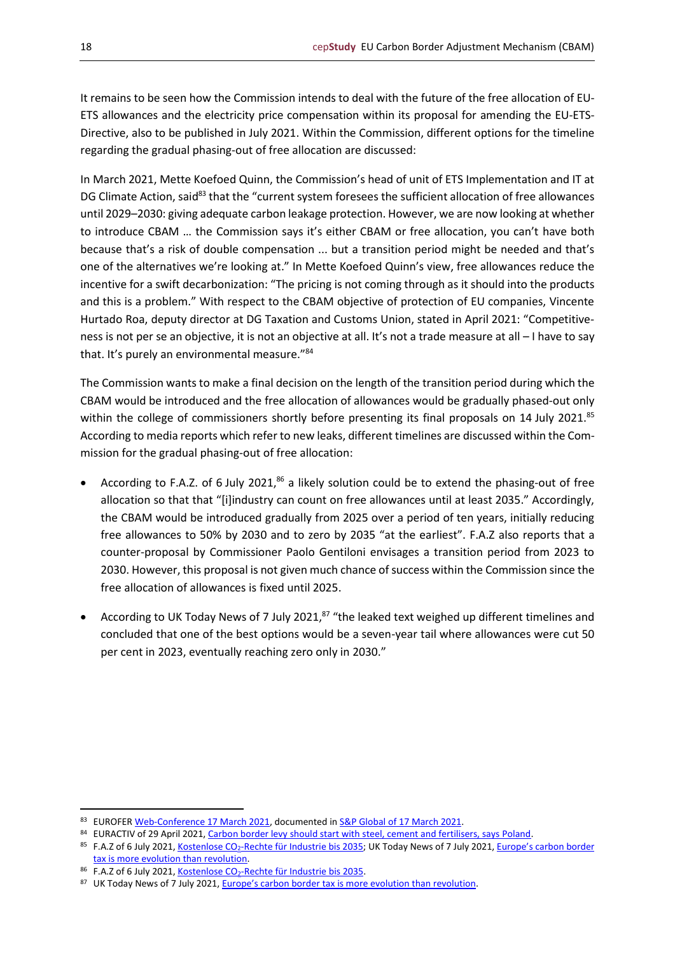It remains to be seen how the Commission intends to deal with the future of the free allocation of EU-ETS allowances and the electricity price compensation within its proposal for amending the EU-ETS-Directive, also to be published in July 2021. Within the Commission, different options for the timeline regarding the gradual phasing-out of free allocation are discussed:

In March 2021, Mette Koefoed Quinn, the Commission's head of unit of ETS Implementation and IT at DG Climate Action, said<sup>83</sup> that the "current system foresees the sufficient allocation of free allowances until 2029–2030: giving adequate carbon leakage protection. However, we are now looking at whether to introduce CBAM … the Commission says it's either CBAM or free allocation, you can't have both because that's a risk of double compensation ... but a transition period might be needed and that's one of the alternatives we're looking at." In Mette Koefoed Quinn's view, free allowances reduce the incentive for a swift decarbonization: "The pricing is not coming through as it should into the products and this is a problem." With respect to the CBAM objective of protection of EU companies, Vincente Hurtado Roa, deputy director at DG Taxation and Customs Union, stated in April 2021: "Competitiveness is not per se an objective, it is not an objective at all. It's not a trade measure at all – I have to say that. It's purely an environmental measure."<sup>84</sup>

The Commission wants to make a final decision on the length of the transition period during which the CBAM would be introduced and the free allocation of allowances would be gradually phased-out only within the college of commissioners shortly before presenting its final proposals on 14 July 2021.<sup>85</sup> According to media reports which refer to new leaks, different timelines are discussed within the Commission for the gradual phasing-out of free allocation:

- According to F.A.Z. of 6 July 2021,<sup>86</sup> a likely solution could be to extend the phasing-out of free allocation so that that "[i]industry can count on free allowances until at least 2035." Accordingly, the CBAM would be introduced gradually from 2025 over a period of ten years, initially reducing free allowances to 50% by 2030 and to zero by 2035 "at the earliest". F.A.Z also reports that a counter-proposal by Commissioner Paolo Gentiloni envisages a transition period from 2023 to 2030. However, this proposal is not given much chance of success within the Commission since the free allocation of allowances is fixed until 2025.
- According to UK Today News of 7 July 2021,<sup>87</sup> "the leaked text weighed up different timelines and concluded that one of the best options would be a seven-year tail where allowances were cut 50 per cent in 2023, eventually reaching zero only in 2030."

<sup>83</sup> EUROFE[R Web-Conference 17 March 2021,](https://www.eurofer.eu/news/watch-the-eurofer-engage-webinar-making-sense-of-eu-climate-policy/) documented i[n S&P Global of 17](https://www.spglobal.com/platts/en/market-insights/latest-news/metals/031721-carbon-border-adjustment-debate-divides-european-commission-steelmakers) March 2021.

<sup>84</sup> EURACTIV of 29 April 2021[, Carbon border levy should start with steel, cement and fertilisers, says Poland.](https://www.euractiv.com/section/energy-environment/news/carbon-levy-should-start-with-steel-cement-and-fertilisers-says-poland/)

<sup>85</sup> F.A.Z of 6 July 2021, Kostenlose CO<sub>2</sub>[-Rechte für Industrie bis 2035;](https://www.faz.net/aktuell/wirtschaft/klima-energie-und-umwelt/wie-lange-die-industrie-kostenlose-co2-rechte-bekommt-17424998.html) UK Today News of 7 July 2021, Europe's carbon border [tax is more evolution than revolution.](https://todayuknews.com/economy/europes-carbon-border-tax-is-more-evolution-than-revolution/)

<sup>86</sup> F.A.Z of 6 July 2021, Kostenlose CO<sub>2</sub>[-Rechte für Industrie bis 2035.](https://www.faz.net/aktuell/wirtschaft/klima-energie-und-umwelt/wie-lange-die-industrie-kostenlose-co2-rechte-bekommt-17424998.html)

<sup>87</sup> UK Today News of 7 July 2021, Europe's carbon bor[der tax is more evolution than revolution.](https://todayuknews.com/economy/europes-carbon-border-tax-is-more-evolution-than-revolution/)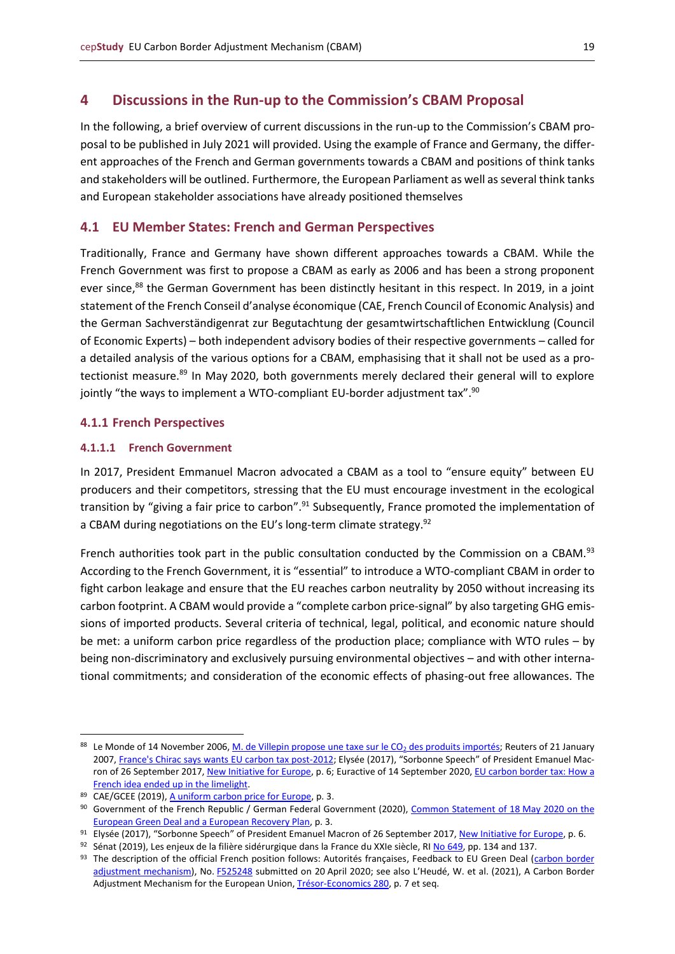## <span id="page-18-0"></span>**4 Discussions in the Run-up to the Commission's CBAM Proposal**

In the following, a brief overview of current discussions in the run-up to the Commission's CBAM proposal to be published in July 2021 will provided. Using the example of France and Germany, the different approaches of the French and German governments towards a CBAM and positions of think tanks and stakeholders will be outlined. Furthermore, the European Parliament as well as several think tanks and European stakeholder associations have already positioned themselves

#### <span id="page-18-1"></span>**4.1 EU Member States: French and German Perspectives**

Traditionally, France and Germany have shown different approaches towards a CBAM. While the French Government was first to propose a CBAM as early as 2006 and has been a strong proponent ever since,<sup>88</sup> the German Government has been distinctly hesitant in this respect. In 2019, in a joint statement of the French Conseil d'analyse économique (CAE, French Council of Economic Analysis) and the German Sachverständigenrat zur Begutachtung der gesamtwirtschaftlichen Entwicklung (Council of Economic Experts) – both independent advisory bodies of their respective governments – called for a detailed analysis of the various options for a CBAM, emphasising that it shall not be used as a protectionist measure.<sup>89</sup> In May 2020, both governments merely declared their general will to explore jointly "the ways to implement a WTO-compliant EU-border adjustment tax".<sup>90</sup>

#### <span id="page-18-2"></span>**4.1.1 French Perspectives**

#### <span id="page-18-3"></span>**4.1.1.1 French Government**

In 2017, President Emmanuel Macron advocated a CBAM as a tool to "ensure equity" between EU producers and their competitors, stressing that the EU must encourage investment in the ecological transition by "giving a fair price to carbon".<sup>91</sup> Subsequently, France promoted the implementation of a CBAM during negotiations on the EU's long-term climate strategy.<sup>92</sup>

French authorities took part in the public consultation conducted by the Commission on a CBAM.<sup>93</sup> According to the French Government, it is "essential" to introduce a WTO-compliant CBAM in order to fight carbon leakage and ensure that the EU reaches carbon neutrality by 2050 without increasing its carbon footprint. A CBAM would provide a "complete carbon price-signal" by also targeting GHG emissions of imported products. Several criteria of technical, legal, political, and economic nature should be met: a uniform carbon price regardless of the production place; compliance with WTO rules – by being non-discriminatory and exclusively pursuing environmental objectives – and with other international commitments; and consideration of the economic effects of phasing-out free allowances. The

<sup>88</sup> Le Monde of 14 November 2006[, M. de Villepin propose une taxe sur le CO](https://www.lemonde.fr/archives/article/2006/11/14/p-m-de-villepin-propose-une-taxe-sur-le-co2-des-produits-importes-p-p-les-nouvelles-mesures-p_4310581_1819218.html)<sub>2</sub> des produits importés; Reuters of 21 January 2007, [France's Chirac says wants EU carbon tax post-2012;](https://www.reuters.com/article/france-chirac-carbon-idUKL0492351920070104) Elysée (2017), "Sorbonne Speech" of President Emanuel Mac-ron of 26 September 2017[, New Initiative for Europe,](https://www.elysee.fr/front/pdf/elysee-module-795-en.pdf) p. 6; Euractive of 14 September 2020, EU carbon border tax: How a [French idea ended up in the limelight.](https://www.euractiv.com/section/energy/news/eu-carbon-border-tax-how-a-french-idea-ended-up-in-the-limelight/)

<sup>89</sup> CAE/GCEE (2019)[, A uniform carbon price for Europe,](https://cae-eco.fr/staticfiles/pdf/joint_statement_cae_gcee_carbon_pricing.pdf) p. 3.

<sup>90</sup> Government of the French Republic / German Federal Government (2020)[, Common Statement of 18](https://www.bmu.de/en/download/common-statement-on-the-european-green-deal-and-a-european-recovery-plan-1/) May 2020 on the [European Green Deal and a European Recovery Plan,](https://www.bmu.de/en/download/common-statement-on-the-european-green-deal-and-a-european-recovery-plan-1/) p. 3.

<sup>91</sup> Elysée (2017), "Sorbonne Speech" of President Emanuel Macron of 26 September 2017, [New Initiative for Europe,](https://www.elysee.fr/front/pdf/elysee-module-795-en.pdf) p. 6.

 $92$  Sénat (2019), Les enjeux de la filière sidérurgique dans la France du XXIe siècle, RI [No 649,](https://www.senat.fr/rap/r18-649-1/r18-649-11.pdf) pp. 134 and 137.

<sup>93</sup> The description of the official French position follows: Autorités françaises, Feedback to EU Green Deal (carbon border [adjustment mechanism\)](https://ec.europa.eu/info/law/better-regulation/have-your-say/initiatives/12228-Carbon-Border-Adjustment-Mechanism/), No. [F525248](https://ec.europa.eu/info/law/better-regulation/have-your-say/initiatives/12228-Carbon-Border-Adjustment-Mechanism/F525248) submitted on 20 April 2020; see also L'Heudé, W. et al. (2021), A Carbon Border Adjustment Mechanism for the European Union[, Trésor-Economics 280,](https://www.tresor.economie.gouv.fr/Articles/2021/03/23/a-carbon-border-adjustment-mechanism-for-the-european-union) p. 7 et seq.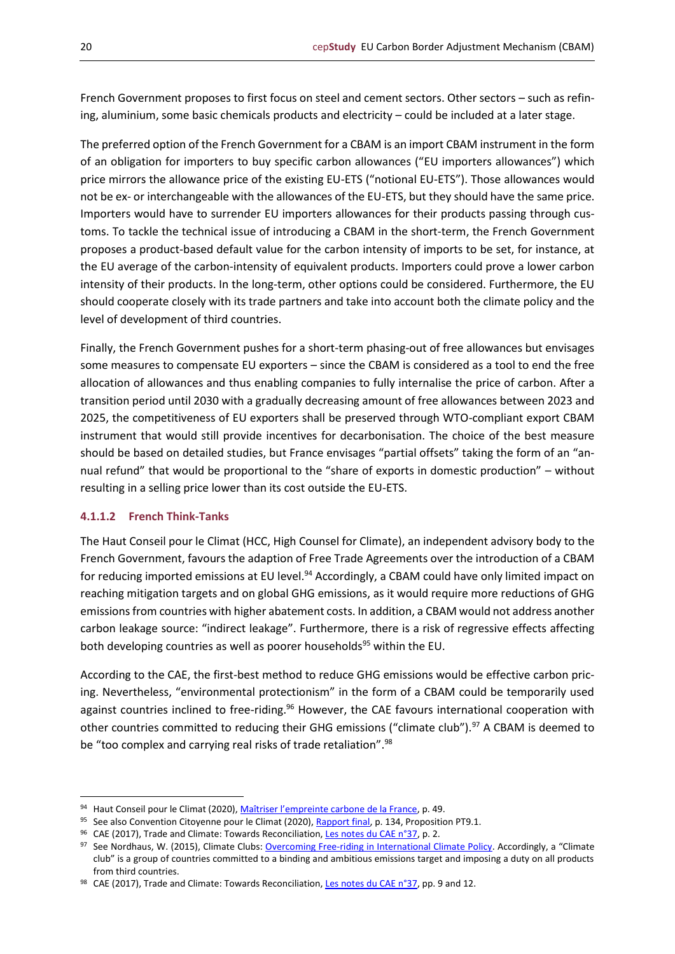French Government proposes to first focus on steel and cement sectors. Other sectors – such as refining, aluminium, some basic chemicals products and electricity – could be included at a later stage.

The preferred option of the French Government for a CBAM is an import CBAM instrument in the form of an obligation for importers to buy specific carbon allowances ("EU importers allowances") which price mirrors the allowance price of the existing EU-ETS ("notional EU-ETS"). Those allowances would not be ex- or interchangeable with the allowances of the EU-ETS, but they should have the same price. Importers would have to surrender EU importers allowances for their products passing through customs. To tackle the technical issue of introducing a CBAM in the short-term, the French Government proposes a product-based default value for the carbon intensity of imports to be set, for instance, at the EU average of the carbon-intensity of equivalent products. Importers could prove a lower carbon intensity of their products. In the long-term, other options could be considered. Furthermore, the EU should cooperate closely with its trade partners and take into account both the climate policy and the level of development of third countries.

Finally, the French Government pushes for a short-term phasing-out of free allowances but envisages some measures to compensate EU exporters – since the CBAM is considered as a tool to end the free allocation of allowances and thus enabling companies to fully internalise the price of carbon. After a transition period until 2030 with a gradually decreasing amount of free allowances between 2023 and 2025, the competitiveness of EU exporters shall be preserved through WTO-compliant export CBAM instrument that would still provide incentives for decarbonisation. The choice of the best measure should be based on detailed studies, but France envisages "partial offsets" taking the form of an "annual refund" that would be proportional to the "share of exports in domestic production" – without resulting in a selling price lower than its cost outside the EU-ETS.

## <span id="page-19-0"></span>**4.1.1.2 French Think-Tanks**

The Haut Conseil pour le Climat (HCC, High Counsel for Climate), an independent advisory body to the French Government, favours the adaption of Free Trade Agreements over the introduction of a CBAM for reducing imported emissions at EU level.<sup>94</sup> Accordingly, a CBAM could have only limited impact on reaching mitigation targets and on global GHG emissions, as it would require more reductions of GHG emissions from countries with higher abatement costs. In addition, a CBAM would not address another carbon leakage source: "indirect leakage". Furthermore, there is a risk of regressive effects affecting both developing countries as well as poorer households<sup>95</sup> within the EU.

According to the CAE, the first-best method to reduce GHG emissions would be effective carbon pricing. Nevertheless, "environmental protectionism" in the form of a CBAM could be temporarily used against countries inclined to free-riding.<sup>96</sup> However, the CAE favours international cooperation with other countries committed to reducing their GHG emissions ("climate club").<sup>97</sup> A CBAM is deemed to be "too complex and carrying real risks of trade retaliation".<sup>98</sup>

<sup>94</sup> Haut Conseil pour le Climat (2020), [Maîtriser l'empreinte carbone de la France](https://www.hautconseilclimat.fr/wp-content/uploads/2020/10/hcc_rapport_maitriser-lempreinte-carbone-de-la-france-1.pdf), p. 49.

<sup>95</sup> See also Convention Citoyenne pour le Climat (2020)[, Rapport final,](https://propositions.conventioncitoyennepourleclimat.fr/pdf/ccc-rapport-final.pdf) p. 134, Proposition PT9.1.

<sup>96</sup> CAE (2017), Trade and Climate: Towards Reconciliation, [Les notes du CAE n°37,](https://www.cae-eco.fr/en/Commerce-et-climat-pour-une-reconciliation) p. 2.

<sup>97</sup> See Nordhaus, W. (2015), Climate Clubs: [Overcoming Free-riding in International Climate Policy](https://pubs.aeaweb.org/doi/pdf/10.1257/aer.15000001). Accordingly, a "Climate club" is a group of countries committed to a binding and ambitious emissions target and imposing a duty on all products from third countries.

<sup>98</sup> CAE (2017), Trade and Climate: Towards Reconciliation, [Les notes du CAE n°37,](https://www.cae-eco.fr/en/Commerce-et-climat-pour-une-reconciliation) pp. 9 and 12.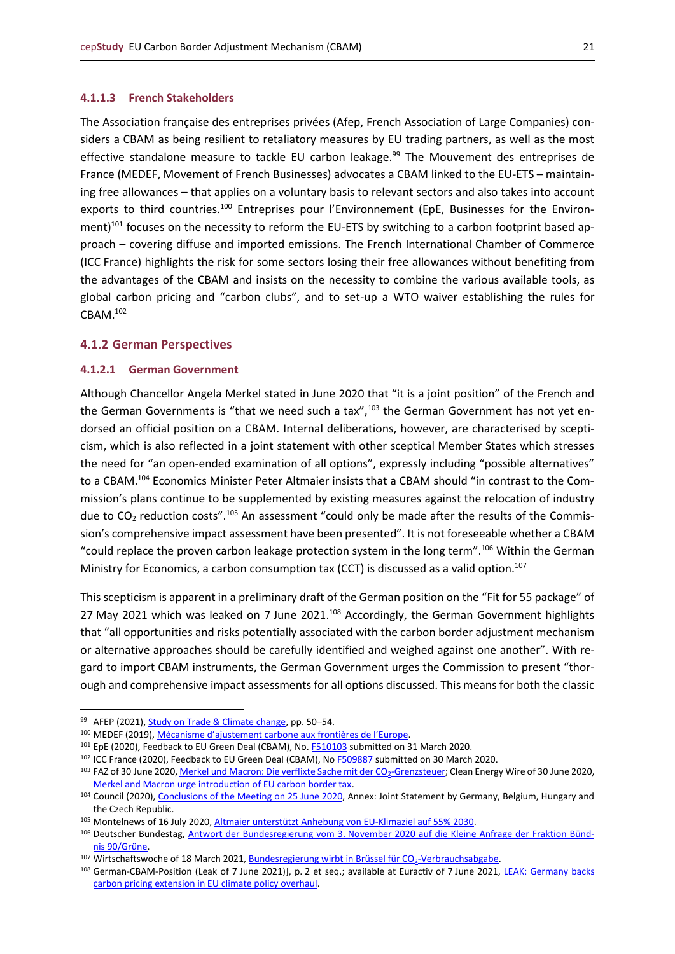#### <span id="page-20-0"></span>**4.1.1.3 French Stakeholders**

The Association française des entreprises privées (Afep, French Association of Large Companies) considers a CBAM as being resilient to retaliatory measures by EU trading partners, as well as the most effective standalone measure to tackle EU carbon leakage.<sup>99</sup> The Mouvement des entreprises de France (MEDEF, Movement of French Businesses) advocates a CBAM linked to the EU-ETS – maintaining free allowances – that applies on a voluntary basis to relevant sectors and also takes into account exports to third countries.<sup>100</sup> Entreprises pour l'Environnement (EpE, Businesses for the Environment)<sup>101</sup> focuses on the necessity to reform the EU-ETS by switching to a carbon footprint based approach – covering diffuse and imported emissions. The French International Chamber of Commerce (ICC France) highlights the risk for some sectors losing their free allowances without benefiting from the advantages of the CBAM and insists on the necessity to combine the various available tools, as global carbon pricing and "carbon clubs", and to set-up a WTO waiver establishing the rules for CBAM.<sup>102</sup>

#### <span id="page-20-1"></span>**4.1.2 German Perspectives**

#### <span id="page-20-2"></span>**4.1.2.1 German Government**

Although Chancellor Angela Merkel stated in June 2020 that "it is a joint position" of the French and the German Governments is "that we need such a tax", $103$  the German Government has not yet endorsed an official position on a CBAM. Internal deliberations, however, are characterised by scepticism, which is also reflected in a joint statement with other sceptical Member States which stresses the need for "an open-ended examination of all options", expressly including "possible alternatives" to a CBAM.<sup>104</sup> Economics Minister Peter Altmaier insists that a CBAM should "in contrast to the Commission's plans continue to be supplemented by existing measures against the relocation of industry due to  $CO<sub>2</sub>$  reduction costs".<sup>105</sup> An assessment "could only be made after the results of the Commission's comprehensive impact assessment have been presented". It is not foreseeable whether a CBAM "could replace the proven carbon leakage protection system in the long term".<sup>106</sup> Within the German Ministry for Economics, a carbon consumption tax (CCT) is discussed as a valid option.<sup>107</sup>

This scepticism is apparent in a preliminary draft of the German position on the "Fit for 55 package" of 27 May 2021 which was leaked on 7 June 2021.<sup>108</sup> Accordingly, the German Government highlights that "all opportunities and risks potentially associated with the carbon border adjustment mechanism or alternative approaches should be carefully identified and weighed against one another". With regard to import CBAM instruments, the German Government urges the Commission to present "thorough and comprehensive impact assessments for all options discussed. This means for both the classic

<sup>99</sup> AFEP (2021)[, Study on Trade & Climate change,](https://afep.com/wp-content/uploads/2021/01/Trade-and-Climate-Change-Quantitative-Assessment-of-the-Best-Policy-Tools.pdf) pp. 50-54.

<sup>100</sup> MEDEF (2019), [Mécanisme d'ajustement carbone aux frontières de l'Europe](https://medef-seineetmarne.fr/uploads/media/node/0001/22/d4904fe8ff8e46b057f7ede64b5584fbbeb4a625.pdf).

<sup>&</sup>lt;sup>101</sup> EpE (2020), Feedback to EU Green Deal (CBAM), No. [F510103](https://ec.europa.eu/info/law/better-regulation/have-your-say/initiatives/12228-EU-Green-Deal-carbon-border-adjustment-mechanism-/F510103) submitted on 31 March 2020.

<sup>&</sup>lt;sup>102</sup> ICC France (2020), Feedback to EU Green Deal (CBAM), No [F509887](https://ec.europa.eu/info/law/better-regulation/have-your-say/initiatives/12228-EU-Green-Deal-carbon-border-adjustment-mechanism-/F509887) submitted on 30 March 2020.

<sup>103</sup> FAZ of 30 June 2020[, Merkel und Macron: Die verflixte Sache mit der CO](https://www.faz.net/aktuell/wirtschaft/merkel-und-macron-die-verflixte-sache-mit-der-co2-grenzsteuer-16839416.html)<sub>2</sub>-Grenzsteuer; Clean Energy Wire of 30 June 2020, [Merkel and Macron urge introduction of EU carbon border tax.](https://www.cleanenergywire.org/news/merkel-and-macron-urge-introduction-eu-carbon-border-tax)

<sup>104</sup> Council (2020)[, Conclusions of the Meeting on 25](https://data.consilium.europa.eu/doc/document/ST-9133-2020-INIT/en/pdf) June 2020, Annex: Joint Statement by Germany, Belgium, Hungary and the Czech Republic.

<sup>105</sup> Montelnews of 16 July 2020[, Altmaier unterstützt Anhebung von EU-Klimaziel auf 55% 2030.](https://www.montelnews.com/de/story/altmaier-untersttzt-anhebung-von-eu-klimaziel-auf-55-2030/1131911)

<sup>106</sup> Deutscher Bundestag, Antwort der Bundesregierung vom 3. [November 2020 auf die Kleine Anfrage der Fraktion Bünd](https://dipbt.bundestag.de/dip21/btd/19/238/1923895.pdf)nis [90/Grüne.](https://dipbt.bundestag.de/dip21/btd/19/238/1923895.pdf)

 $107$  Wirtschaftswoche of 18 March 2021[, Bundesregierung wirbt in Brüssel für CO](https://www.wiwo.de/politik/deutschland/zweistellige-milliardeneinnahmen-erwartet-bundesregierung-wirbt-in-bruessel-fuer-co2-verbrauchsabgabe/27014282.html)<sub>2</sub>-Verbrauchsabgabe.

<sup>108</sup> German-CBAM-Position (Leak of 7 June 2021)], p. 2 et seq.; available at Euractiv of 7 June 2021, LEAK: Germany backs [carbon pricing extension in EU climate policy overhaul.](https://www.euractiv.com/section/climate-environment/news/germany-backs-carbon-pricing-extension-in-eu-climate-policy-overhaul/)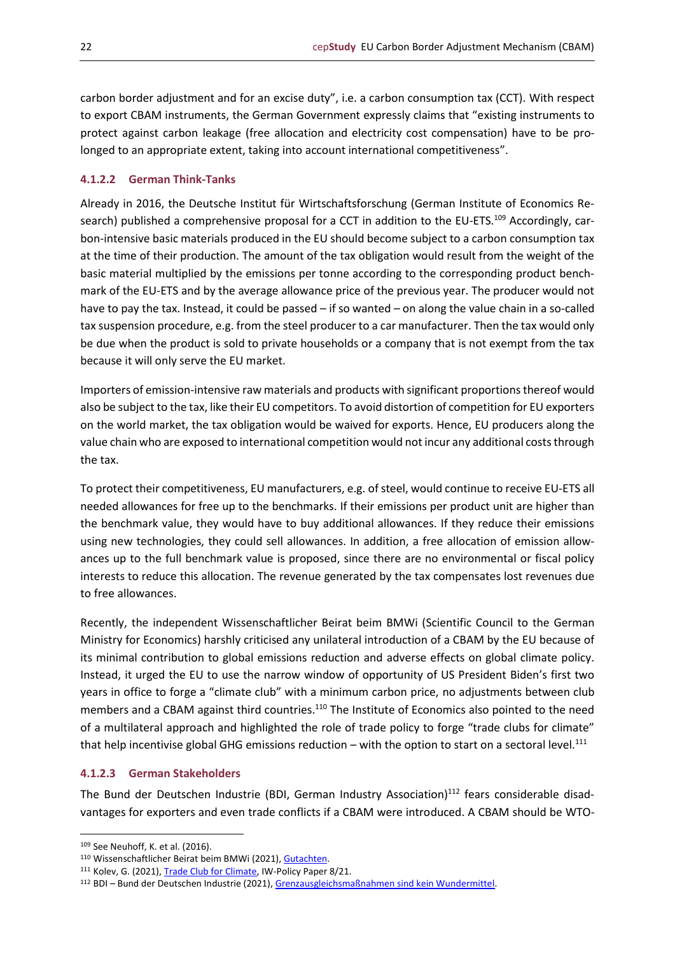carbon border adjustment and for an excise duty", i.e. a carbon consumption tax (CCT). With respect to export CBAM instruments, the German Government expressly claims that "existing instruments to protect against carbon leakage (free allocation and electricity cost compensation) have to be prolonged to an appropriate extent, taking into account international competitiveness".

## <span id="page-21-0"></span>**4.1.2.2 German Think-Tanks**

Already in 2016, the Deutsche Institut für Wirtschaftsforschung (German Institute of Economics Research) published a comprehensive proposal for a CCT in addition to the EU-ETS.<sup>109</sup> Accordingly, carbon-intensive basic materials produced in the EU should become subject to a carbon consumption tax at the time of their production. The amount of the tax obligation would result from the weight of the basic material multiplied by the emissions per tonne according to the corresponding product benchmark of the EU-ETS and by the average allowance price of the previous year. The producer would not have to pay the tax. Instead, it could be passed – if so wanted – on along the value chain in a so-called tax suspension procedure, e.g. from the steel producer to a car manufacturer. Then the tax would only be due when the product is sold to private households or a company that is not exempt from the tax because it will only serve the EU market.

Importers of emission-intensive raw materials and products with significant proportions thereof would also be subject to the tax, like their EU competitors. To avoid distortion of competition for EU exporters on the world market, the tax obligation would be waived for exports. Hence, EU producers along the value chain who are exposed to international competition would not incur any additional costs through the tax.

To protect their competitiveness, EU manufacturers, e.g. of steel, would continue to receive EU-ETS all needed allowances for free up to the benchmarks. If their emissions per product unit are higher than the benchmark value, they would have to buy additional allowances. If they reduce their emissions using new technologies, they could sell allowances. In addition, a free allocation of emission allowances up to the full benchmark value is proposed, since there are no environmental or fiscal policy interests to reduce this allocation. The revenue generated by the tax compensates lost revenues due to free allowances.

Recently, the independent Wissenschaftlicher Beirat beim BMWi (Scientific Council to the German Ministry for Economics) harshly criticised any unilateral introduction of a CBAM by the EU because of its minimal contribution to global emissions reduction and adverse effects on global climate policy. Instead, it urged the EU to use the narrow window of opportunity of US President Biden's first two years in office to forge a "climate club" with a minimum carbon price, no adjustments between club members and a CBAM against third countries.<sup>110</sup> The Institute of Economics also pointed to the need of a multilateral approach and highlighted the role of trade policy to forge "trade clubs for climate" that help incentivise global GHG emissions reduction – with the option to start on a sectoral level.<sup>111</sup>

#### <span id="page-21-1"></span>**4.1.2.3 German Stakeholders**

The Bund der Deutschen Industrie (BDI, German Industry Association)<sup>112</sup> fears considerable disadvantages for exporters and even trade conflicts if a CBAM were introduced. A CBAM should be WTO-

<sup>109</sup> See Neuhoff, K. et al. (2016).

<sup>110</sup> Wissenschaftlicher Beirat beim BMWi (2021)[, Gutachten.](https://www.bmwi.de/Redaktion/DE/Publikationen/Ministerium/Veroeffentlichung-Wissenschaftlicher-Beirat/gutachten-co2-grenzausgleich.html)

<sup>111</sup> Kolev, G. (2021)[, Trade Club for Climate,](https://www.iwkoeln.de/fileadmin/user_upload/IW-Policy-Paper_TCC_Stand26042021.pdf) IW-Policy Paper 8/21.

<sup>112</sup> BDI – Bund der Deutschen Industrie (2021)[, Grenzausgleichsmaßnahmen sind kein Wundermittel.](https://bdi.eu/artikel/news/grenzausgleichsmanahmen-sind-kein-wundermittel/)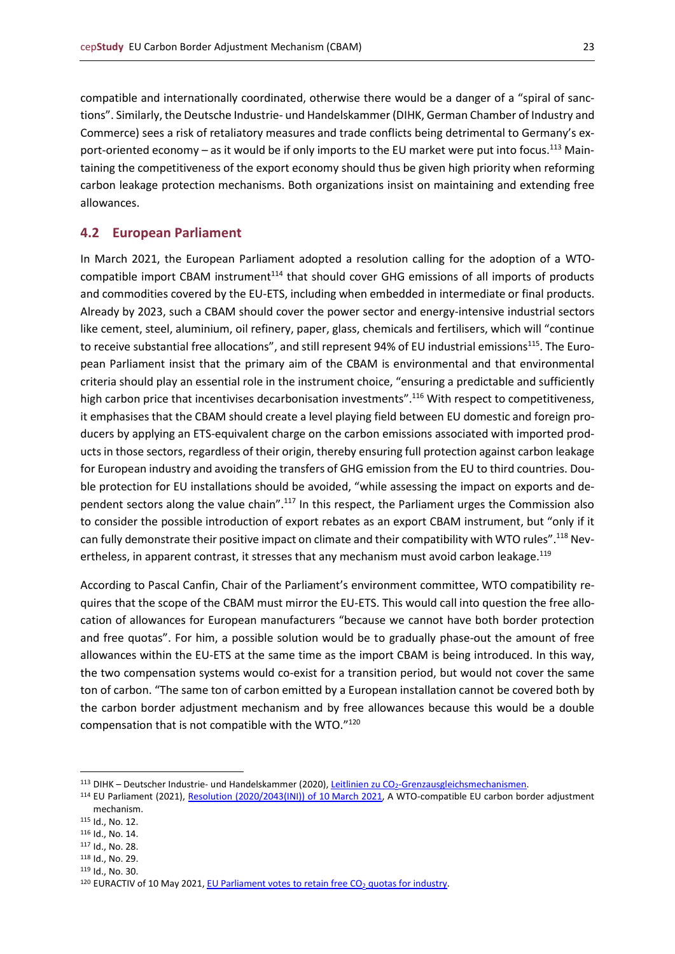compatible and internationally coordinated, otherwise there would be a danger of a "spiral of sanctions". Similarly, the Deutsche Industrie- und Handelskammer (DIHK, German Chamber of Industry and Commerce) sees a risk of retaliatory measures and trade conflicts being detrimental to Germany's export-oriented economy – as it would be if only imports to the EU market were put into focus.<sup>113</sup> Maintaining the competitiveness of the export economy should thus be given high priority when reforming carbon leakage protection mechanisms. Both organizations insist on maintaining and extending free allowances.

#### <span id="page-22-0"></span>**4.2 European Parliament**

In March 2021, the European Parliament adopted a resolution calling for the adoption of a WTOcompatible import CBAM instrument $114$  that should cover GHG emissions of all imports of products and commodities covered by the EU-ETS, including when embedded in intermediate or final products. Already by 2023, such a CBAM should cover the power sector and energy-intensive industrial sectors like cement, steel, aluminium, oil refinery, paper, glass, chemicals and fertilisers, which will "continue to receive substantial free allocations", and still represent 94% of EU industrial emissions<sup>115</sup>. The European Parliament insist that the primary aim of the CBAM is environmental and that environmental criteria should play an essential role in the instrument choice, "ensuring a predictable and sufficiently high carbon price that incentivises decarbonisation investments".<sup>116</sup> With respect to competitiveness, it emphasises that the CBAM should create a level playing field between EU domestic and foreign producers by applying an ETS-equivalent charge on the carbon emissions associated with imported products in those sectors, regardless of their origin, thereby ensuring full protection against carbon leakage for European industry and avoiding the transfers of GHG emission from the EU to third countries. Double protection for EU installations should be avoided, "while assessing the impact on exports and dependent sectors along the value chain".<sup>117</sup> In this respect, the Parliament urges the Commission also to consider the possible introduction of export rebates as an export CBAM instrument, but "only if it can fully demonstrate their positive impact on climate and their compatibility with WTO rules".<sup>118</sup> Nevertheless, in apparent contrast, it stresses that any mechanism must avoid carbon leakage.<sup>119</sup>

According to Pascal Canfin, Chair of the Parliament's environment committee, WTO compatibility requires that the scope of the CBAM must mirror the EU-ETS. This would call into question the free allocation of allowances for European manufacturers "because we cannot have both border protection and free quotas". For him, a possible solution would be to gradually phase-out the amount of free allowances within the EU-ETS at the same time as the import CBAM is being introduced. In this way, the two compensation systems would co-exist for a transition period, but would not cover the same ton of carbon. "The same ton of carbon emitted by a European installation cannot be covered both by the carbon border adjustment mechanism and by free allowances because this would be a double compensation that is not compatible with the WTO."<sup>120</sup>

<sup>113</sup> DIHK – Deutscher Industrie- und Handelskammer (2020), Leitlinien zu CO<sub>2</sub>[-Grenzausgleichsmechanismen.](https://www.dihk.de/resource/blob/22524/e2c41a819a97e0ee2a4ae27f0613446b/dihk-leitlinien-co2-grenzausgleich-de-en-data.pdf)

<sup>114</sup> EU Parliament (2021), [Resolution \(2020/2043\(INI\)\) of 10](https://www.europarl.europa.eu/doceo/document/TA-9-2021-0071_EN.html) March 2021, A WTO-compatible EU carbon border adjustment mechanism.

<sup>115</sup> Id., No. 12.

<sup>116</sup> Id., No. 14.

<sup>117</sup> Id., No. 28.

<sup>118</sup> Id., No. 29.

<sup>119</sup> Id., No. 30.

<sup>&</sup>lt;sup>120</sup> EURACTIV of 10 May 2021, EU Parliament votes to retain free  $CO<sub>2</sub>$  quotas for industry.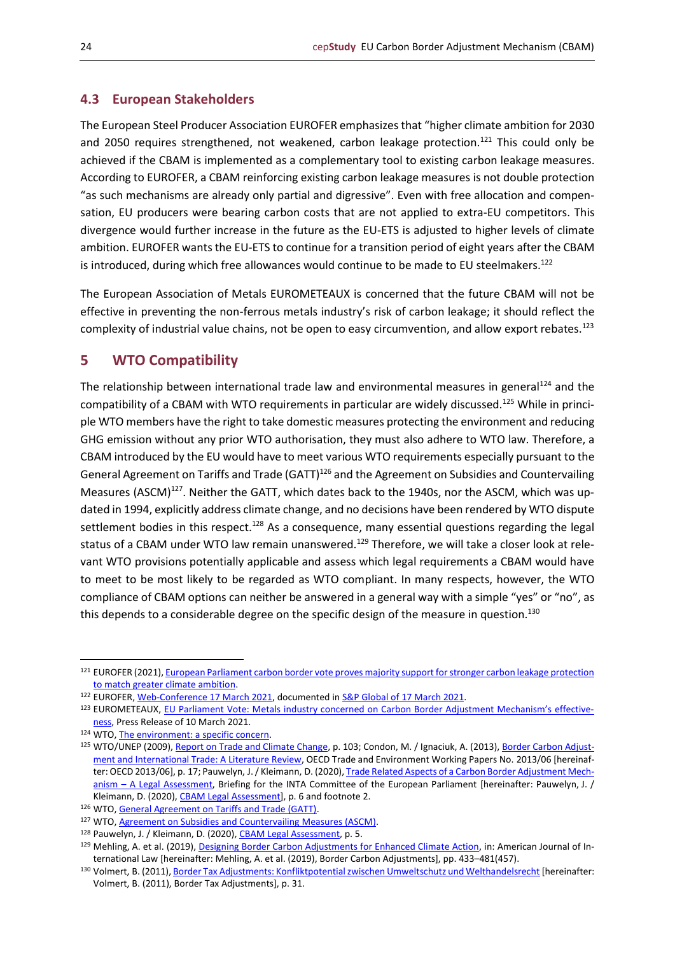## <span id="page-23-0"></span>**4.3 European Stakeholders**

The European Steel Producer Association EUROFER emphasizes that "higher climate ambition for 2030 and 2050 requires strengthened, not weakened, carbon leakage protection.<sup>121</sup> This could only be achieved if the CBAM is implemented as a complementary tool to existing carbon leakage measures. According to EUROFER, a CBAM reinforcing existing carbon leakage measures is not double protection "as such mechanisms are already only partial and digressive". Even with free allocation and compensation, EU producers were bearing carbon costs that are not applied to extra-EU competitors. This divergence would further increase in the future as the EU-ETS is adjusted to higher levels of climate ambition. EUROFER wants the EU-ETS to continue for a transition period of eight years after the CBAM is introduced, during which free allowances would continue to be made to EU steelmakers.<sup>122</sup>

The European Association of Metals EUROMETEAUX is concerned that the future CBAM will not be effective in preventing the non-ferrous metals industry's risk of carbon leakage; it should reflect the complexity of industrial value chains, not be open to easy circumvention, and allow export rebates.<sup>123</sup>

## <span id="page-23-1"></span>**5 WTO Compatibility**

The relationship between international trade law and environmental measures in general<sup>124</sup> and the compatibility of a CBAM with WTO requirements in particular are widely discussed.<sup>125</sup> While in principle WTO members have the right to take domestic measures protecting the environment and reducing GHG emission without any prior WTO authorisation, they must also adhere to WTO law. Therefore, a CBAM introduced by the EU would have to meet various WTO requirements especially pursuant to the General Agreement on Tariffs and Trade  $(GATT)^{126}$  and the Agreement on Subsidies and Countervailing Measures (ASCM)<sup>127</sup>. Neither the GATT, which dates back to the 1940s, nor the ASCM, which was updated in 1994, explicitly address climate change, and no decisions have been rendered by WTO dispute settlement bodies in this respect.<sup>128</sup> As a consequence, many essential questions regarding the legal status of a CBAM under WTO law remain unanswered.<sup>129</sup> Therefore, we will take a closer look at relevant WTO provisions potentially applicable and assess which legal requirements a CBAM would have to meet to be most likely to be regarded as WTO compliant. In many respects, however, the WTO compliance of CBAM options can neither be answered in a general way with a simple "yes" or "no", as this depends to a considerable degree on the specific design of the measure in question.<sup>130</sup>

<sup>121</sup> EUROFER (2021), European Parliament carbon border vote proves majority support for stronger carbon leakage protection [to match greater climate ambition.](https://www.eurofer.eu/press-releases/european-parliament-carbon-border-vote-proves-majority-support-for-stronger-carbon-leakage-protection-to-match-greater-climate-ambition/)

<sup>122</sup> EUROFER, [Web-Conference 17 March 2021,](https://www.eurofer.eu/news/watch-the-eurofer-engage-webinar-making-sense-of-eu-climate-policy/) documented in [S&P Global of](https://www.spglobal.com/platts/en/market-insights/latest-news/metals/031721-carbon-border-adjustment-debate-divides-european-commission-steelmakers) 17 March 2021.

<sup>123</sup> EUROMETEAUX, [EU Parliament Vote: Metals industry concerned on Carbon Border Adjustment Mechanism's effective](https://eurometaux.eu/media/3mgmt41e/eurometaux-press-release-cbam-10-03-2021-final.pdf)[ness,](https://eurometaux.eu/media/3mgmt41e/eurometaux-press-release-cbam-10-03-2021-final.pdf) Press Release of 10 March 2021.

<sup>124</sup> WTO, [The environment: a specific concern.](https://www.wto.org/english/thewto_e/whatis_e/tif_e/bey2_e.htm) 

<sup>125</sup> WTO/UNEP (2009)[, Report on Trade and Climate Change,](https://www.wto.org/english/news_e/pres09_e/pr559_e.htm) p. 103; Condon, M. / Ignaciuk, A. (2013)[, Border Carbon Adjust](https://www.oecd-ilibrary.org/trade/border-carbon-adjustment-and-international-trade_5k3xn25b386c-en)[ment and International Trade: A Literature Review,](https://www.oecd-ilibrary.org/trade/border-carbon-adjustment-and-international-trade_5k3xn25b386c-en) OECD Trade and Environment Working Papers No. 2013/06 [hereinaf-ter: OECD 2013/06], p. 17; Pauwelyn, J. / Kleimann, D. (2020)[, Trade Related Aspects of a Carbon Border Adjustment Mech](https://www.europarl.europa.eu/cmsdata/210514/EXPO_BRI(2020)603502_EN.pdf)anism – [A Legal Assessment,](https://www.europarl.europa.eu/cmsdata/210514/EXPO_BRI(2020)603502_EN.pdf) Briefing for the INTA Committee of the European Parliament [hereinafter: Pauwelyn, J. / Kleimann, D. (2020), [CBAM Legal Assessment\]](https://www.europarl.europa.eu/cmsdata/210514/EXPO_BRI(2020)603502_EN.pdf), p. 6 and footnote 2.

<sup>126</sup> WTO[, General Agreement on Tariffs and Trade \(GATT\).](https://www.wto.org/english/docs_e/legal_e/gatt47_01_e.htm)

<sup>127</sup> WTO[, Agreement on Subsidies and Countervailing Measures](https://www.wto.org/english/docs_e/legal_e/24-scm_01_e.htm) (ASCM).

<sup>128</sup> Pauwelyn, J. / Kleimann, D. (2020), [CBAM Legal Assessment,](https://www.europarl.europa.eu/cmsdata/210514/EXPO_BRI(2020)603502_EN.pdf) p. 5.

<sup>129</sup> Mehling, A. et al. (2019)[, Designing Border Carbon Adjustments for Enhanced Climate Action,](https://www.cambridge.org/core/journals/american-journal-of-international-law/article/designing-border-carbon-adjustments-for-enhanced-climate-action/BF4266550F09E5E4A7479E09C047B984) in: American Journal of International Law [hereinafter: Mehling, A. et al. (2019), Border Carbon Adjustments], pp. 433–481(457).

<sup>130</sup> Volmert, B. (2011)[, Border Tax Adjustments: Konfliktpotential zwischen Umweltschutz und Welthandelsrecht](https://www.uni-kassel.de/upress/online/frei/978-3-86219-120-8.volltext.frei.pdf) [hereinafter: Volmert, B. (2011), Border Tax Adjustments], p. 31.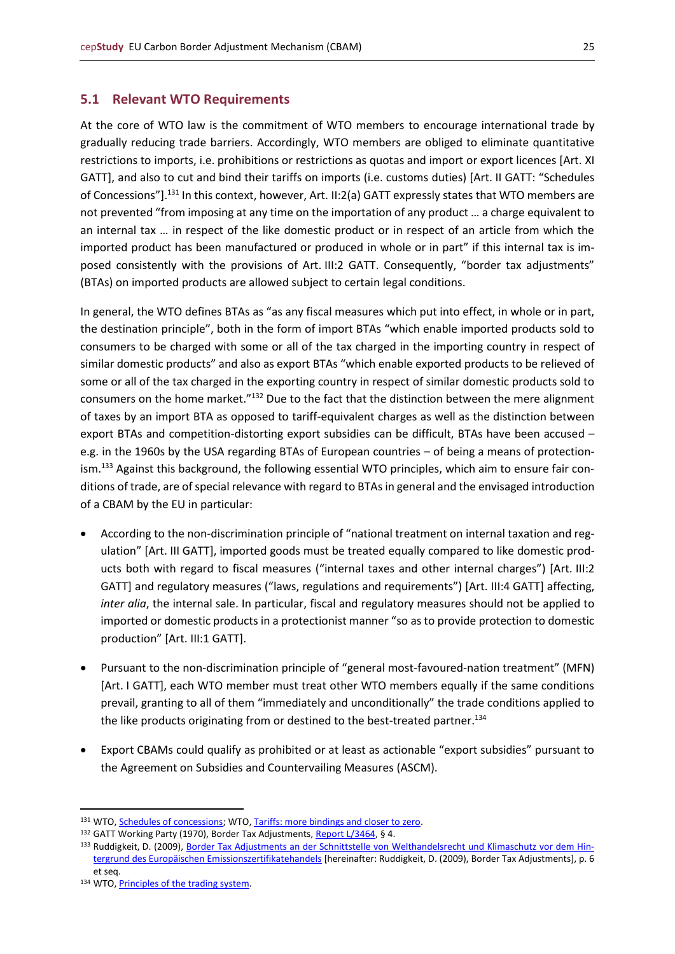## <span id="page-24-0"></span>**5.1 Relevant WTO Requirements**

At the core of WTO law is the commitment of WTO members to encourage international trade by gradually reducing trade barriers. Accordingly, WTO members are obliged to eliminate quantitative restrictions to imports, i.e. prohibitions or restrictions as quotas and import or export licences [Art. XI GATT], and also to cut and bind their tariffs on imports (i.e. customs duties) [Art. II GATT: "Schedules of Concessions"].<sup>131</sup> In this context, however, Art. II:2(a) GATT expressly states that WTO members are not prevented "from imposing at any time on the importation of any product … a charge equivalent to an internal tax … in respect of the like domestic product or in respect of an article from which the imported product has been manufactured or produced in whole or in part" if this internal tax is imposed consistently with the provisions of Art. III:2 GATT. Consequently, "border tax adjustments" (BTAs) on imported products are allowed subject to certain legal conditions.

In general, the WTO defines BTAs as "as any fiscal measures which put into effect, in whole or in part, the destination principle", both in the form of import BTAs "which enable imported products sold to consumers to be charged with some or all of the tax charged in the importing country in respect of similar domestic products" and also as export BTAs "which enable exported products to be relieved of some or all of the tax charged in the exporting country in respect of similar domestic products sold to consumers on the home market."<sup>132</sup> Due to the fact that the distinction between the mere alignment of taxes by an import BTA as opposed to tariff-equivalent charges as well as the distinction between export BTAs and competition-distorting export subsidies can be difficult, BTAs have been accused – e.g. in the 1960s by the USA regarding BTAs of European countries – of being a means of protectionism.<sup>133</sup> Against this background, the following essential WTO principles, which aim to ensure fair conditions of trade, are of special relevance with regard to BTAs in general and the envisaged introduction of a CBAM by the EU in particular:

- According to the non-discrimination principle of "national treatment on internal taxation and regulation" [Art. III GATT], imported goods must be treated equally compared to like domestic products both with regard to fiscal measures ("internal taxes and other internal charges") [Art. III:2 GATT] and regulatory measures ("laws, regulations and requirements") [Art. III:4 GATT] affecting, *inter alia*, the internal sale. In particular, fiscal and regulatory measures should not be applied to imported or domestic products in a protectionist manner "so as to provide protection to domestic production" [Art. III:1 GATT].
- Pursuant to the non-discrimination principle of "general most-favoured-nation treatment" (MFN) [Art. I GATT], each WTO member must treat other WTO members equally if the same conditions prevail, granting to all of them "immediately and unconditionally" the trade conditions applied to the like products originating from or destined to the best-treated partner.<sup>134</sup>
- Export CBAMs could qualify as prohibited or at least as actionable "export subsidies" pursuant to the Agreement on Subsidies and Countervailing Measures (ASCM).

<sup>131</sup> WTO[, Schedules of concessions;](https://www.wto.org/english/tratop_e/schedules_e/goods_schedules_e.htm) WTO[, Tariffs: more bindings and closer to zero.](https://www.wto.org/english/thewto_e/whatis_e/tif_e/agrm2_e.htm#con)

<sup>132</sup> GATT Working Party (1970), Border Tax Adjustments[, Report L/3464,](https://docs.wto.org/gattdocs/q/GG/L3799/3464.PDF) § 4.

<sup>133</sup> Ruddigkeit, D. (2009), [Border Tax Adjustments an der Schnittstelle von Welthandelsrecht und Klimaschutz vor dem Hin](https://telc.jura.uni-halle.de/sites/default/files/altbestand/Heft89.pdf)[tergrund des Europäischen Emissionszertifikatehandels](https://telc.jura.uni-halle.de/sites/default/files/altbestand/Heft89.pdf) [hereinafter: Ruddigkeit, D. (2009), Border Tax Adjustments], p. 6 et seq.

<sup>134</sup> WTO, [Principles of the trading system.](https://www.wto.org/english/thewto_e/whatis_e/tif_e/fact2_e.htm#seebox)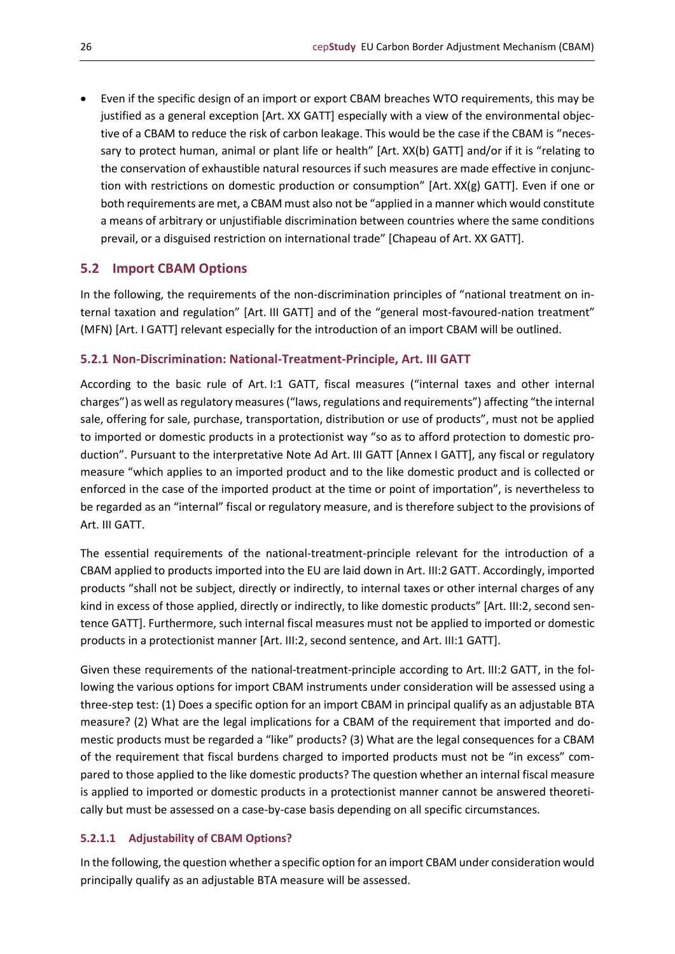• Even if the specific design of an import or export CBAM breaches WTO requirements, this may be justified as a general exception [Art. XX GATT] especially with a view of the environmental objective of a CBAM to reduce the risk of carbon leakage. This would be the case if the CBAM is "necessary to protect human, animal or plant life or health" [Art. XX(b) GATT] and/or if it is "relating to the conservation of exhaustible natural resources if such measures are made effective in conjunction with restrictions on domestic production or consumption" [Art. XX(g) GATT]. Even if one or both requirements are met, a CBAM must also not be "applied in a manner which would constitute a means of arbitrary or unjustifiable discrimination between countries where the same conditions prevail, or a disguised restriction on international trade" [Chapeau of Art. XX GATT].

## <span id="page-25-0"></span>**5.2 Import CBAM Options**

In the following, the requirements of the non-discrimination principles of "national treatment on internal taxation and regulation" [Art. III GATT] and of the "general most-favoured-nation treatment" (MFN) [Art. I GATT] relevant especially for the introduction of an import CBAM will be outlined.

## <span id="page-25-1"></span>**5.2.1 Non-Discrimination: National-Treatment-Principle, Art. III GATT**

According to the basic rule of Art. I:1 GATT, fiscal measures ("internal taxes and other internal charges") as well as regulatory measures ("laws, regulations and requirements") affecting "the internal sale, offering for sale, purchase, transportation, distribution or use of products", must not be applied to imported or domestic products in a protectionist way "so as to afford protection to domestic production". Pursuant to the interpretative Note Ad Art. III GATT [Annex I GATT], any fiscal or regulatory measure "which applies to an imported product and to the like domestic product and is collected or enforced in the case of the imported product at the time or point of importation", is nevertheless to be regarded as an "internal" fiscal or regulatory measure, and is therefore subject to the provisions of Art. III GATT.

The essential requirements of the national-treatment-principle relevant for the introduction of a CBAM applied to products imported into the EU are laid down in Art. III:2 GATT. Accordingly, imported products "shall not be subject, directly or indirectly, to internal taxes or other internal charges of any kind in excess of those applied, directly or indirectly, to like domestic products" [Art. III:2, second sentence GATT]. Furthermore, such internal fiscal measures must not be applied to imported or domestic products in a protectionist manner [Art. III:2, second sentence, and Art. III:1 GATT].

Given these requirements of the national-treatment-principle according to Art. III:2 GATT, in the following the various options for import CBAM instruments under consideration will be assessed using a three-step test: (1) Does a specific option for an import CBAM in principal qualify as an adjustable BTA measure? (2) What are the legal implications for a CBAM of the requirement that imported and domestic products must be regarded a "like" products? (3) What are the legal consequences for a CBAM of the requirement that fiscal burdens charged to imported products must not be "in excess" compared to those applied to the like domestic products? The question whether an internal fiscal measure is applied to imported or domestic products in a protectionist manner cannot be answered theoretically but must be assessed on a case-by-case basis depending on all specific circumstances.

## <span id="page-25-2"></span>**5.2.1.1 Adjustability of CBAM Options?**

In the following, the question whether a specific option for an import CBAM under consideration would principally qualify as an adjustable BTA measure will be assessed.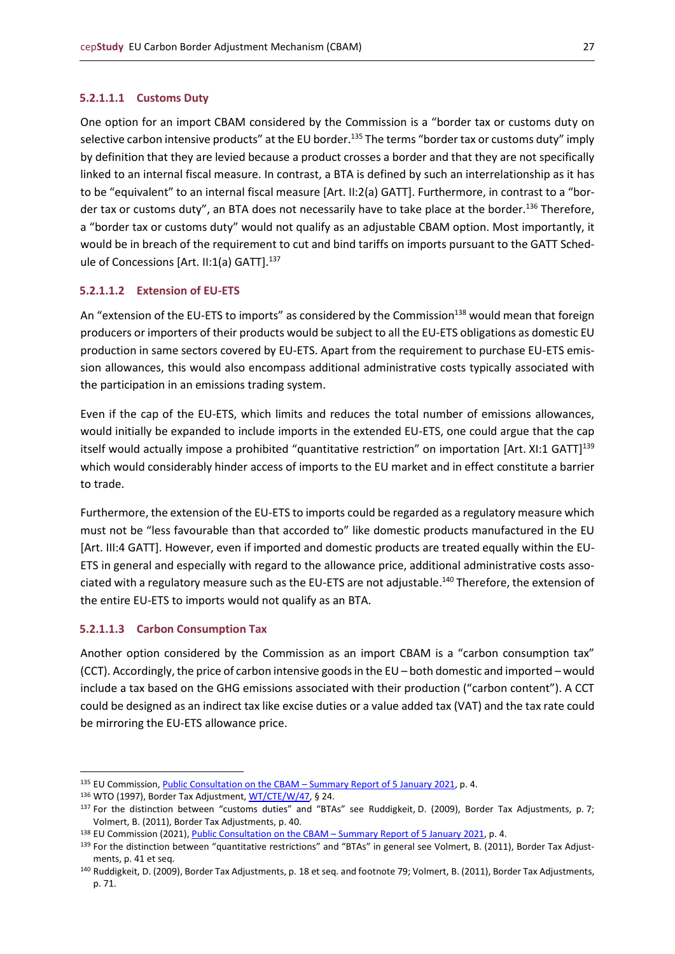#### **5.2.1.1.1 Customs Duty**

One option for an import CBAM considered by the Commission is a "border tax or customs duty on selective carbon intensive products" at the EU border.<sup>135</sup> The terms "border tax or customs duty" imply by definition that they are levied because a product crosses a border and that they are not specifically linked to an internal fiscal measure. In contrast, a BTA is defined by such an interrelationship as it has to be "equivalent" to an internal fiscal measure [Art. II:2(a) GATT]. Furthermore, in contrast to a "border tax or customs duty", an BTA does not necessarily have to take place at the border.<sup>136</sup> Therefore, a "border tax or customs duty" would not qualify as an adjustable CBAM option. Most importantly, it would be in breach of the requirement to cut and bind tariffs on imports pursuant to the GATT Schedule of Concessions [Art. II:1(a) GATT].<sup>137</sup>

## **5.2.1.1.2 Extension of EU-ETS**

An "extension of the EU-ETS to imports" as considered by the Commission<sup>138</sup> would mean that foreign producers or importers of their products would be subject to all the EU-ETS obligations as domestic EU production in same sectors covered by EU-ETS. Apart from the requirement to purchase EU-ETS emission allowances, this would also encompass additional administrative costs typically associated with the participation in an emissions trading system.

Even if the cap of the EU-ETS, which limits and reduces the total number of emissions allowances, would initially be expanded to include imports in the extended EU-ETS, one could argue that the cap itself would actually impose a prohibited "quantitative restriction" on importation [Art. XI:1 GATT]<sup>139</sup> which would considerably hinder access of imports to the EU market and in effect constitute a barrier to trade.

Furthermore, the extension of the EU-ETS to imports could be regarded as a regulatory measure which must not be "less favourable than that accorded to" like domestic products manufactured in the EU [Art. III:4 GATT]. However, even if imported and domestic products are treated equally within the EU-ETS in general and especially with regard to the allowance price, additional administrative costs associated with a regulatory measure such as the EU-ETS are not adjustable.<sup>140</sup> Therefore, the extension of the entire EU-ETS to imports would not qualify as an BTA.

#### **5.2.1.1.3 Carbon Consumption Tax**

Another option considered by the Commission as an import CBAM is a "carbon consumption tax" (CCT). Accordingly, the price of carbon intensive goods in the EU – both domestic and imported – would include a tax based on the GHG emissions associated with their production ("carbon content"). A CCT could be designed as an indirect tax like excise duties or a value added tax (VAT) and the tax rate could be mirroring the EU-ETS allowance price.

<sup>135</sup> EU Commission[, Public Consultation on the CBAM](https://ec.europa.eu/info/law/better-regulation/have-your-say/initiatives/12228-Carbon-Border-Adjustment-Mechanism/public-consultation_en) – Summary Report of 5 January 2021, p. 4.

<sup>136</sup> WTO (1997), Border Tax Adjustment[, WT/CTE/W/47,](https://docs.wto.org/dol2fe/Pages/SS/directdoc.aspx?filename=Q:/WT/CTE/W47.pdf&Open=True) § 24.

<sup>137</sup> For the distinction between "customs duties" and "BTAs" see Ruddigkeit, D. (2009), Border Tax Adjustments, p. 7; Volmert, B. (2011), Border Tax Adjustments, p. 40.

<sup>138</sup> EU Commission (2021)[, Public Consultation on the CBAM](https://ec.europa.eu/info/law/better-regulation/have-your-say/initiatives/12228-Carbon-Border-Adjustment-Mechanism/public-consultation_en) - Summary Report of 5 January 2021, p. 4.

<sup>139</sup> For the distinction between "quantitative restrictions" and "BTAs" in general see Volmert, B. (2011), Border Tax Adjustments, p. 41 et seq.

<sup>140</sup> Ruddigkeit, D. (2009), Border Tax Adjustments, p. 18 et seq. and footnote 79; Volmert, B. (2011), Border Tax Adjustments, p. 71.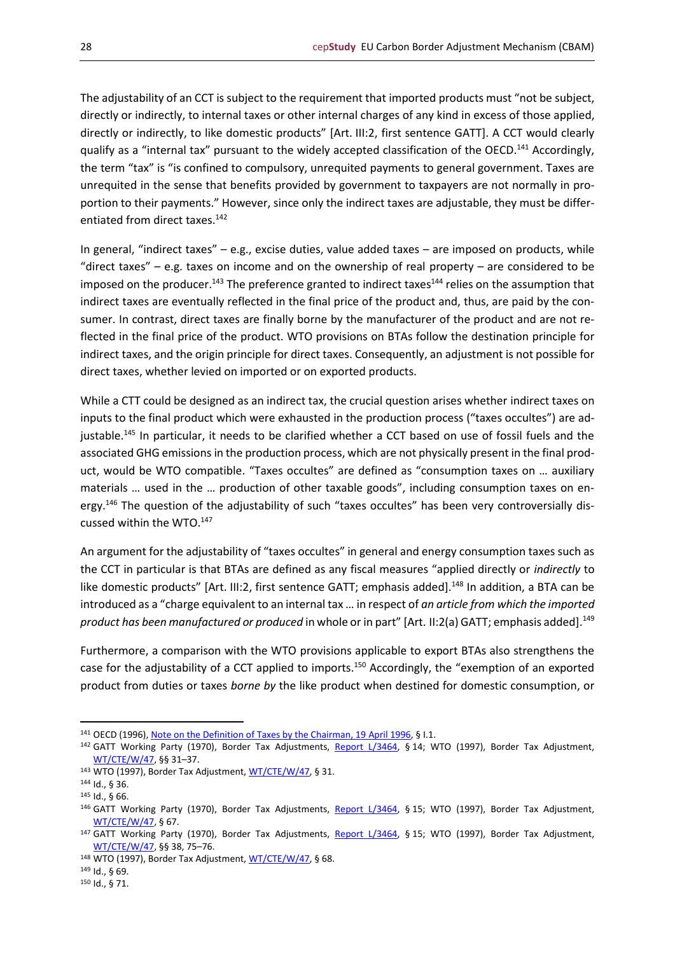The adjustability of an CCT is subject to the requirement that imported products must "not be subject, directly or indirectly, to internal taxes or other internal charges of any kind in excess of those applied, directly or indirectly, to like domestic products" [Art. III:2, first sentence GATT]. A CCT would clearly qualify as a "internal tax" pursuant to the widely accepted classification of the OECD.<sup>141</sup> Accordingly, the term "tax" is "is confined to compulsory, unrequited payments to general government. Taxes are unrequited in the sense that benefits provided by government to taxpayers are not normally in proportion to their payments." However, since only the indirect taxes are adjustable, they must be differentiated from direct taxes.<sup>142</sup>

In general, "indirect taxes" – e.g., excise duties, value added taxes – are imposed on products, while "direct taxes" – e.g. taxes on income and on the ownership of real property – are considered to be imposed on the producer.<sup>143</sup> The preference granted to indirect taxes<sup>144</sup> relies on the assumption that indirect taxes are eventually reflected in the final price of the product and, thus, are paid by the consumer. In contrast, direct taxes are finally borne by the manufacturer of the product and are not reflected in the final price of the product. WTO provisions on BTAs follow the destination principle for indirect taxes, and the origin principle for direct taxes. Consequently, an adjustment is not possible for direct taxes, whether levied on imported or on exported products.

While a CTT could be designed as an indirect tax, the crucial question arises whether indirect taxes on inputs to the final product which were exhausted in the production process ("taxes occultes") are adjustable.<sup>145</sup> In particular, it needs to be clarified whether a CCT based on use of fossil fuels and the associated GHG emissions in the production process, which are not physically present in the final product, would be WTO compatible. "Taxes occultes" are defined as "consumption taxes on … auxiliary materials … used in the … production of other taxable goods", including consumption taxes on energy.<sup>146</sup> The question of the adjustability of such "taxes occultes" has been very controversially discussed within the WTO.<sup>147</sup>

An argument for the adjustability of "taxes occultes" in general and energy consumption taxes such as the CCT in particular is that BTAs are defined as any fiscal measures "applied directly or *indirectly* to like domestic products" [Art. III:2, first sentence GATT; emphasis added].<sup>148</sup> In addition, a BTA can be introduced as a "charge equivalent to an internal tax … in respect of *an article from which the imported product has been manufactured or produced* in whole or in part" [Art. II:2(a) GATT; emphasis added].<sup>149</sup>

Furthermore, a comparison with the WTO provisions applicable to export BTAs also strengthens the case for the adjustability of a CCT applied to imports.<sup>150</sup> Accordingly, the "exemption of an exported product from duties or taxes *borne by* the like product when destined for domestic consumption, or

<sup>141</sup> OECD (1996)[, Note on the Definition of Taxes by the Chairman, 19](https://www.oecd.org/daf/mai/pdf/eg2/eg2963e.pdf) April 1996, § I.1.

<sup>142</sup> GATT Working Party (1970), Border Tax Adjustments, [Report L/3464,](https://docs.wto.org/gattdocs/q/GG/L3799/3464.PDF) § 14; WTO (1997), Border Tax Adjustment, [WT/CTE/W/47,](https://docs.wto.org/dol2fe/Pages/SS/directdoc.aspx?filename=Q:/WT/CTE/W47.pdf&Open=True) §§ 31–37.

<sup>143</sup> WTO (1997), Border Tax Adjustment[, WT/CTE/W/47,](https://docs.wto.org/dol2fe/Pages/SS/directdoc.aspx?filename=Q:/WT/CTE/W47.pdf&Open=True) § 31.

<sup>144</sup> Id., § 36.

<sup>145</sup> Id., § 66.

<sup>146</sup> GATT Working Party (1970), Border Tax Adjustments, [Report L/3464,](https://docs.wto.org/gattdocs/q/GG/L3799/3464.PDF) § 15; WTO (1997), Border Tax Adjustment, [WT/CTE/W/47,](https://docs.wto.org/dol2fe/Pages/SS/directdoc.aspx?filename=Q:/WT/CTE/W47.pdf&Open=True) § 67.

<sup>147</sup> GATT Working Party (1970), Border Tax Adjustments, [Report L/3464,](https://docs.wto.org/gattdocs/q/GG/L3799/3464.PDF) § 15; WTO (1997), Border Tax Adjustment, [WT/CTE/W/47,](https://docs.wto.org/dol2fe/Pages/SS/directdoc.aspx?filename=Q:/WT/CTE/W47.pdf&Open=True) §§ 38, 75–76.

<sup>148</sup> WTO (1997), Border Tax Adjustment[, WT/CTE/W/47,](https://docs.wto.org/dol2fe/Pages/SS/directdoc.aspx?filename=Q:/WT/CTE/W47.pdf&Open=True) § 68.

<sup>149</sup> Id., § 69.

<sup>150</sup> Id., § 71.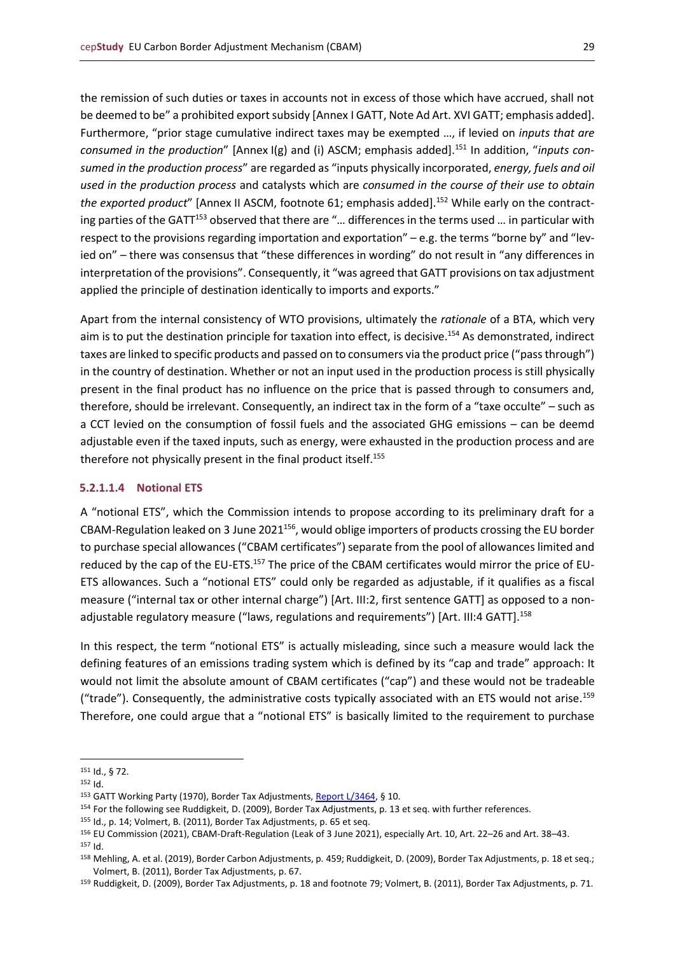the remission of such duties or taxes in accounts not in excess of those which have accrued, shall not be deemed to be" a prohibited export subsidy [Annex I GATT, Note Ad Art. XVI GATT; emphasis added]. Furthermore, "prior stage cumulative indirect taxes may be exempted …, if levied on *inputs that are*  consumed in the production" [Annex I(g) and (i) ASCM; emphasis added].<sup>151</sup> In addition, "*inputs consumed in the production process*" are regarded as "inputs physically incorporated, *energy, fuels and oil used in the production process* and catalysts which are *consumed in the course of their use to obtain the exported product*" [Annex II ASCM, footnote 61; emphasis added].<sup>152</sup> While early on the contracting parties of the GATT<sup>153</sup> observed that there are "... differences in the terms used ... in particular with respect to the provisions regarding importation and exportation" – e.g. the terms "borne by" and "levied on" – there was consensus that "these differences in wording" do not result in "any differences in interpretation of the provisions". Consequently, it "was agreed that GATT provisions on tax adjustment applied the principle of destination identically to imports and exports."

Apart from the internal consistency of WTO provisions, ultimately the *rationale* of a BTA, which very aim is to put the destination principle for taxation into effect, is decisive.<sup>154</sup> As demonstrated, indirect taxes are linked to specific products and passed on to consumers via the product price ("pass through") in the country of destination. Whether or not an input used in the production process is still physically present in the final product has no influence on the price that is passed through to consumers and, therefore, should be irrelevant. Consequently, an indirect tax in the form of a "taxe occulte" – such as a CCT levied on the consumption of fossil fuels and the associated GHG emissions – can be deemd adjustable even if the taxed inputs, such as energy, were exhausted in the production process and are therefore not physically present in the final product itself.<sup>155</sup>

## **5.2.1.1.4 Notional ETS**

A "notional ETS", which the Commission intends to propose according to its preliminary draft for a CBAM-Regulation leaked on 3 June 2021 $^{156}$ , would oblige importers of products crossing the EU border to purchase special allowances ("CBAM certificates") separate from the pool of allowances limited and reduced by the cap of the EU-ETS.<sup>157</sup> The price of the CBAM certificates would mirror the price of EU-ETS allowances. Such a "notional ETS" could only be regarded as adjustable, if it qualifies as a fiscal measure ("internal tax or other internal charge") [Art. III:2, first sentence GATT] as opposed to a nonadjustable regulatory measure ("laws, regulations and requirements") [Art. III:4 GATT].<sup>158</sup>

In this respect, the term "notional ETS" is actually misleading, since such a measure would lack the defining features of an emissions trading system which is defined by its "cap and trade" approach: It would not limit the absolute amount of CBAM certificates ("cap") and these would not be tradeable ("trade"). Consequently, the administrative costs typically associated with an ETS would not arise.<sup>159</sup> Therefore, one could argue that a "notional ETS" is basically limited to the requirement to purchase

<sup>151</sup> Id., § 72.

<sup>152</sup> Id.

<sup>153</sup> GATT Working Party (1970), Border Tax Adjustments[, Report L/3464,](https://docs.wto.org/gattdocs/q/GG/L3799/3464.PDF) § 10.

<sup>154</sup> For the following see Ruddigkeit, D. (2009), Border Tax Adjustments, p. 13 et seq. with further references.

<sup>155</sup> Id., p. 14; Volmert, B. (2011), Border Tax Adjustments, p. 65 et seq.

<sup>156</sup> EU Commission (2021), CBAM-Draft-Regulation (Leak of 3 June 2021), especially Art. 10, Art. 22–26 and Art. 38–43.

<sup>157</sup> Id.

<sup>158</sup> Mehling, A. et al. (2019), Border Carbon Adjustments, p. 459; Ruddigkeit, D. (2009), Border Tax Adjustments, p. 18 et seq.; Volmert, B. (2011), Border Tax Adjustments, p. 67.

<sup>159</sup> Ruddigkeit, D. (2009), Border Tax Adjustments, p. 18 and footnote 79; Volmert, B. (2011), Border Tax Adjustments, p. 71.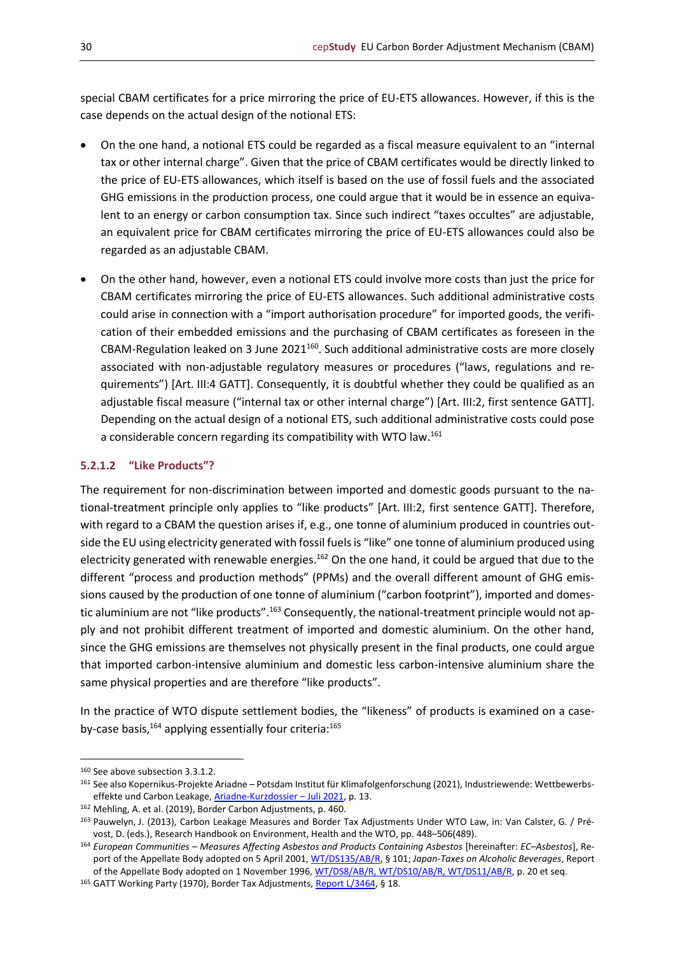special CBAM certificates for a price mirroring the price of EU-ETS allowances. However, if this is the case depends on the actual design of the notional ETS:

- On the one hand, a notional ETS could be regarded as a fiscal measure equivalent to an "internal tax or other internal charge". Given that the price of CBAM certificates would be directly linked to the price of EU-ETS allowances, which itself is based on the use of fossil fuels and the associated GHG emissions in the production process, one could argue that it would be in essence an equivalent to an energy or carbon consumption tax. Since such indirect "taxes occultes" are adjustable, an equivalent price for CBAM certificates mirroring the price of EU-ETS allowances could also be regarded as an adjustable CBAM.
- On the other hand, however, even a notional ETS could involve more costs than just the price for CBAM certificates mirroring the price of EU-ETS allowances. Such additional administrative costs could arise in connection with a "import authorisation procedure" for imported goods, the verification of their embedded emissions and the purchasing of CBAM certificates as foreseen in the CBAM-Regulation leaked on 3 June  $2021^{160}$ . Such additional administrative costs are more closely associated with non-adjustable regulatory measures or procedures ("laws, regulations and requirements") [Art. III:4 GATT]. Consequently, it is doubtful whether they could be qualified as an adjustable fiscal measure ("internal tax or other internal charge") [Art. III:2, first sentence GATT]. Depending on the actual design of a notional ETS, such additional administrative costs could pose a considerable concern regarding its compatibility with WTO law.<sup>161</sup>

## <span id="page-29-0"></span>**5.2.1.2 "Like Products"?**

The requirement for non-discrimination between imported and domestic goods pursuant to the national-treatment principle only applies to "like products" [Art. III:2, first sentence GATT]. Therefore, with regard to a CBAM the question arises if, e.g., one tonne of aluminium produced in countries outside the EU using electricity generated with fossil fuels is "like" one tonne of aluminium produced using electricity generated with renewable energies.<sup>162</sup> On the one hand, it could be argued that due to the different "process and production methods" (PPMs) and the overall different amount of GHG emissions caused by the production of one tonne of aluminium ("carbon footprint"), imported and domestic aluminium are not "like products".<sup>163</sup> Consequently, the national-treatment principle would not apply and not prohibit different treatment of imported and domestic aluminium. On the other hand, since the GHG emissions are themselves not physically present in the final products, one could argue that imported carbon-intensive aluminium and domestic less carbon-intensive aluminium share the same physical properties and are therefore "like products".

In the practice of WTO dispute settlement bodies, the "likeness" of products is examined on a caseby-case basis, $164$  applying essentially four criteria: $165$ 

<sup>165</sup> GATT Working Party (1970), Border Tax Adjustments[, Report L/3464,](https://docs.wto.org/gattdocs/q/GG/L3799/3464.PDF) § 18.

<sup>160</sup> See above subsection 3.3.1.2.

<sup>161</sup> See also Kopernikus-Projekte Ariadne – Potsdam Institut für Klimafolgenforschung (2021), Industriewende: Wettbewerbs-effekte und Carbon Leakage, [Ariadne-Kurzdossier](https://ariadneprojekt.de/publikation/kurzdossier-carbonleakage/) - Juli 2021, p. 13.

<sup>162</sup> Mehling, A. et al. (2019), Border Carbon Adjustments, p. 460.

<sup>163</sup> Pauwelyn, J. (2013), Carbon Leakage Measures and Border Tax Adjustments Under WTO Law, in: Van Calster, G. / Prévost, D. (eds.), Research Handbook on Environment, Health and the WTO, pp. 448–506(489).

<sup>164</sup> *European Communities – Measures Affecting Asbestos and Products Containing Asbestos* [hereinafter: *EC–Asbestos*], Report of the Appellate Body adopted on 5 April 2001[, WT/DS135/AB/R,](https://docs.wto.org/dol2fe/Pages/SS/directdoc.aspx?filename=Q:/WT/DS/135ABR.pdf&Open=True) § 101; *Japan-Taxes on Alcoholic Beverages*, Report of the Appellate Body adopted on 1 November 1996[, WT/DS8/AB/R, WT/DS10/AB/R, WT/DS11/AB/R,](https://docs.wto.org/dol2fe/Pages/SS/directdoc.aspx?filename=Q:/WT/DS/8ABR.pdf&Open=True) p. 20 et seq.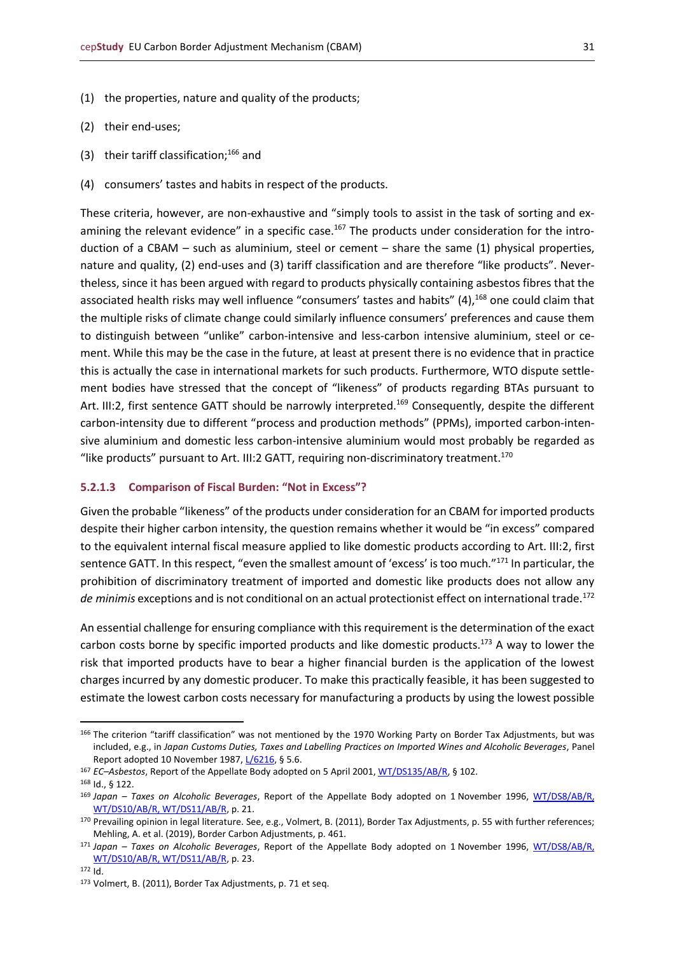- (1) the properties, nature and quality of the products;
- (2) their end-uses;
- (3) their tariff classification; $166$  and
- (4) consumers' tastes and habits in respect of the products.

These criteria, however, are non-exhaustive and "simply tools to assist in the task of sorting and examining the relevant evidence" in a specific case.<sup>167</sup> The products under consideration for the introduction of a CBAM – such as aluminium, steel or cement – share the same (1) physical properties, nature and quality, (2) end-uses and (3) tariff classification and are therefore "like products". Nevertheless, since it has been argued with regard to products physically containing asbestos fibres that the associated health risks may well influence "consumers' tastes and habits" (4),<sup>168</sup> one could claim that the multiple risks of climate change could similarly influence consumers' preferences and cause them to distinguish between "unlike" carbon-intensive and less-carbon intensive aluminium, steel or cement. While this may be the case in the future, at least at present there is no evidence that in practice this is actually the case in international markets for such products. Furthermore, WTO dispute settlement bodies have stressed that the concept of "likeness" of products regarding BTAs pursuant to Art. III:2, first sentence GATT should be narrowly interpreted.<sup>169</sup> Consequently, despite the different carbon-intensity due to different "process and production methods" (PPMs), imported carbon-intensive aluminium and domestic less carbon-intensive aluminium would most probably be regarded as "like products" pursuant to Art. III:2 GATT, requiring non-discriminatory treatment.<sup>170</sup>

#### <span id="page-30-0"></span>**5.2.1.3 Comparison of Fiscal Burden: "Not in Excess"?**

Given the probable "likeness" of the products under consideration for an CBAM for imported products despite their higher carbon intensity, the question remains whether it would be "in excess" compared to the equivalent internal fiscal measure applied to like domestic products according to Art. III:2, first sentence GATT. In this respect, "even the smallest amount of 'excess' is too much."<sup>171</sup> In particular, the prohibition of discriminatory treatment of imported and domestic like products does not allow any *de minimis* exceptions and is not conditional on an actual protectionist effect on international trade.<sup>172</sup>

An essential challenge for ensuring compliance with this requirement is the determination of the exact carbon costs borne by specific imported products and like domestic products.<sup>173</sup> A way to lower the risk that imported products have to bear a higher financial burden is the application of the lowest charges incurred by any domestic producer. To make this practically feasible, it has been suggested to estimate the lowest carbon costs necessary for manufacturing a products by using the lowest possible

<sup>&</sup>lt;sup>166</sup> The criterion "tariff classification" was not mentioned by the 1970 Working Party on Border Tax Adjustments, but was included, e.g., in *Japan Customs Duties, Taxes and Labelling Practices on Imported Wines and Alcoholic Beverages*, Panel Report adopted 10 November 1987[, L/6216,](https://www.wto.org/english/tratop_e/dispu_e/gt47ds_e.htm) § 5.6.

<sup>167</sup> *EC–Asbestos*, Report of the Appellate Body adopted on 5 April 2001[, WT/DS135/AB/R,](https://docs.wto.org/dol2fe/Pages/SS/directdoc.aspx?filename=Q:/WT/DS/135ABR.pdf&Open=True) § 102.

<sup>168</sup> Id., § 122.

<sup>169</sup> *Japan – Taxes on Alcoholic Beverages*, Report of the Appellate Body adopted on 1 November 1996, [WT/DS8/AB/R,](https://docs.wto.org/dol2fe/Pages/SS/directdoc.aspx?filename=Q:/WT/DS/8ABR.pdf&Open=True)  [WT/DS10/AB/R, WT/DS11/AB/R,](https://docs.wto.org/dol2fe/Pages/SS/directdoc.aspx?filename=Q:/WT/DS/8ABR.pdf&Open=True) p. 21.

<sup>170</sup> Prevailing opinion in legal literature. See, e.g., Volmert, B. (2011), Border Tax Adjustments, p. 55 with further references; Mehling, A. et al. (2019), Border Carbon Adjustments, p. 461.

<sup>171</sup> *Japan – Taxes on Alcoholic Beverages*, Report of the Appellate Body adopted on 1 November 1996, [WT/DS8/AB/R,](https://docs.wto.org/dol2fe/Pages/SS/directdoc.aspx?filename=Q:/WT/DS/8ABR.pdf&Open=True)  [WT/DS10/AB/R, WT/DS11/AB/R,](https://docs.wto.org/dol2fe/Pages/SS/directdoc.aspx?filename=Q:/WT/DS/8ABR.pdf&Open=True) p. 23.

<sup>172</sup> Id.

<sup>173</sup> Volmert, B. (2011), Border Tax Adjustments, p. 71 et seq.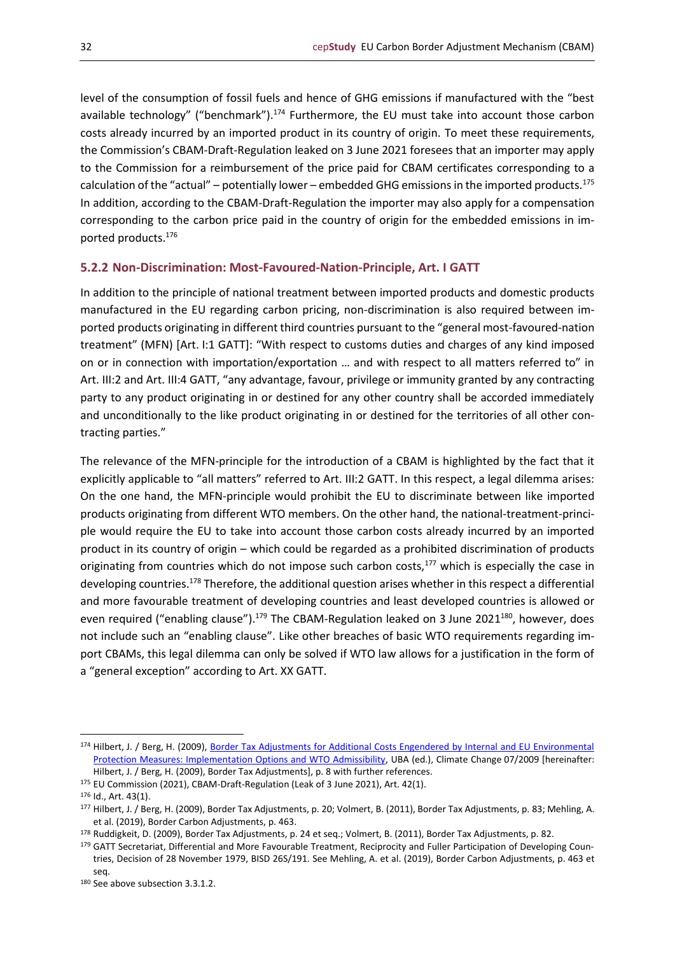level of the consumption of fossil fuels and hence of GHG emissions if manufactured with the "best available technology" ("benchmark").<sup>174</sup> Furthermore, the EU must take into account those carbon costs already incurred by an imported product in its country of origin. To meet these requirements, the Commission's CBAM-Draft-Regulation leaked on 3 June 2021 foresees that an importer may apply to the Commission for a reimbursement of the price paid for CBAM certificates corresponding to a calculation of the "actual" – potentially lower – embedded GHG emissions in the imported products.<sup>175</sup> In addition, according to the CBAM-Draft-Regulation the importer may also apply for a compensation corresponding to the carbon price paid in the country of origin for the embedded emissions in imported products.<sup>176</sup>

## <span id="page-31-0"></span>**5.2.2 Non-Discrimination: Most-Favoured-Nation-Principle, Art. I GATT**

In addition to the principle of national treatment between imported products and domestic products manufactured in the EU regarding carbon pricing, non-discrimination is also required between imported products originating in different third countries pursuant to the "general most-favoured-nation treatment" (MFN) [Art. I:1 GATT]: "With respect to customs duties and charges of any kind imposed on or in connection with importation/exportation … and with respect to all matters referred to" in Art. III:2 and Art. III:4 GATT, "any advantage, favour, privilege or immunity granted by any contracting party to any product originating in or destined for any other country shall be accorded immediately and unconditionally to the like product originating in or destined for the territories of all other contracting parties."

The relevance of the MFN-principle for the introduction of a CBAM is highlighted by the fact that it explicitly applicable to "all matters" referred to Art. III:2 GATT. In this respect, a legal dilemma arises: On the one hand, the MFN-principle would prohibit the EU to discriminate between like imported products originating from different WTO members. On the other hand, the national-treatment-principle would require the EU to take into account those carbon costs already incurred by an imported product in its country of origin – which could be regarded as a prohibited discrimination of products originating from countries which do not impose such carbon costs,<sup>177</sup> which is especially the case in developing countries.<sup>178</sup> Therefore, the additional question arises whether in this respect a differential and more favourable treatment of developing countries and least developed countries is allowed or even required ("enabling clause").<sup>179</sup> The CBAM-Regulation leaked on 3 June 2021<sup>180</sup>, however, does not include such an "enabling clause". Like other breaches of basic WTO requirements regarding import CBAMs, this legal dilemma can only be solved if WTO law allows for a justification in the form of a "general exception" according to Art. XX GATT.

<sup>174</sup> Hilbert, J. / Berg, H. (2009), Border Tax Adjustments for Additional Costs Engendered by Internal and EU Environmental [Protection Measures: Implementation Options and WTO Admissibility,](https://www.umweltbundesamt.de/sites/default/files/medien/publikation/long/3819.pdf) UBA (ed.), Climate Change 07/2009 [hereinafter: Hilbert, J. / Berg, H. (2009), Border Tax Adjustments], p. 8 with further references.

<sup>175</sup> EU Commission (2021), CBAM-Draft-Regulation (Leak of 3 June 2021), Art. 42(1).

<sup>176</sup> Id., Art. 43(1).

<sup>177</sup> Hilbert, J. / Berg, H. (2009), Border Tax Adjustments, p. 20; Volmert, B. (2011), Border Tax Adjustments, p. 83; Mehling, A. et al. (2019), Border Carbon Adjustments, p. 463.

<sup>178</sup> Ruddigkeit, D. (2009), Border Tax Adjustments, p. 24 et seq.; Volmert, B. (2011), Border Tax Adjustments, p. 82.

<sup>179</sup> GATT Secretariat, Differential and More Favourable Treatment, Reciprocity and Fuller Participation of Developing Countries, Decision of 28 November 1979, BISD 26S/191. See Mehling, A. et al. (2019), Border Carbon Adjustments, p. 463 et seq.

<sup>180</sup> See above subsection 3.3.1.2.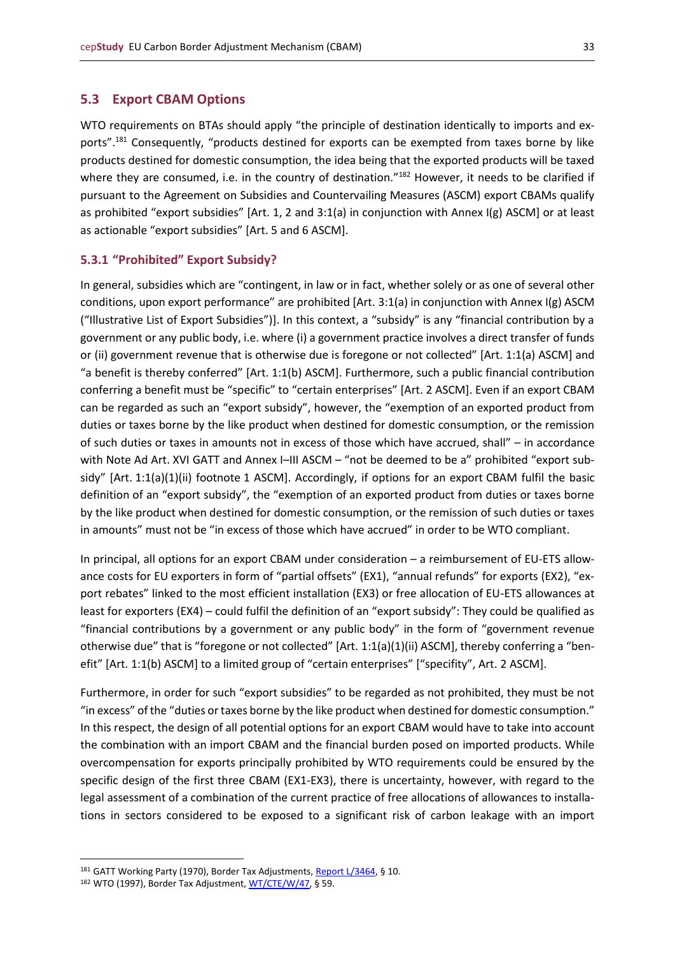#### <span id="page-32-0"></span>**5.3 Export CBAM Options**

WTO requirements on BTAs should apply "the principle of destination identically to imports and exports".<sup>181</sup> Consequently, "products destined for exports can be exempted from taxes borne by like products destined for domestic consumption, the idea being that the exported products will be taxed where they are consumed, i.e. in the country of destination."<sup>182</sup> However, it needs to be clarified if pursuant to the Agreement on Subsidies and Countervailing Measures (ASCM) export CBAMs qualify as prohibited "export subsidies" [Art. 1, 2 and 3:1(a) in conjunction with Annex I(g) ASCM] or at least as actionable "export subsidies" [Art. 5 and 6 ASCM].

## <span id="page-32-1"></span>**5.3.1 "Prohibited" Export Subsidy?**

In general, subsidies which are "contingent, in law or in fact, whether solely or as one of several other conditions, upon export performance" are prohibited [Art. 3:1(a) in conjunction with Annex I(g) ASCM ("Illustrative List of Export Subsidies")]. In this context, a "subsidy" is any "financial contribution by a government or any public body, i.e. where (i) a government practice involves a direct transfer of funds or (ii) government revenue that is otherwise due is foregone or not collected" [Art. 1:1(a) ASCM] and "a benefit is thereby conferred" [Art. 1:1(b) ASCM]. Furthermore, such a public financial contribution conferring a benefit must be "specific" to "certain enterprises" [Art. 2 ASCM]. Even if an export CBAM can be regarded as such an "export subsidy", however, the "exemption of an exported product from duties or taxes borne by the like product when destined for domestic consumption, or the remission of such duties or taxes in amounts not in excess of those which have accrued, shall" – in accordance with Note Ad Art. XVI GATT and Annex I–III ASCM – "not be deemed to be a" prohibited "export subsidy" [Art. 1:1(a)(1)(ii) footnote 1 ASCM]. Accordingly, if options for an export CBAM fulfil the basic definition of an "export subsidy", the "exemption of an exported product from duties or taxes borne by the like product when destined for domestic consumption, or the remission of such duties or taxes in amounts" must not be "in excess of those which have accrued" in order to be WTO compliant.

In principal, all options for an export CBAM under consideration – a reimbursement of EU-ETS allowance costs for EU exporters in form of "partial offsets" (EX1), "annual refunds" for exports (EX2), "export rebates" linked to the most efficient installation (EX3) or free allocation of EU-ETS allowances at least for exporters (EX4) – could fulfil the definition of an "export subsidy": They could be qualified as "financial contributions by a government or any public body" in the form of "government revenue otherwise due" that is "foregone or not collected" [Art. 1:1(a)(1)(ii) ASCM], thereby conferring a "benefit" [Art. 1:1(b) ASCM] to a limited group of "certain enterprises" ["specifity", Art. 2 ASCM].

Furthermore, in order for such "export subsidies" to be regarded as not prohibited, they must be not "in excess" of the "duties or taxes borne by the like product when destined for domestic consumption." In this respect, the design of all potential options for an export CBAM would have to take into account the combination with an import CBAM and the financial burden posed on imported products. While overcompensation for exports principally prohibited by WTO requirements could be ensured by the specific design of the first three CBAM (EX1-EX3), there is uncertainty, however, with regard to the legal assessment of a combination of the current practice of free allocations of allowances to installations in sectors considered to be exposed to a significant risk of carbon leakage with an import

<sup>181</sup> GATT Working Party (1970), Border Tax Adjustments[, Report L/3464,](https://docs.wto.org/gattdocs/q/GG/L3799/3464.PDF) § 10.

<sup>182</sup> WTO (1997), Border Tax Adjustment[, WT/CTE/W/47,](https://docs.wto.org/dol2fe/Pages/SS/directdoc.aspx?filename=Q:/WT/CTE/W47.pdf&Open=True) § 59.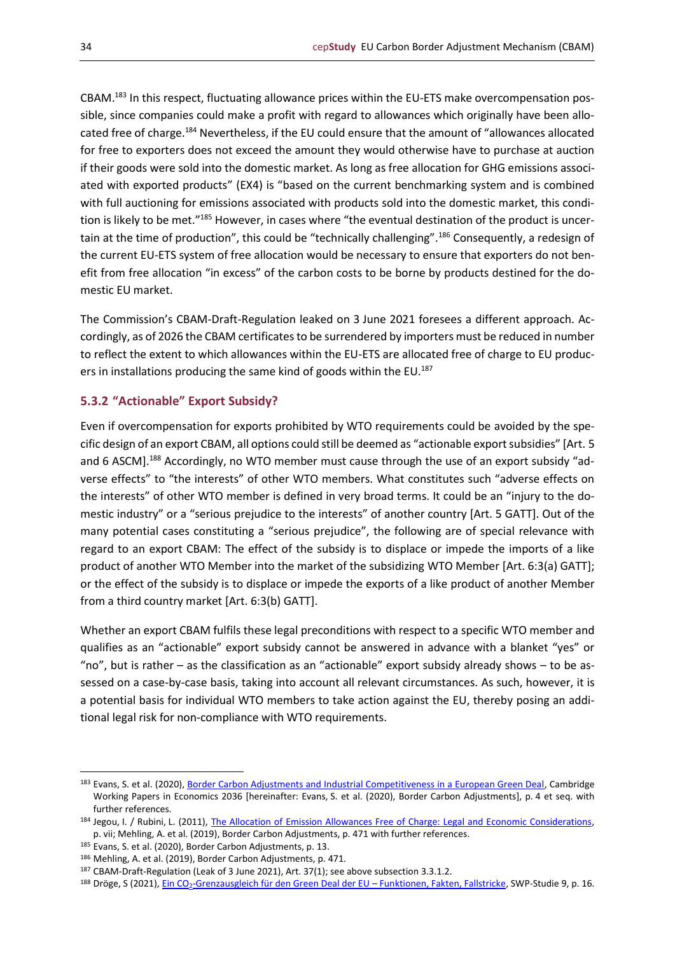CBAM.<sup>183</sup> In this respect, fluctuating allowance prices within the EU-ETS make overcompensation possible, since companies could make a profit with regard to allowances which originally have been allocated free of charge.<sup>184</sup> Nevertheless, if the EU could ensure that the amount of "allowances allocated for free to exporters does not exceed the amount they would otherwise have to purchase at auction if their goods were sold into the domestic market. As long as free allocation for GHG emissions associated with exported products" (EX4) is "based on the current benchmarking system and is combined with full auctioning for emissions associated with products sold into the domestic market, this condition is likely to be met."<sup>185</sup> However, in cases where "the eventual destination of the product is uncertain at the time of production", this could be "technically challenging".<sup>186</sup> Consequently, a redesign of the current EU-ETS system of free allocation would be necessary to ensure that exporters do not benefit from free allocation "in excess" of the carbon costs to be borne by products destined for the domestic EU market.

The Commission's CBAM-Draft-Regulation leaked on 3 June 2021 foresees a different approach. Accordingly, as of 2026 the CBAM certificates to be surrendered by importers must be reduced in number to reflect the extent to which allowances within the EU-ETS are allocated free of charge to EU producers in installations producing the same kind of goods within the EU.<sup>187</sup>

## <span id="page-33-0"></span>**5.3.2 "Actionable" Export Subsidy?**

Even if overcompensation for exports prohibited by WTO requirements could be avoided by the specific design of an export CBAM, all options could still be deemed as "actionable export subsidies" [Art. 5 and 6 ASCM].<sup>188</sup> Accordingly, no WTO member must cause through the use of an export subsidy "adverse effects" to "the interests" of other WTO members. What constitutes such "adverse effects on the interests" of other WTO member is defined in very broad terms. It could be an "injury to the domestic industry" or a "serious prejudice to the interests" of another country [Art. 5 GATT]. Out of the many potential cases constituting a "serious prejudice", the following are of special relevance with regard to an export CBAM: The effect of the subsidy is to displace or impede the imports of a like product of another WTO Member into the market of the subsidizing WTO Member [Art. 6:3(a) GATT]; or the effect of the subsidy is to displace or impede the exports of a like product of another Member from a third country market [Art. 6:3(b) GATT].

Whether an export CBAM fulfils these legal preconditions with respect to a specific WTO member and qualifies as an "actionable" export subsidy cannot be answered in advance with a blanket "yes" or "no", but is rather – as the classification as an "actionable" export subsidy already shows – to be assessed on a case-by-case basis, taking into account all relevant circumstances. As such, however, it is a potential basis for individual WTO members to take action against the EU, thereby posing an additional legal risk for non-compliance with WTO requirements.

<sup>183</sup> Evans, S. et al. (2020), [Border Carbon Adjustments and Industrial Competitiveness in a European Green Deal,](https://www.econ.cam.ac.uk/research-files/repec/cam/pdf/cwpe2036.pdf) Cambridge Working Papers in Economics 2036 [hereinafter: Evans, S. et al. (2020), Border Carbon Adjustments], p. 4 et seq. with further references.

<sup>184</sup> Jegou, I. / Rubini, L. (2011), [The Allocation of Emission Allowances Free of Charge: Legal and Economic Considerations,](https://papers.ssrn.com/sol3/papers.cfm?abstract_id=1914997) p. vii; Mehling, A. et al. (2019), Border Carbon Adjustments, p. 471 with further references.

<sup>185</sup> Evans, S. et al. (2020), Border Carbon Adjustments, p. 13.

<sup>186</sup> Mehling, A. et al. (2019), Border Carbon Adjustments, p. 471.

<sup>187</sup> CBAM-Draft-Regulation (Leak of 3 June 2021), Art. 37(1); see above subsection 3.3.1.2.

<sup>188</sup> Dröge, S (2021), Ein CO<sub>2</sub>[-Grenzausgleich für den Green Deal der EU](https://www.swp-berlin.org/publications/products/studien/2021S09_CO2-Grenzausgleich.pdf) – Funktionen, Fakten, Fallstricke, SWP-Studie 9, p. 16.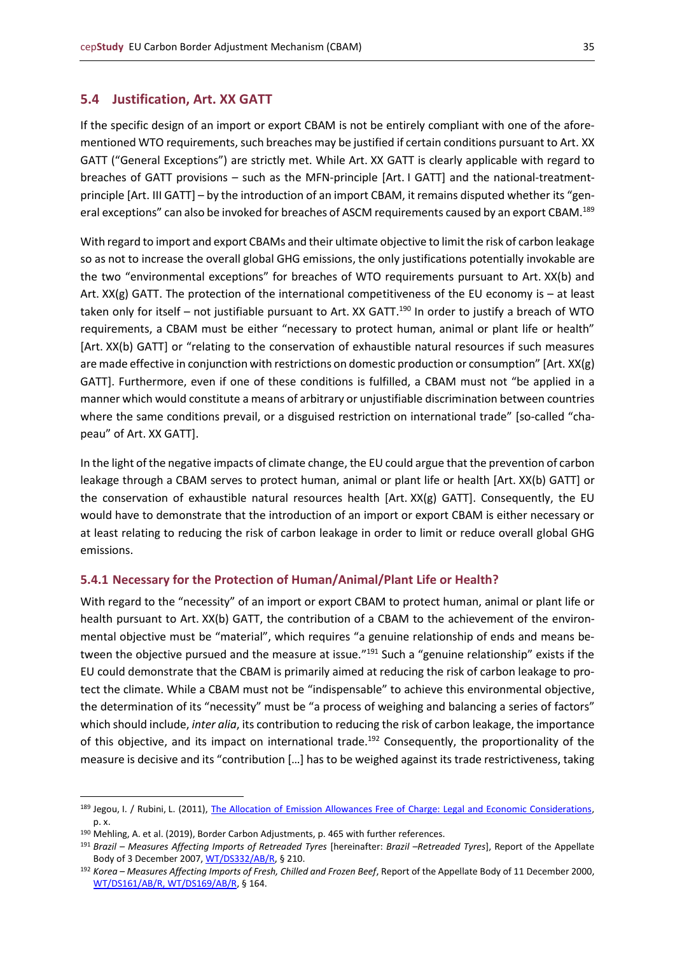## <span id="page-34-0"></span>**5.4 Justification, Art. XX GATT**

If the specific design of an import or export CBAM is not be entirely compliant with one of the aforementioned WTO requirements, such breaches may be justified if certain conditions pursuant to Art. XX GATT ("General Exceptions") are strictly met. While Art. XX GATT is clearly applicable with regard to breaches of GATT provisions – such as the MFN-principle [Art. I GATT] and the national-treatmentprinciple [Art. III GATT] – by the introduction of an import CBAM, it remains disputed whether its "general exceptions" can also be invoked for breaches of ASCM requirements caused by an export CBAM.<sup>189</sup>

With regard to import and export CBAMs and their ultimate objective to limit the risk of carbon leakage so as not to increase the overall global GHG emissions, the only justifications potentially invokable are the two "environmental exceptions" for breaches of WTO requirements pursuant to Art. XX(b) and Art.  $XX(g)$  GATT. The protection of the international competitiveness of the EU economy is – at least taken only for itself - not justifiable pursuant to Art. XX GATT.<sup>190</sup> In order to justify a breach of WTO requirements, a CBAM must be either "necessary to protect human, animal or plant life or health" [Art. XX(b) GATT] or "relating to the conservation of exhaustible natural resources if such measures are made effective in conjunction with restrictions on domestic production or consumption" [Art. XX(g) GATT]. Furthermore, even if one of these conditions is fulfilled, a CBAM must not "be applied in a manner which would constitute a means of arbitrary or unjustifiable discrimination between countries where the same conditions prevail, or a disguised restriction on international trade" [so-called "chapeau" of Art. XX GATT].

In the light of the negative impacts of climate change, the EU could argue that the prevention of carbon leakage through a CBAM serves to protect human, animal or plant life or health [Art. XX(b) GATT] or the conservation of exhaustible natural resources health [Art. XX(g) GATT]. Consequently, the EU would have to demonstrate that the introduction of an import or export CBAM is either necessary or at least relating to reducing the risk of carbon leakage in order to limit or reduce overall global GHG emissions.

## <span id="page-34-1"></span>**5.4.1 Necessary for the Protection of Human/Animal/Plant Life or Health?**

With regard to the "necessity" of an import or export CBAM to protect human, animal or plant life or health pursuant to Art. XX(b) GATT, the contribution of a CBAM to the achievement of the environmental objective must be "material", which requires "a genuine relationship of ends and means between the objective pursued and the measure at issue."<sup>191</sup> Such a "genuine relationship" exists if the EU could demonstrate that the CBAM is primarily aimed at reducing the risk of carbon leakage to protect the climate. While a CBAM must not be "indispensable" to achieve this environmental objective, the determination of its "necessity" must be "a process of weighing and balancing a series of factors" which should include, *inter alia*, its contribution to reducing the risk of carbon leakage, the importance of this objective, and its impact on international trade.<sup>192</sup> Consequently, the proportionality of the measure is decisive and its "contribution […] has to be weighed against its trade restrictiveness, taking

<sup>189</sup> Jegou, I. / Rubini, L. (2011), [The Allocation of Emission Allowances Free of Charge: Legal and Economic Considerations,](https://papers.ssrn.com/sol3/papers.cfm?abstract_id=1914997) p. x.

<sup>190</sup> Mehling, A. et al. (2019), Border Carbon Adjustments, p. 465 with further references.

<sup>191</sup> *Brazil – Measures Affecting Imports of Retreaded Tyres* [hereinafter: *Brazil –Retreaded Tyres*], Report of the Appellate Body of 3 December 2007[, WT/DS332/AB/R,](https://docs.wto.org/dol2fe/Pages/SS/directdoc.aspx?filename=Q:/WT/DS/332ABR.pdf&Open=True) § 210.

<sup>192</sup> *Korea – Measures Affecting Imports of Fresh, Chilled and Frozen Beef*, Report of the Appellate Body of 11 December 2000, [WT/DS161/AB/R, WT/DS169/AB/R,](https://docs.wto.org/dol2fe/Pages/SS/directdoc.aspx?filename=Q:/WT/DS/169ABR.pdf&Open=True) § 164.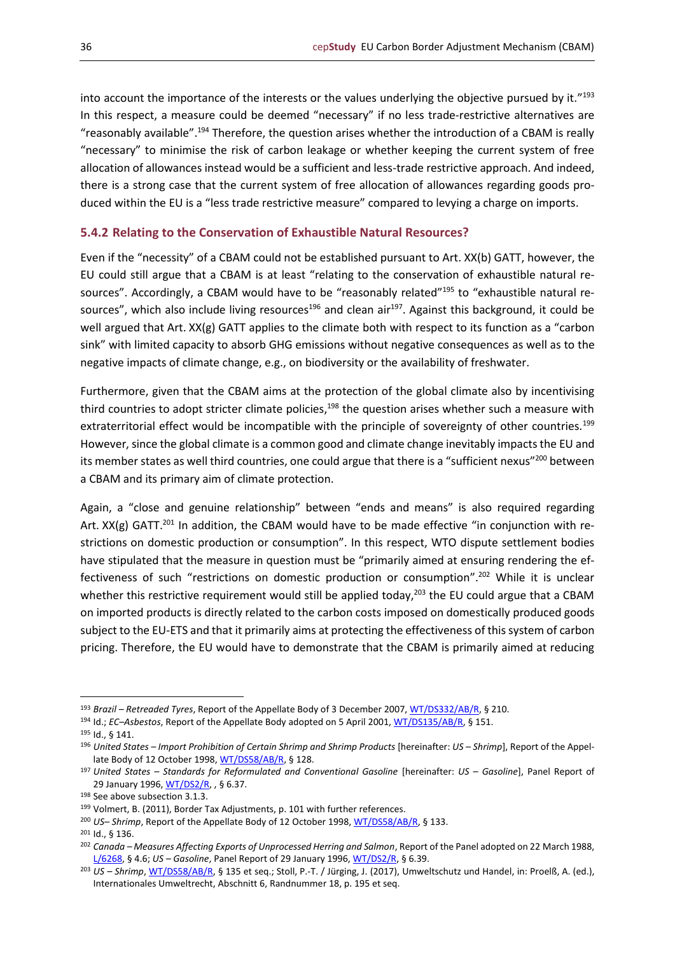into account the importance of the interests or the values underlying the objective pursued by it."<sup>193</sup> In this respect, a measure could be deemed "necessary" if no less trade-restrictive alternatives are "reasonably available".<sup>194</sup> Therefore, the question arises whether the introduction of a CBAM is really "necessary" to minimise the risk of carbon leakage or whether keeping the current system of free allocation of allowances instead would be a sufficient and less-trade restrictive approach. And indeed, there is a strong case that the current system of free allocation of allowances regarding goods produced within the EU is a "less trade restrictive measure" compared to levying a charge on imports.

## <span id="page-35-0"></span>**5.4.2 Relating to the Conservation of Exhaustible Natural Resources?**

Even if the "necessity" of a CBAM could not be established pursuant to Art. XX(b) GATT, however, the EU could still argue that a CBAM is at least "relating to the conservation of exhaustible natural resources". Accordingly, a CBAM would have to be "reasonably related"<sup>195</sup> to "exhaustible natural resources", which also include living resources<sup>196</sup> and clean air<sup>197</sup>. Against this background, it could be well argued that Art. XX(g) GATT applies to the climate both with respect to its function as a "carbon sink" with limited capacity to absorb GHG emissions without negative consequences as well as to the negative impacts of climate change, e.g., on biodiversity or the availability of freshwater.

Furthermore, given that the CBAM aims at the protection of the global climate also by incentivising third countries to adopt stricter climate policies,<sup>198</sup> the question arises whether such a measure with extraterritorial effect would be incompatible with the principle of sovereignty of other countries.<sup>199</sup> However, since the global climate is a common good and climate change inevitably impacts the EU and its member states as well third countries, one could argue that there is a "sufficient nexus"<sup>200</sup> between a CBAM and its primary aim of climate protection.

Again, a "close and genuine relationship" between "ends and means" is also required regarding Art. XX(g) GATT.<sup>201</sup> In addition, the CBAM would have to be made effective "in conjunction with restrictions on domestic production or consumption". In this respect, WTO dispute settlement bodies have stipulated that the measure in question must be "primarily aimed at ensuring rendering the effectiveness of such "restrictions on domestic production or consumption".<sup>202</sup> While it is unclear whether this restrictive requirement would still be applied today,<sup>203</sup> the EU could argue that a CBAM on imported products is directly related to the carbon costs imposed on domestically produced goods subject to the EU-ETS and that it primarily aims at protecting the effectiveness of this system of carbon pricing. Therefore, the EU would have to demonstrate that the CBAM is primarily aimed at reducing

<sup>193</sup> *Brazil – Retreaded Tyres*, Report of the Appellate Body of 3 December 2007[, WT/DS332/AB/R,](https://docs.wto.org/dol2fe/Pages/SS/directdoc.aspx?filename=Q:/WT/DS/332ABR.pdf&Open=True) § 210.

<sup>194</sup> Id.; *EC–Asbestos*, Report of the Appellate Body adopted on 5 April 2001[, WT/DS135/AB/R,](https://docs.wto.org/dol2fe/Pages/SS/directdoc.aspx?filename=Q:/WT/DS/135ABR.pdf&Open=True) § 151.

<sup>195</sup> Id., § 141.

<sup>196</sup> *United States – Import Prohibition of Certain Shrimp and Shrimp Products* [hereinafter: *US – Shrimp*], Report of the Appel-late Body of 12 October 1998, [WT/DS58/AB/R,](https://docs.wto.org/dol2fe/Pages/SS/directdoc.aspx?filename=Q:/WT/DS/58ABR.pdf&Open=True) § 128.

<sup>197</sup> *United States – Standards for Reformulated and Conventional Gasoline* [hereinafter: *US – Gasoline*], Panel Report of 29 January 1996, [WT/DS2/R,](https://docs.wto.org/dol2fe/Pages/SS/directdoc.aspx?filename=Q:/WT/DS/2R.pdf&Open=True) , § 6.37.

<sup>198</sup> See above subsection 3.1.3.

<sup>199</sup> Volmert, B. (2011), Border Tax Adjustments, p. 101 with further references.

<sup>200</sup> *US– Shrimp*, Report of the Appellate Body of 12 October 1998[, WT/DS58/AB/R,](https://docs.wto.org/dol2fe/Pages/SS/directdoc.aspx?filename=Q:/WT/DS/58ABR.pdf&Open=True) § 133.

<sup>201</sup> Id., § 136.

<sup>202</sup> *Canada – Measures Affecting Exports of Unprocessed Herring and Salmon*, Report of the Panel adopted on 22 March 1988, [L/6268,](https://www.wto.org/english/tratop_e/envir_e/edis02_e.htm) § 4.6; *US – Gasoline*, Panel Report of 29 January 1996, [WT/DS2/R,](https://docs.wto.org/dol2fe/Pages/SS/directdoc.aspx?filename=Q:/WT/DS/2R.pdf&Open=True) § 6.39.

<sup>203</sup> *US – Shrimp*[, WT/DS58/AB/R,](https://docs.wto.org/dol2fe/Pages/SS/directdoc.aspx?filename=Q:/WT/DS/58ABR.pdf&Open=True) § 135 et seq.; Stoll, P.-T. / Jürging, J. (2017), Umweltschutz und Handel, in: Proelß, A. (ed.), Internationales Umweltrecht, Abschnitt 6, Randnummer 18, p. 195 et seq.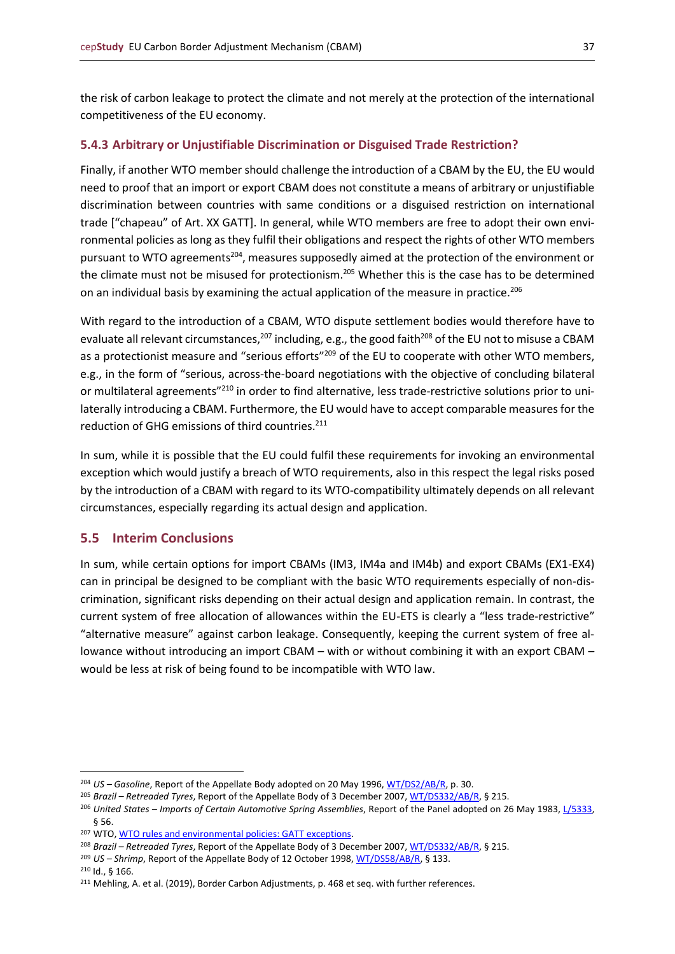the risk of carbon leakage to protect the climate and not merely at the protection of the international competitiveness of the EU economy.

## <span id="page-36-0"></span>**5.4.3 Arbitrary or Unjustifiable Discrimination or Disguised Trade Restriction?**

Finally, if another WTO member should challenge the introduction of a CBAM by the EU, the EU would need to proof that an import or export CBAM does not constitute a means of arbitrary or unjustifiable discrimination between countries with same conditions or a disguised restriction on international trade ["chapeau" of Art. XX GATT]. In general, while WTO members are free to adopt their own environmental policies as long as they fulfil their obligations and respect the rights of other WTO members pursuant to WTO agreements<sup>204</sup>, measures supposedly aimed at the protection of the environment or the climate must not be misused for protectionism.<sup>205</sup> Whether this is the case has to be determined on an individual basis by examining the actual application of the measure in practice.<sup>206</sup>

With regard to the introduction of a CBAM, WTO dispute settlement bodies would therefore have to evaluate all relevant circumstances,<sup>207</sup> including, e.g., the good faith<sup>208</sup> of the EU not to misuse a CBAM as a protectionist measure and "serious efforts"<sup>209</sup> of the EU to cooperate with other WTO members, e.g., in the form of "serious, across-the-board negotiations with the objective of concluding bilateral or multilateral agreements"<sup>210</sup> in order to find alternative, less trade-restrictive solutions prior to unilaterally introducing a CBAM. Furthermore, the EU would have to accept comparable measures for the reduction of GHG emissions of third countries.<sup>211</sup>

In sum, while it is possible that the EU could fulfil these requirements for invoking an environmental exception which would justify a breach of WTO requirements, also in this respect the legal risks posed by the introduction of a CBAM with regard to its WTO-compatibility ultimately depends on all relevant circumstances, especially regarding its actual design and application.

## <span id="page-36-1"></span>**5.5 Interim Conclusions**

In sum, while certain options for import CBAMs (IM3, IM4a and IM4b) and export CBAMs (EX1-EX4) can in principal be designed to be compliant with the basic WTO requirements especially of non-discrimination, significant risks depending on their actual design and application remain. In contrast, the current system of free allocation of allowances within the EU-ETS is clearly a "less trade-restrictive" "alternative measure" against carbon leakage. Consequently, keeping the current system of free allowance without introducing an import CBAM – with or without combining it with an export CBAM – would be less at risk of being found to be incompatible with WTO law.

<sup>204</sup> *US – Gasoline*, Report of the Appellate Body adopted on 20 May 1996[, WT/DS2/AB/R,](https://docs.wto.org/dol2fe/Pages/SS/directdoc.aspx?filename=Q:/WT/DS/2ABR.pdf&Open=True) p. 30.

<sup>205</sup> *Brazil – Retreaded Tyres*, Report of the Appellate Body of 3 December 2007[, WT/DS332/AB/R,](https://docs.wto.org/dol2fe/Pages/SS/directdoc.aspx?filename=Q:/WT/DS/332ABR.pdf&Open=True) § 215.

<sup>206</sup> *United States – Imports of Certain Automotive Spring Assemblies*, Report of the Panel adopted on 26 May 1983[, L/5333,](https://www.wto.org/english/tratop_e/dispu_e/gt47ds_e.htm) § 56.

<sup>207</sup> WTO[, WTO rules and environmental policies: GATT exceptions.](https://www.wto.org/english/tratop_e/envir_e/envt_rules_exceptions_e.htm)

<sup>208</sup> *Brazil – Retreaded Tyres*, Report of the Appellate Body of 3 December 2007[, WT/DS332/AB/R,](https://docs.wto.org/dol2fe/Pages/SS/directdoc.aspx?filename=Q:/WT/DS/332ABR.pdf&Open=True) § 215.

<sup>209</sup> *US – Shrimp*, Report of the Appellate Body of 12 October 1998[, WT/DS58/AB/R,](https://docs.wto.org/dol2fe/Pages/SS/directdoc.aspx?filename=Q:/WT/DS/58ABR.pdf&Open=True) § 133.

<sup>210</sup> Id., § 166.

<sup>211</sup> Mehling, A. et al. (2019), Border Carbon Adjustments, p. 468 et seq. with further references.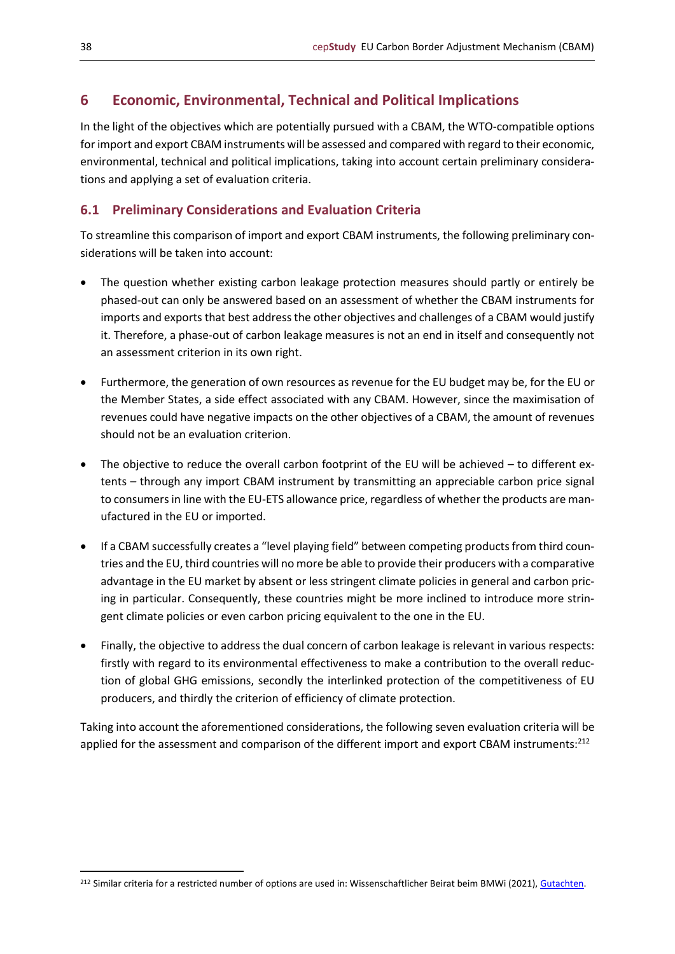## <span id="page-37-0"></span>**6 Economic, Environmental, Technical and Political Implications**

In the light of the objectives which are potentially pursued with a CBAM, the WTO-compatible options for import and export CBAM instruments will be assessed and compared with regard to their economic, environmental, technical and political implications, taking into account certain preliminary considerations and applying a set of evaluation criteria.

## <span id="page-37-1"></span>**6.1 Preliminary Considerations and Evaluation Criteria**

To streamline this comparison of import and export CBAM instruments, the following preliminary considerations will be taken into account:

- The question whether existing carbon leakage protection measures should partly or entirely be phased-out can only be answered based on an assessment of whether the CBAM instruments for imports and exports that best address the other objectives and challenges of a CBAM would justify it. Therefore, a phase-out of carbon leakage measures is not an end in itself and consequently not an assessment criterion in its own right.
- Furthermore, the generation of own resources as revenue for the EU budget may be, for the EU or the Member States, a side effect associated with any CBAM. However, since the maximisation of revenues could have negative impacts on the other objectives of a CBAM, the amount of revenues should not be an evaluation criterion.
- The objective to reduce the overall carbon footprint of the EU will be achieved to different extents – through any import CBAM instrument by transmitting an appreciable carbon price signal to consumers in line with the EU-ETS allowance price, regardless of whether the products are manufactured in the EU or imported.
- If a CBAM successfully creates a "level playing field" between competing products from third countries and the EU, third countries will no more be able to provide their producers with a comparative advantage in the EU market by absent or less stringent climate policies in general and carbon pricing in particular. Consequently, these countries might be more inclined to introduce more stringent climate policies or even carbon pricing equivalent to the one in the EU.
- Finally, the objective to address the dual concern of carbon leakage is relevant in various respects: firstly with regard to its environmental effectiveness to make a contribution to the overall reduction of global GHG emissions, secondly the interlinked protection of the competitiveness of EU producers, and thirdly the criterion of efficiency of climate protection.

Taking into account the aforementioned considerations, the following seven evaluation criteria will be applied for the assessment and comparison of the different import and export CBAM instruments:<sup>212</sup>

<sup>&</sup>lt;sup>212</sup> Similar criteria for a restricted number of options are used in: Wissenschaftlicher Beirat beim BMWi (2021)[, Gutachten.](https://www.bmwi.de/Redaktion/DE/Publikationen/Ministerium/Veroeffentlichung-Wissenschaftlicher-Beirat/gutachten-co2-grenzausgleich.html)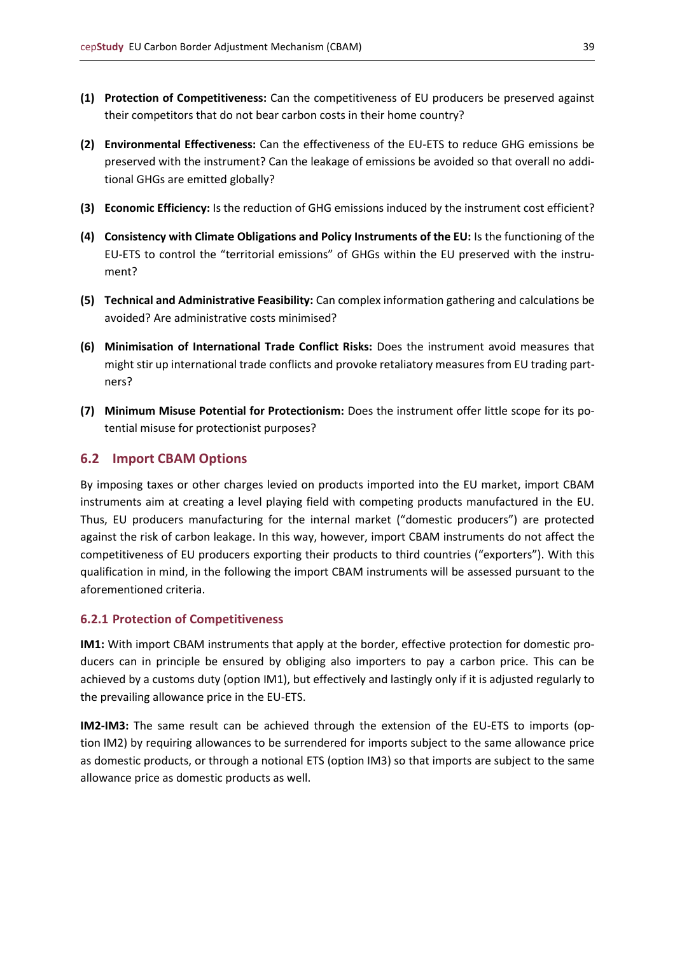- **(1) Protection of Competitiveness:** Can the competitiveness of EU producers be preserved against their competitors that do not bear carbon costs in their home country?
- **(2) Environmental Effectiveness:** Can the effectiveness of the EU-ETS to reduce GHG emissions be preserved with the instrument? Can the leakage of emissions be avoided so that overall no additional GHGs are emitted globally?
- **(3) Economic Efficiency:** Is the reduction of GHG emissions induced by the instrument cost efficient?
- **(4) Consistency with Climate Obligations and Policy Instruments of the EU:** Is the functioning of the EU-ETS to control the "territorial emissions" of GHGs within the EU preserved with the instrument?
- **(5) Technical and Administrative Feasibility:** Can complex information gathering and calculations be avoided? Are administrative costs minimised?
- **(6) Minimisation of International Trade Conflict Risks:** Does the instrument avoid measures that might stir up international trade conflicts and provoke retaliatory measures from EU trading partners?
- **(7) Minimum Misuse Potential for Protectionism:** Does the instrument offer little scope for its potential misuse for protectionist purposes?

## <span id="page-38-0"></span>**6.2 Import CBAM Options**

By imposing taxes or other charges levied on products imported into the EU market, import CBAM instruments aim at creating a level playing field with competing products manufactured in the EU. Thus, EU producers manufacturing for the internal market ("domestic producers") are protected against the risk of carbon leakage. In this way, however, import CBAM instruments do not affect the competitiveness of EU producers exporting their products to third countries ("exporters"). With this qualification in mind, in the following the import CBAM instruments will be assessed pursuant to the aforementioned criteria.

#### <span id="page-38-1"></span>**6.2.1 Protection of Competitiveness**

**IM1:** With import CBAM instruments that apply at the border, effective protection for domestic producers can in principle be ensured by obliging also importers to pay a carbon price. This can be achieved by a customs duty (option IM1), but effectively and lastingly only if it is adjusted regularly to the prevailing allowance price in the EU-ETS.

**IM2-IM3:** The same result can be achieved through the extension of the EU-ETS to imports (option IM2) by requiring allowances to be surrendered for imports subject to the same allowance price as domestic products, or through a notional ETS (option IM3) so that imports are subject to the same allowance price as domestic products as well.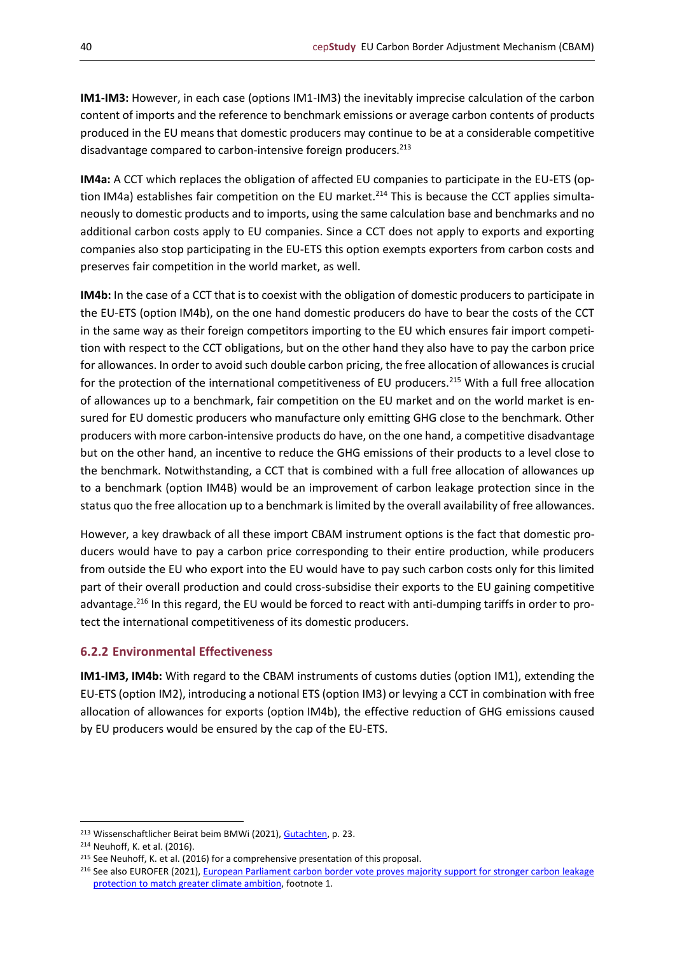**IM1-IM3:** However, in each case (options IM1-IM3) the inevitably imprecise calculation of the carbon content of imports and the reference to benchmark emissions or average carbon contents of products produced in the EU means that domestic producers may continue to be at a considerable competitive disadvantage compared to carbon-intensive foreign producers.<sup>213</sup>

**IM4a:** A CCT which replaces the obligation of affected EU companies to participate in the EU-ETS (option IM4a) establishes fair competition on the EU market.<sup>214</sup> This is because the CCT applies simultaneously to domestic products and to imports, using the same calculation base and benchmarks and no additional carbon costs apply to EU companies. Since a CCT does not apply to exports and exporting companies also stop participating in the EU-ETS this option exempts exporters from carbon costs and preserves fair competition in the world market, as well.

**IM4b:** In the case of a CCT that is to coexist with the obligation of domestic producers to participate in the EU-ETS (option IM4b), on the one hand domestic producers do have to bear the costs of the CCT in the same way as their foreign competitors importing to the EU which ensures fair import competition with respect to the CCT obligations, but on the other hand they also have to pay the carbon price for allowances. In order to avoid such double carbon pricing, the free allocation of allowances is crucial for the protection of the international competitiveness of EU producers.<sup>215</sup> With a full free allocation of allowances up to a benchmark, fair competition on the EU market and on the world market is ensured for EU domestic producers who manufacture only emitting GHG close to the benchmark. Other producers with more carbon-intensive products do have, on the one hand, a competitive disadvantage but on the other hand, an incentive to reduce the GHG emissions of their products to a level close to the benchmark. Notwithstanding, a CCT that is combined with a full free allocation of allowances up to a benchmark (option IM4B) would be an improvement of carbon leakage protection since in the status quo the free allocation up to a benchmark is limited by the overall availability of free allowances.

However, a key drawback of all these import CBAM instrument options is the fact that domestic producers would have to pay a carbon price corresponding to their entire production, while producers from outside the EU who export into the EU would have to pay such carbon costs only for this limited part of their overall production and could cross-subsidise their exports to the EU gaining competitive advantage.<sup>216</sup> In this regard, the EU would be forced to react with anti-dumping tariffs in order to protect the international competitiveness of its domestic producers.

#### <span id="page-39-0"></span>**6.2.2 Environmental Effectiveness**

**IM1-IM3, IM4b:** With regard to the CBAM instruments of customs duties (option IM1), extending the EU-ETS (option IM2), introducing a notional ETS (option IM3) or levying a CCT in combination with free allocation of allowances for exports (option IM4b), the effective reduction of GHG emissions caused by EU producers would be ensured by the cap of the EU-ETS.

<sup>213</sup> Wissenschaftlicher Beirat beim BMWi (2021)[, Gutachten,](https://www.bmwi.de/Redaktion/DE/Publikationen/Ministerium/Veroeffentlichung-Wissenschaftlicher-Beirat/gutachten-co2-grenzausgleich.html) p. 23.

<sup>214</sup> Neuhoff, K. et al. (2016).

<sup>&</sup>lt;sup>215</sup> See Neuhoff, K. et al. (2016) for a comprehensive presentation of this proposal.

<sup>216</sup> See also EUROFER (2021), European Parliament carbon border vote proves majority support for stronger carbon leakage [protection to match greater climate ambition,](https://www.eurofer.eu/press-releases/european-parliament-carbon-border-vote-proves-majority-support-for-stronger-carbon-leakage-protection-to-match-greater-climate-ambition/) footnote 1.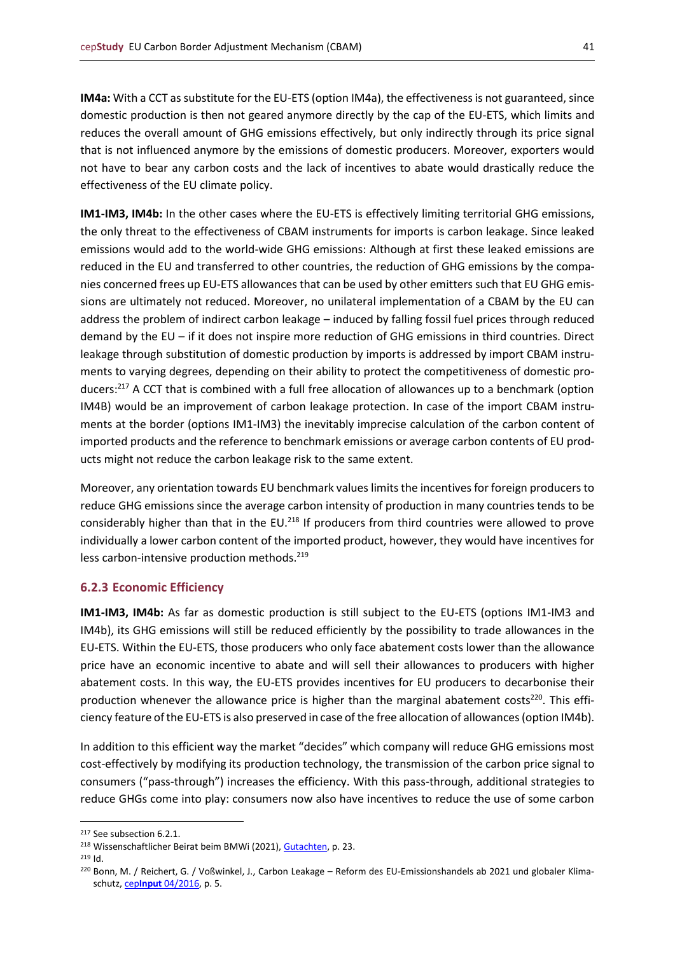**IM4a:** With a CCT as substitute for the EU-ETS (option IM4a), the effectiveness is not guaranteed, since domestic production is then not geared anymore directly by the cap of the EU-ETS, which limits and reduces the overall amount of GHG emissions effectively, but only indirectly through its price signal that is not influenced anymore by the emissions of domestic producers. Moreover, exporters would not have to bear any carbon costs and the lack of incentives to abate would drastically reduce the effectiveness of the EU climate policy.

**IM1-IM3, IM4b:** In the other cases where the EU-ETS is effectively limiting territorial GHG emissions, the only threat to the effectiveness of CBAM instruments for imports is carbon leakage. Since leaked emissions would add to the world-wide GHG emissions: Although at first these leaked emissions are reduced in the EU and transferred to other countries, the reduction of GHG emissions by the companies concerned frees up EU-ETS allowances that can be used by other emitters such that EU GHG emissions are ultimately not reduced. Moreover, no unilateral implementation of a CBAM by the EU can address the problem of indirect carbon leakage – induced by falling fossil fuel prices through reduced demand by the EU – if it does not inspire more reduction of GHG emissions in third countries. Direct leakage through substitution of domestic production by imports is addressed by import CBAM instruments to varying degrees, depending on their ability to protect the competitiveness of domestic producers:<sup>217</sup> A CCT that is combined with a full free allocation of allowances up to a benchmark (option IM4B) would be an improvement of carbon leakage protection. In case of the import CBAM instruments at the border (options IM1-IM3) the inevitably imprecise calculation of the carbon content of imported products and the reference to benchmark emissions or average carbon contents of EU products might not reduce the carbon leakage risk to the same extent.

Moreover, any orientation towards EU benchmark values limits the incentives for foreign producers to reduce GHG emissions since the average carbon intensity of production in many countries tends to be considerably higher than that in the EU.<sup>218</sup> If producers from third countries were allowed to prove individually a lower carbon content of the imported product, however, they would have incentives for less carbon-intensive production methods.<sup>219</sup>

#### <span id="page-40-0"></span>**6.2.3 Economic Efficiency**

**IM1-IM3, IM4b:** As far as domestic production is still subject to the EU-ETS (options IM1-IM3 and IM4b), its GHG emissions will still be reduced efficiently by the possibility to trade allowances in the EU-ETS. Within the EU-ETS, those producers who only face abatement costs lower than the allowance price have an economic incentive to abate and will sell their allowances to producers with higher abatement costs. In this way, the EU-ETS provides incentives for EU producers to decarbonise their production whenever the allowance price is higher than the marginal abatement costs<sup>220</sup>. This efficiency feature of the EU-ETS is also preserved in case of the free allocation of allowances (option IM4b).

In addition to this efficient way the market "decides" which company will reduce GHG emissions most cost-effectively by modifying its production technology, the transmission of the carbon price signal to consumers ("pass-through") increases the efficiency. With this pass-through, additional strategies to reduce GHGs come into play: consumers now also have incentives to reduce the use of some carbon

<sup>217</sup> See subsection 6.2.1.

<sup>218</sup> Wissenschaftlicher Beirat beim BMWi (2021)[, Gutachten,](https://www.bmwi.de/Redaktion/DE/Publikationen/Ministerium/Veroeffentlichung-Wissenschaftlicher-Beirat/gutachten-co2-grenzausgleich.html) p. 23.

<sup>219</sup> Id.

<sup>220</sup> Bonn, M. / Reichert, G. / Voßwinkel, J., Carbon Leakage – Reform des EU-Emissionshandels ab 2021 und globaler Klimaschutz, cep**Input** [04/2016,](https://www.cep.eu/eu-themen/details/cep/carbon-leakage.html) p. 5.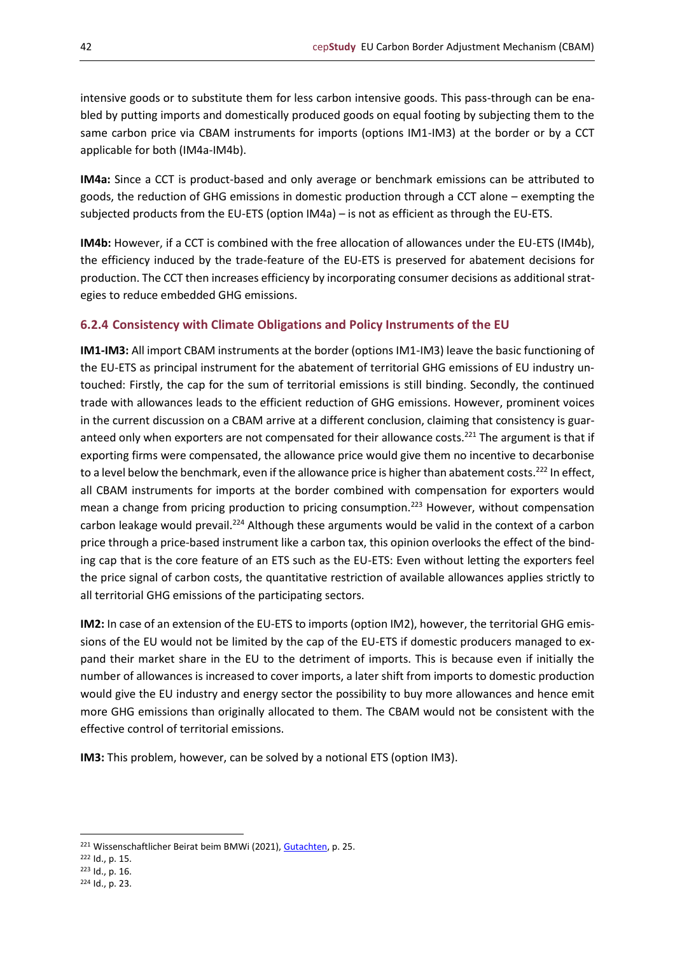intensive goods or to substitute them for less carbon intensive goods. This pass-through can be enabled by putting imports and domestically produced goods on equal footing by subjecting them to the same carbon price via CBAM instruments for imports (options IM1-IM3) at the border or by a CCT applicable for both (IM4a-IM4b).

**IM4a:** Since a CCT is product-based and only average or benchmark emissions can be attributed to goods, the reduction of GHG emissions in domestic production through a CCT alone – exempting the subjected products from the EU-ETS (option IM4a) – is not as efficient as through the EU-ETS.

**IM4b:** However, if a CCT is combined with the free allocation of allowances under the EU-ETS (IM4b), the efficiency induced by the trade-feature of the EU-ETS is preserved for abatement decisions for production. The CCT then increases efficiency by incorporating consumer decisions as additional strategies to reduce embedded GHG emissions.

## <span id="page-41-0"></span>**6.2.4 Consistency with Climate Obligations and Policy Instruments of the EU**

**IM1-IM3:** All import CBAM instruments at the border (options IM1-IM3) leave the basic functioning of the EU-ETS as principal instrument for the abatement of territorial GHG emissions of EU industry untouched: Firstly, the cap for the sum of territorial emissions is still binding. Secondly, the continued trade with allowances leads to the efficient reduction of GHG emissions. However, prominent voices in the current discussion on a CBAM arrive at a different conclusion, claiming that consistency is guaranteed only when exporters are not compensated for their allowance costs.<sup>221</sup> The argument is that if exporting firms were compensated, the allowance price would give them no incentive to decarbonise to a level below the benchmark, even if the allowance price is higher than abatement costs.<sup>222</sup> In effect, all CBAM instruments for imports at the border combined with compensation for exporters would mean a change from pricing production to pricing consumption.<sup>223</sup> However, without compensation carbon leakage would prevail.<sup>224</sup> Although these arguments would be valid in the context of a carbon price through a price-based instrument like a carbon tax, this opinion overlooks the effect of the binding cap that is the core feature of an ETS such as the EU-ETS: Even without letting the exporters feel the price signal of carbon costs, the quantitative restriction of available allowances applies strictly to all territorial GHG emissions of the participating sectors.

**IM2:** In case of an extension of the EU-ETS to imports (option IM2), however, the territorial GHG emissions of the EU would not be limited by the cap of the EU-ETS if domestic producers managed to expand their market share in the EU to the detriment of imports. This is because even if initially the number of allowances is increased to cover imports, a later shift from imports to domestic production would give the EU industry and energy sector the possibility to buy more allowances and hence emit more GHG emissions than originally allocated to them. The CBAM would not be consistent with the effective control of territorial emissions.

**IM3:** This problem, however, can be solved by a notional ETS (option IM3).

<sup>221</sup> Wissenschaftlicher Beirat beim BMWi (2021)[, Gutachten,](https://www.bmwi.de/Redaktion/DE/Publikationen/Ministerium/Veroeffentlichung-Wissenschaftlicher-Beirat/gutachten-co2-grenzausgleich.html) p. 25.

<sup>222</sup> Id., p. 15.

<sup>223</sup> Id., p. 16.

<sup>224</sup> Id., p. 23.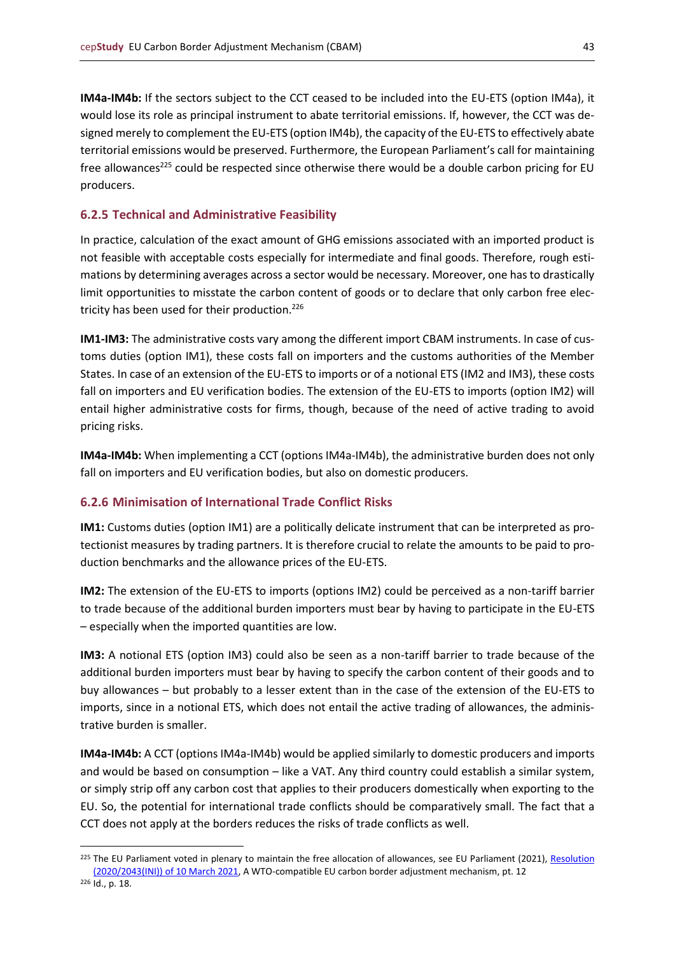**IM4a-IM4b:** If the sectors subject to the CCT ceased to be included into the EU-ETS (option IM4a), it would lose its role as principal instrument to abate territorial emissions. If, however, the CCT was designed merely to complement the EU-ETS (option IM4b), the capacity of the EU-ETS to effectively abate territorial emissions would be preserved. Furthermore, the European Parliament's call for maintaining free allowances<sup>225</sup> could be respected since otherwise there would be a double carbon pricing for EU producers.

## <span id="page-42-0"></span>**6.2.5 Technical and Administrative Feasibility**

In practice, calculation of the exact amount of GHG emissions associated with an imported product is not feasible with acceptable costs especially for intermediate and final goods. Therefore, rough estimations by determining averages across a sector would be necessary. Moreover, one has to drastically limit opportunities to misstate the carbon content of goods or to declare that only carbon free electricity has been used for their production.<sup>226</sup>

**IM1-IM3:** The administrative costs vary among the different import CBAM instruments. In case of customs duties (option IM1), these costs fall on importers and the customs authorities of the Member States. In case of an extension of the EU-ETS to imports or of a notional ETS (IM2 and IM3), these costs fall on importers and EU verification bodies. The extension of the EU-ETS to imports (option IM2) will entail higher administrative costs for firms, though, because of the need of active trading to avoid pricing risks.

**IM4a-IM4b:** When implementing a CCT (options IM4a-IM4b), the administrative burden does not only fall on importers and EU verification bodies, but also on domestic producers.

## <span id="page-42-1"></span>**6.2.6 Minimisation of International Trade Conflict Risks**

**IM1:** Customs duties (option IM1) are a politically delicate instrument that can be interpreted as protectionist measures by trading partners. It is therefore crucial to relate the amounts to be paid to production benchmarks and the allowance prices of the EU-ETS.

**IM2:** The extension of the EU-ETS to imports (options IM2) could be perceived as a non-tariff barrier to trade because of the additional burden importers must bear by having to participate in the EU-ETS – especially when the imported quantities are low.

**IM3:** A notional ETS (option IM3) could also be seen as a non-tariff barrier to trade because of the additional burden importers must bear by having to specify the carbon content of their goods and to buy allowances – but probably to a lesser extent than in the case of the extension of the EU-ETS to imports, since in a notional ETS, which does not entail the active trading of allowances, the administrative burden is smaller.

**IM4a-IM4b:** A CCT (options IM4a-IM4b) would be applied similarly to domestic producers and imports and would be based on consumption – like a VAT. Any third country could establish a similar system, or simply strip off any carbon cost that applies to their producers domestically when exporting to the EU. So, the potential for international trade conflicts should be comparatively small. The fact that a CCT does not apply at the borders reduces the risks of trade conflicts as well.

<sup>&</sup>lt;sup>225</sup> The EU Parliament voted in plenary to maintain the free allocation of allowances, see EU Parliament (2021), Resolution [\(2020/2043\(INI\)\) of 10](https://www.europarl.europa.eu/doceo/document/TA-9-2021-0071_EN.html) March 2021, A WTO-compatible EU carbon border adjustment mechanism, pt. 12

<sup>226</sup> Id., p. 18.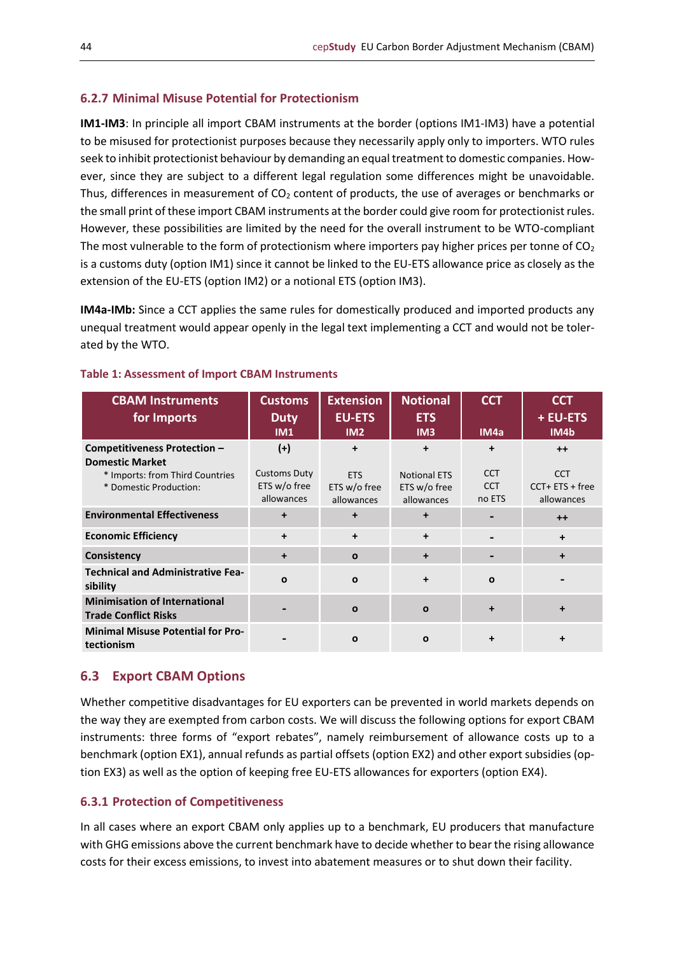## <span id="page-43-0"></span>**6.2.7 Minimal Misuse Potential for Protectionism**

**IM1-IM3**: In principle all import CBAM instruments at the border (options IM1-IM3) have a potential to be misused for protectionist purposes because they necessarily apply only to importers. WTO rules seek to inhibit protectionist behaviour by demanding an equal treatment to domestic companies. However, since they are subject to a different legal regulation some differences might be unavoidable. Thus, differences in measurement of  $CO<sub>2</sub>$  content of products, the use of averages or benchmarks or the small print of these import CBAM instruments at the border could give room for protectionist rules. However, these possibilities are limited by the need for the overall instrument to be WTO-compliant The most vulnerable to the form of protectionism where importers pay higher prices per tonne of  $CO<sub>2</sub>$ is a customs duty (option IM1) since it cannot be linked to the EU-ETS allowance price as closely as the extension of the EU-ETS (option IM2) or a notional ETS (option IM3).

**IM4a-IMb:** Since a CCT applies the same rules for domestically produced and imported products any unequal treatment would appear openly in the legal text implementing a CCT and would not be tolerated by the WTO.

| <b>CBAM Instruments</b><br>for Imports                              | <b>Customs</b><br><b>Duty</b><br>IM1              | <b>Extension</b><br><b>EU-ETS</b><br>IM2 | <b>Notional</b><br><b>ETS</b><br>IM <sub>3</sub>  | <b>CCT</b><br>IM4a                 | <b>CCT</b><br>+ EU-ETS<br>IM4b                 |
|---------------------------------------------------------------------|---------------------------------------------------|------------------------------------------|---------------------------------------------------|------------------------------------|------------------------------------------------|
| Competitiveness Protection -<br><b>Domestic Market</b>              | $(+)$                                             | $\ddot{}$                                | $\ddot{}$                                         | +                                  | $++$                                           |
| * Imports: from Third Countries<br>* Domestic Production:           | <b>Customs Duty</b><br>ETS w/o free<br>allowances | <b>ETS</b><br>ETS w/o free<br>allowances | <b>Notional ETS</b><br>ETS w/o free<br>allowances | <b>CCT</b><br><b>CCT</b><br>no ETS | <b>CCT</b><br>$CCT + ETS + free$<br>allowances |
| <b>Environmental Effectiveness</b>                                  | $\ddot{}$                                         | +                                        | $\ddot{}$                                         |                                    | $++$                                           |
| <b>Economic Efficiency</b>                                          | $\ddot{}$                                         | $\ddot{}$                                | $\ddot{}$                                         |                                    | $\ddot{}$                                      |
| Consistency                                                         | $\ddot{}$                                         | $\mathbf{o}$                             | $\ddot{}$                                         |                                    | $\div$                                         |
| <b>Technical and Administrative Fea-</b><br>sibility                | O                                                 | $\mathbf{o}$                             | $\ddot{}$                                         | $\Omega$                           |                                                |
| <b>Minimisation of International</b><br><b>Trade Conflict Risks</b> |                                                   | $\mathbf{o}$                             | $\Omega$                                          | ÷                                  |                                                |
| <b>Minimal Misuse Potential for Pro-</b><br>tectionism              |                                                   | $\mathbf{o}$                             | $\mathbf{o}$                                      |                                    | +                                              |

#### **Table 1: Assessment of Import CBAM Instruments**

## <span id="page-43-1"></span>**6.3 Export CBAM Options**

Whether competitive disadvantages for EU exporters can be prevented in world markets depends on the way they are exempted from carbon costs. We will discuss the following options for export CBAM instruments: three forms of "export rebates", namely reimbursement of allowance costs up to a benchmark (option EX1), annual refunds as partial offsets (option EX2) and other export subsidies (option EX3) as well as the option of keeping free EU-ETS allowances for exporters (option EX4).

## <span id="page-43-2"></span>**6.3.1 Protection of Competitiveness**

In all cases where an export CBAM only applies up to a benchmark, EU producers that manufacture with GHG emissions above the current benchmark have to decide whether to bear the rising allowance costs for their excess emissions, to invest into abatement measures or to shut down their facility.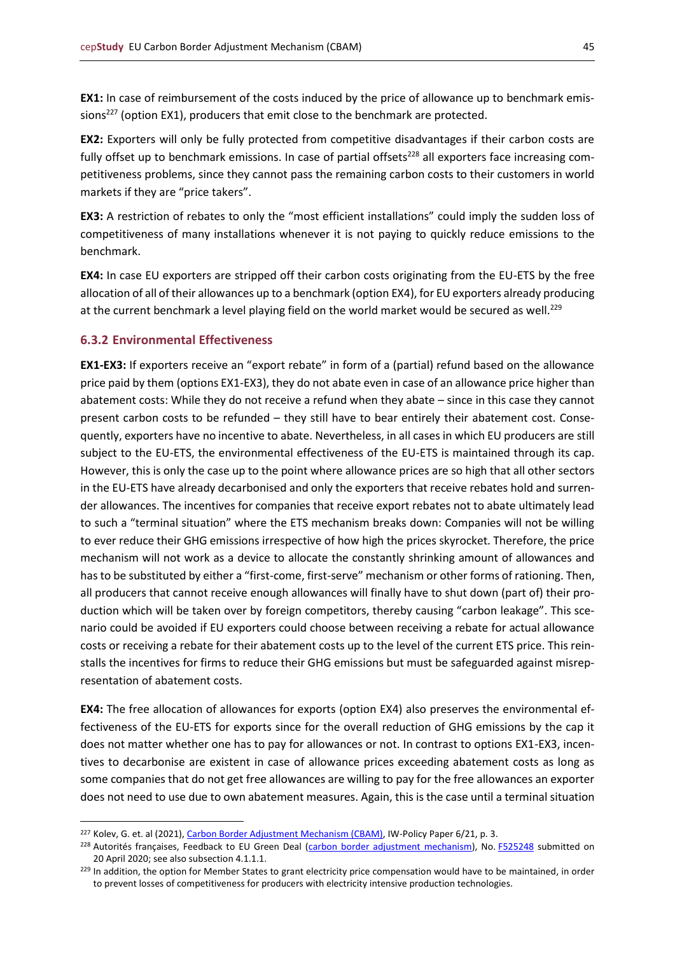**EX1:** In case of reimbursement of the costs induced by the price of allowance up to benchmark emissions<sup>227</sup> (option EX1), producers that emit close to the benchmark are protected.

**EX2:** Exporters will only be fully protected from competitive disadvantages if their carbon costs are fully offset up to benchmark emissions. In case of partial offsets<sup>228</sup> all exporters face increasing competitiveness problems, since they cannot pass the remaining carbon costs to their customers in world markets if they are "price takers".

**EX3:** A restriction of rebates to only the "most efficient installations" could imply the sudden loss of competitiveness of many installations whenever it is not paying to quickly reduce emissions to the benchmark.

**EX4:** In case EU exporters are stripped off their carbon costs originating from the EU-ETS by the free allocation of all of their allowances up to a benchmark (option EX4), for EU exporters already producing at the current benchmark a level playing field on the world market would be secured as well.<sup>229</sup>

## <span id="page-44-0"></span>**6.3.2 Environmental Effectiveness**

**EX1-EX3:** If exporters receive an "export rebate" in form of a (partial) refund based on the allowance price paid by them (options EX1-EX3), they do not abate even in case of an allowance price higher than abatement costs: While they do not receive a refund when they abate – since in this case they cannot present carbon costs to be refunded – they still have to bear entirely their abatement cost. Consequently, exporters have no incentive to abate. Nevertheless, in all cases in which EU producers are still subject to the EU-ETS, the environmental effectiveness of the EU-ETS is maintained through its cap. However, this is only the case up to the point where allowance prices are so high that all other sectors in the EU-ETS have already decarbonised and only the exporters that receive rebates hold and surrender allowances. The incentives for companies that receive export rebates not to abate ultimately lead to such a "terminal situation" where the ETS mechanism breaks down: Companies will not be willing to ever reduce their GHG emissions irrespective of how high the prices skyrocket. Therefore, the price mechanism will not work as a device to allocate the constantly shrinking amount of allowances and has to be substituted by either a "first-come, first-serve" mechanism or other forms of rationing. Then, all producers that cannot receive enough allowances will finally have to shut down (part of) their production which will be taken over by foreign competitors, thereby causing "carbon leakage". This scenario could be avoided if EU exporters could choose between receiving a rebate for actual allowance costs or receiving a rebate for their abatement costs up to the level of the current ETS price. This reinstalls the incentives for firms to reduce their GHG emissions but must be safeguarded against misrepresentation of abatement costs.

**EX4:** The free allocation of allowances for exports (option EX4) also preserves the environmental effectiveness of the EU-ETS for exports since for the overall reduction of GHG emissions by the cap it does not matter whether one has to pay for allowances or not. In contrast to options EX1-EX3, incentives to decarbonise are existent in case of allowance prices exceeding abatement costs as long as some companies that do not get free allowances are willing to pay for the free allowances an exporter does not need to use due to own abatement measures. Again, this is the case until a terminal situation

<sup>&</sup>lt;sup>227</sup> Kolev, G. et. al (2021)[, Carbon Border Adjustment Mechanism \(CBAM\),](https://www.iwkoeln.de/fileadmin/user_upload/Studien/policy_papers/PDF/2021/IW-Policy-Paper_2021_Carbon-Border-Adjustment.pdf) IW-Policy Paper 6/21, p. 3.

<sup>&</sup>lt;sup>228</sup> Autorités françaises, Feedback to EU Green Deal [\(carbon border adjustment mechanism\)](https://ec.europa.eu/info/law/better-regulation/have-your-say/initiatives/12228-Carbon-Border-Adjustment-Mechanism/), No. [F525248](https://ec.europa.eu/info/law/better-regulation/have-your-say/initiatives/12228-Carbon-Border-Adjustment-Mechanism/F525248) submitted on 20 April 2020; see also subsection 4.1.1.1.

<sup>&</sup>lt;sup>229</sup> In addition, the option for Member States to grant electricity price compensation would have to be maintained, in order to prevent losses of competitiveness for producers with electricity intensive production technologies.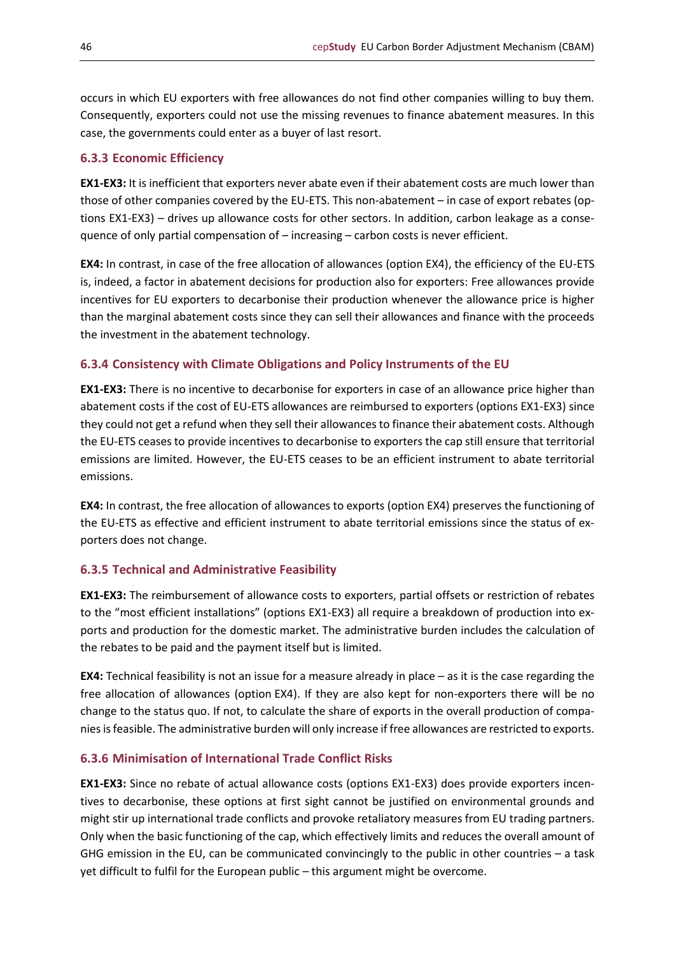occurs in which EU exporters with free allowances do not find other companies willing to buy them. Consequently, exporters could not use the missing revenues to finance abatement measures. In this case, the governments could enter as a buyer of last resort.

## <span id="page-45-0"></span>**6.3.3 Economic Efficiency**

**EX1-EX3:** It is inefficient that exporters never abate even if their abatement costs are much lower than those of other companies covered by the EU-ETS. This non-abatement – in case of export rebates (options EX1-EX3) – drives up allowance costs for other sectors. In addition, carbon leakage as a consequence of only partial compensation of – increasing – carbon costs is never efficient.

**EX4:** In contrast, in case of the free allocation of allowances (option EX4), the efficiency of the EU-ETS is, indeed, a factor in abatement decisions for production also for exporters: Free allowances provide incentives for EU exporters to decarbonise their production whenever the allowance price is higher than the marginal abatement costs since they can sell their allowances and finance with the proceeds the investment in the abatement technology.

## <span id="page-45-1"></span>**6.3.4 Consistency with Climate Obligations and Policy Instruments of the EU**

**EX1-EX3:** There is no incentive to decarbonise for exporters in case of an allowance price higher than abatement costs if the cost of EU-ETS allowances are reimbursed to exporters (options EX1-EX3) since they could not get a refund when they sell their allowances to finance their abatement costs. Although the EU-ETS ceases to provide incentives to decarbonise to exporters the cap still ensure that territorial emissions are limited. However, the EU-ETS ceases to be an efficient instrument to abate territorial emissions.

**EX4:** In contrast, the free allocation of allowances to exports (option EX4) preserves the functioning of the EU-ETS as effective and efficient instrument to abate territorial emissions since the status of exporters does not change.

#### <span id="page-45-2"></span>**6.3.5 Technical and Administrative Feasibility**

**EX1-EX3:** The reimbursement of allowance costs to exporters, partial offsets or restriction of rebates to the "most efficient installations" (options EX1-EX3) all require a breakdown of production into exports and production for the domestic market. The administrative burden includes the calculation of the rebates to be paid and the payment itself but is limited.

**EX4:** Technical feasibility is not an issue for a measure already in place – as it is the case regarding the free allocation of allowances (option EX4). If they are also kept for non-exporters there will be no change to the status quo. If not, to calculate the share of exports in the overall production of companies is feasible. The administrative burden will only increase if free allowances are restricted to exports.

#### <span id="page-45-3"></span>**6.3.6 Minimisation of International Trade Conflict Risks**

**EX1-EX3:** Since no rebate of actual allowance costs (options EX1-EX3) does provide exporters incentives to decarbonise, these options at first sight cannot be justified on environmental grounds and might stir up international trade conflicts and provoke retaliatory measures from EU trading partners. Only when the basic functioning of the cap, which effectively limits and reduces the overall amount of GHG emission in the EU, can be communicated convincingly to the public in other countries – a task yet difficult to fulfil for the European public – this argument might be overcome.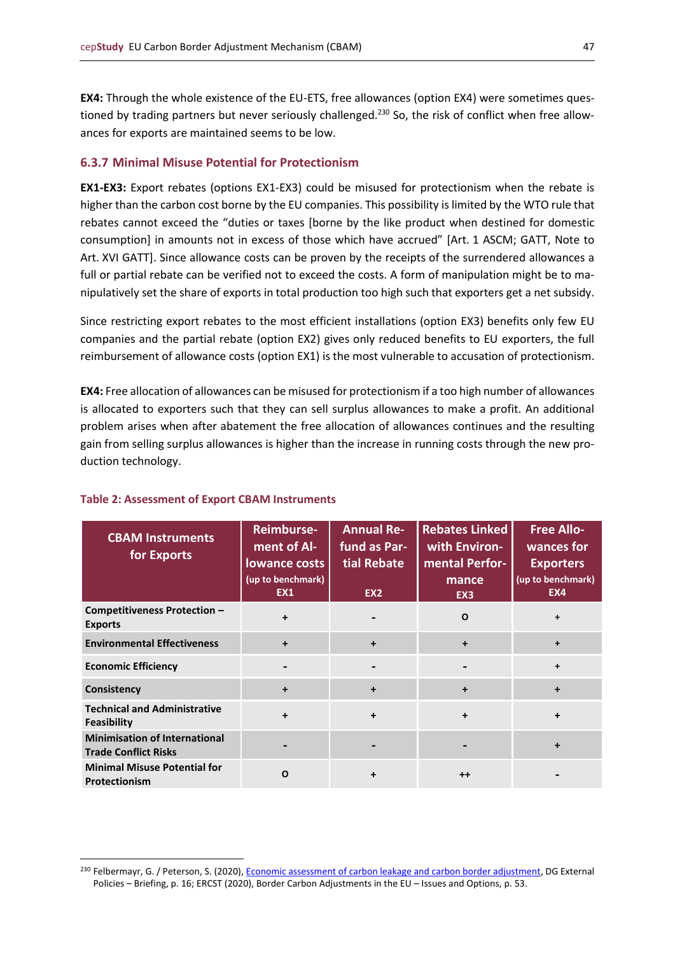**EX4:** Through the whole existence of the EU-ETS, free allowances (option EX4) were sometimes questioned by trading partners but never seriously challenged.<sup>230</sup> So, the risk of conflict when free allowances for exports are maintained seems to be low.

#### <span id="page-46-0"></span>**6.3.7 Minimal Misuse Potential for Protectionism**

**EX1-EX3:** Export rebates (options EX1-EX3) could be misused for protectionism when the rebate is higher than the carbon cost borne by the EU companies. This possibility is limited by the WTO rule that rebates cannot exceed the "duties or taxes [borne by the like product when destined for domestic consumption] in amounts not in excess of those which have accrued" [Art. 1 ASCM; GATT, Note to Art. XVI GATT]. Since allowance costs can be proven by the receipts of the surrendered allowances a full or partial rebate can be verified not to exceed the costs. A form of manipulation might be to manipulatively set the share of exports in total production too high such that exporters get a net subsidy.

Since restricting export rebates to the most efficient installations (option EX3) benefits only few EU companies and the partial rebate (option EX2) gives only reduced benefits to EU exporters, the full reimbursement of allowance costs (option EX1) is the most vulnerable to accusation of protectionism.

**EX4:** Free allocation of allowances can be misused for protectionism if a too high number of allowances is allocated to exporters such that they can sell surplus allowances to make a profit. An additional problem arises when after abatement the free allocation of allowances continues and the resulting gain from selling surplus allowances is higher than the increase in running costs through the new production technology.

| <b>CBAM Instruments</b><br>for Exports                              | <b>Reimburse-</b><br>ment of Al-<br><b>lowance costs</b><br>(up to benchmark)<br>EX1 | <b>Annual Re-</b><br>fund as Par-<br>tial Rebate<br>EX <sub>2</sub> | <b>Rebates Linked</b><br>with Environ-<br>mental Perfor-<br>mance<br>EX <sub>3</sub> | <b>Free Allo-</b><br>wances for<br><b>Exporters</b><br>(up to benchmark)<br>EX4 |
|---------------------------------------------------------------------|--------------------------------------------------------------------------------------|---------------------------------------------------------------------|--------------------------------------------------------------------------------------|---------------------------------------------------------------------------------|
| <b>Competitiveness Protection -</b><br><b>Exports</b>               | $\ddot{}$                                                                            |                                                                     | O                                                                                    |                                                                                 |
| <b>Environmental Effectiveness</b>                                  | $\ddot{}$                                                                            | $\ddot{}$                                                           | $\ddot{}$                                                                            |                                                                                 |
| <b>Economic Efficiency</b>                                          | $\blacksquare$                                                                       | $\blacksquare$                                                      | $\blacksquare$                                                                       | $\ddot{}$                                                                       |
| Consistency                                                         | $\ddot{}$                                                                            | $\ddot{}$                                                           | $\ddot{}$                                                                            | $\div$                                                                          |
| <b>Technical and Administrative</b><br><b>Feasibility</b>           | $\ddot{}$                                                                            | $\ddot{}$                                                           | $\ddot{}$                                                                            | ÷                                                                               |
| <b>Minimisation of International</b><br><b>Trade Conflict Risks</b> |                                                                                      |                                                                     |                                                                                      |                                                                                 |
| <b>Minimal Misuse Potential for</b><br><b>Protectionism</b>         | $\Omega$                                                                             | +                                                                   | $++$                                                                                 |                                                                                 |

#### **Table 2: Assessment of Export CBAM Instruments**

<sup>&</sup>lt;sup>230</sup> Felbermayr, G. / Peterson, S. (2020), [Economic assessment of carbon leakage and carbon border adjustment,](https://op.europa.eu/en/publication-detail/-/publication/c597c803-e357-11ea-ad25-01aa75ed71a1/language-sl) DG External Policies – Briefing, p. 16; ERCST (2020), Border Carbon Adjustments in the EU – Issues and Options, p. 53.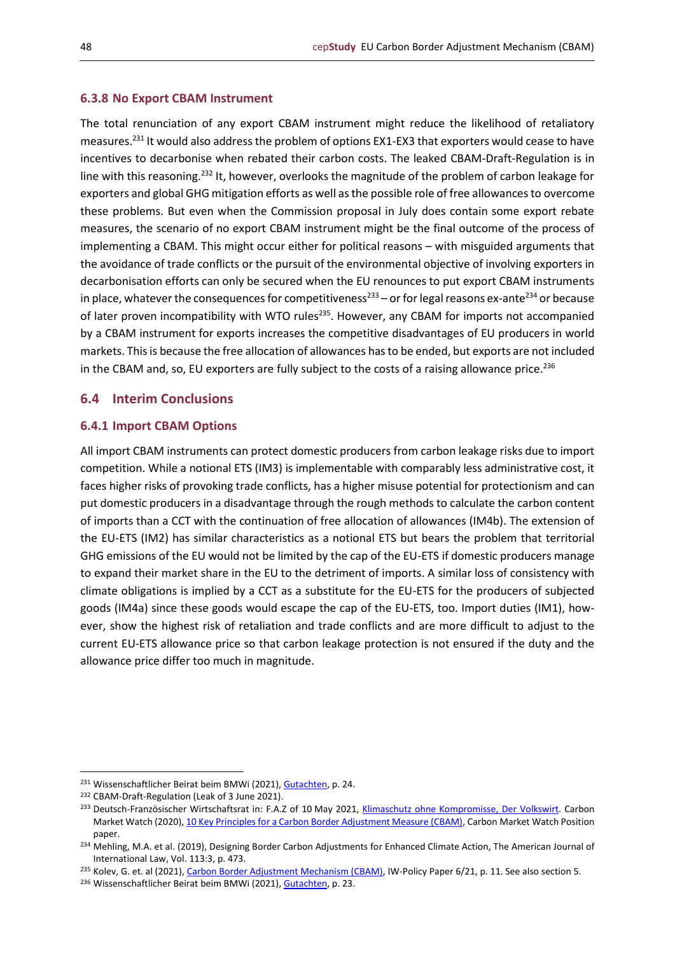#### <span id="page-47-0"></span>**6.3.8 No Export CBAM Instrument**

The total renunciation of any export CBAM instrument might reduce the likelihood of retaliatory measures.<sup>231</sup> It would also address the problem of options EX1-EX3 that exporters would cease to have incentives to decarbonise when rebated their carbon costs. The leaked CBAM-Draft-Regulation is in line with this reasoning.<sup>232</sup> It, however, overlooks the magnitude of the problem of carbon leakage for exporters and global GHG mitigation efforts as well as the possible role of free allowances to overcome these problems. But even when the Commission proposal in July does contain some export rebate measures, the scenario of no export CBAM instrument might be the final outcome of the process of implementing a CBAM. This might occur either for political reasons – with misguided arguments that the avoidance of trade conflicts or the pursuit of the environmental objective of involving exporters in decarbonisation efforts can only be secured when the EU renounces to put export CBAM instruments in place, whatever the consequences for competitiveness<sup>233</sup> – or for legal reasons ex-ante<sup>234</sup> or because of later proven incompatibility with WTO rules<sup>235</sup>. However, any CBAM for imports not accompanied by a CBAM instrument for exports increases the competitive disadvantages of EU producers in world markets. This is because the free allocation of allowances has to be ended, but exports are not included in the CBAM and, so, EU exporters are fully subject to the costs of a raising allowance price.<sup>236</sup>

## <span id="page-47-1"></span>**6.4 Interim Conclusions**

#### <span id="page-47-2"></span>**6.4.1 Import CBAM Options**

All import CBAM instruments can protect domestic producers from carbon leakage risks due to import competition. While a notional ETS (IM3) is implementable with comparably less administrative cost, it faces higher risks of provoking trade conflicts, has a higher misuse potential for protectionism and can put domestic producers in a disadvantage through the rough methods to calculate the carbon content of imports than a CCT with the continuation of free allocation of allowances (IM4b). The extension of the EU-ETS (IM2) has similar characteristics as a notional ETS but bears the problem that territorial GHG emissions of the EU would not be limited by the cap of the EU-ETS if domestic producers manage to expand their market share in the EU to the detriment of imports. A similar loss of consistency with climate obligations is implied by a CCT as a substitute for the EU-ETS for the producers of subjected goods (IM4a) since these goods would escape the cap of the EU-ETS, too. Import duties (IM1), however, show the highest risk of retaliation and trade conflicts and are more difficult to adjust to the current EU-ETS allowance price so that carbon leakage protection is not ensured if the duty and the allowance price differ too much in magnitude.

<sup>&</sup>lt;sup>231</sup> Wissenschaftlicher Beirat beim BMWi (2021)[, Gutachten,](https://www.bmwi.de/Redaktion/DE/Publikationen/Ministerium/Veroeffentlichung-Wissenschaftlicher-Beirat/gutachten-co2-grenzausgleich.html) p. 24.

<sup>232</sup> CBAM-Draft-Regulation (Leak of 3 June 2021).

<sup>&</sup>lt;sup>233</sup> Deutsch-Französischer Wirtschaftsrat in: F.A.Z of 10 May 2021, [Klimaschutz ohne Kompromisse, Der Volkswirt.](https://www.ifo.de/node/63199) Carbon Market Watch (2020)[, 10 Key Principles for a Carbon Border Adjustment Measure \(CBAM\),](https://carbonmarketwatch.org/wp-content/uploads/2020/10/10-Key-Principles-for-a-Carbon-Border-Adjustment-Measure-CBAM_CMW.pdf) Carbon Market Watch Position paper.

<sup>&</sup>lt;sup>234</sup> Mehling, M.A. et al. (2019), Designing Border Carbon Adjustments for Enhanced Climate Action, The American Journal of International Law, Vol. 113:3, p. 473.

<sup>&</sup>lt;sup>235</sup> Kolev, G. et. al (2021)[, Carbon Border Adjustment Mechanism \(CBAM\),](https://www.iwkoeln.de/fileadmin/user_upload/Studien/policy_papers/PDF/2021/IW-Policy-Paper_2021_Carbon-Border-Adjustment.pdf) IW-Policy Paper 6/21, p. 11. See also section 5.

<sup>236</sup> Wissenschaftlicher Beirat beim BMWi (2021)[, Gutachten,](https://www.bmwi.de/Redaktion/DE/Publikationen/Ministerium/Veroeffentlichung-Wissenschaftlicher-Beirat/gutachten-co2-grenzausgleich.html) p. 23.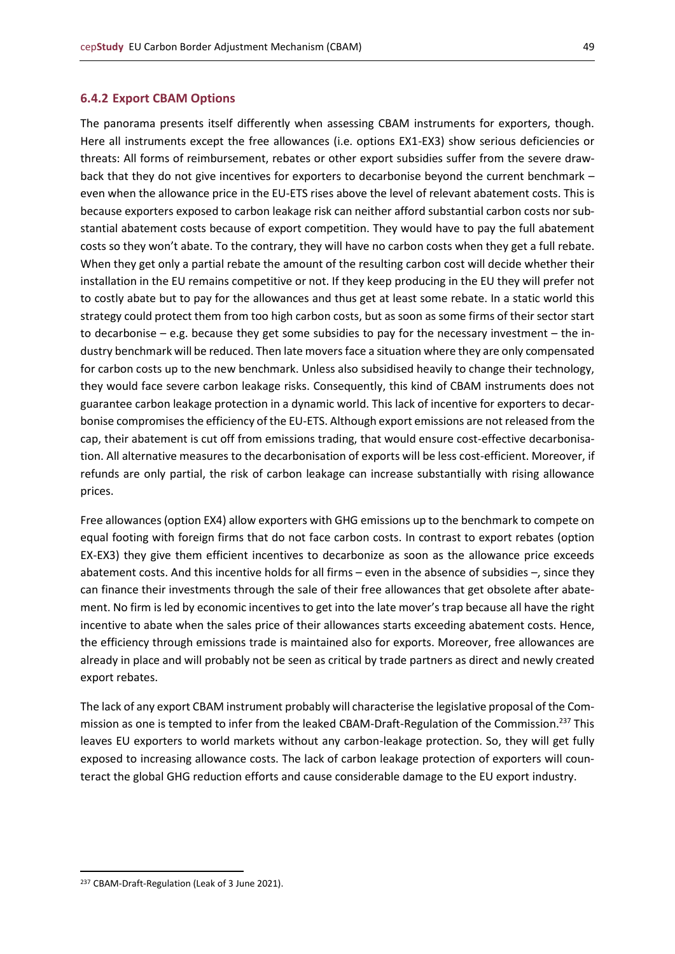#### <span id="page-48-0"></span>**6.4.2 Export CBAM Options**

The panorama presents itself differently when assessing CBAM instruments for exporters, though. Here all instruments except the free allowances (i.e. options EX1-EX3) show serious deficiencies or threats: All forms of reimbursement, rebates or other export subsidies suffer from the severe drawback that they do not give incentives for exporters to decarbonise beyond the current benchmark – even when the allowance price in the EU-ETS rises above the level of relevant abatement costs. This is because exporters exposed to carbon leakage risk can neither afford substantial carbon costs nor substantial abatement costs because of export competition. They would have to pay the full abatement costs so they won't abate. To the contrary, they will have no carbon costs when they get a full rebate. When they get only a partial rebate the amount of the resulting carbon cost will decide whether their installation in the EU remains competitive or not. If they keep producing in the EU they will prefer not to costly abate but to pay for the allowances and thus get at least some rebate. In a static world this strategy could protect them from too high carbon costs, but as soon as some firms of their sector start to decarbonise – e.g. because they get some subsidies to pay for the necessary investment – the industry benchmark will be reduced. Then late movers face a situation where they are only compensated for carbon costs up to the new benchmark. Unless also subsidised heavily to change their technology, they would face severe carbon leakage risks. Consequently, this kind of CBAM instruments does not guarantee carbon leakage protection in a dynamic world. This lack of incentive for exporters to decarbonise compromises the efficiency of the EU-ETS. Although export emissions are not released from the cap, their abatement is cut off from emissions trading, that would ensure cost-effective decarbonisation. All alternative measures to the decarbonisation of exports will be less cost-efficient. Moreover, if refunds are only partial, the risk of carbon leakage can increase substantially with rising allowance prices.

Free allowances (option EX4) allow exporters with GHG emissions up to the benchmark to compete on equal footing with foreign firms that do not face carbon costs. In contrast to export rebates (option EX-EX3) they give them efficient incentives to decarbonize as soon as the allowance price exceeds abatement costs. And this incentive holds for all firms – even in the absence of subsidies –, since they can finance their investments through the sale of their free allowances that get obsolete after abatement. No firm is led by economic incentives to get into the late mover's trap because all have the right incentive to abate when the sales price of their allowances starts exceeding abatement costs. Hence, the efficiency through emissions trade is maintained also for exports. Moreover, free allowances are already in place and will probably not be seen as critical by trade partners as direct and newly created export rebates.

The lack of any export CBAM instrument probably will characterise the legislative proposal of the Commission as one is tempted to infer from the leaked CBAM-Draft-Regulation of the Commission.<sup>237</sup> This leaves EU exporters to world markets without any carbon-leakage protection. So, they will get fully exposed to increasing allowance costs. The lack of carbon leakage protection of exporters will counteract the global GHG reduction efforts and cause considerable damage to the EU export industry.

<sup>237</sup> CBAM-Draft-Regulation (Leak of 3 June 2021).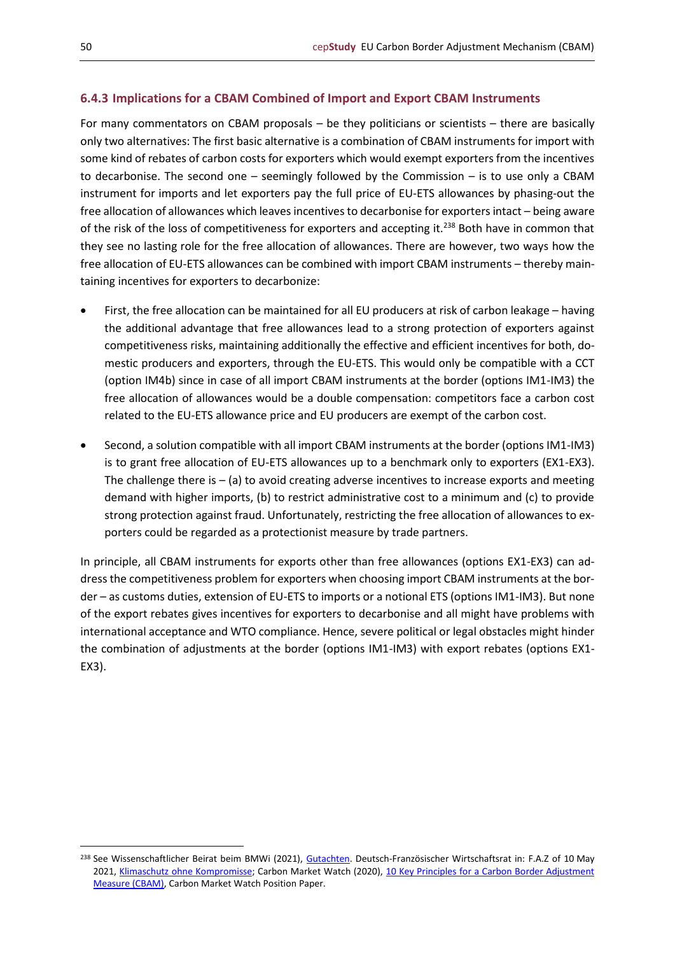## <span id="page-49-0"></span>**6.4.3 Implications for a CBAM Combined of Import and Export CBAM Instruments**

For many commentators on CBAM proposals – be they politicians or scientists – there are basically only two alternatives: The first basic alternative is a combination of CBAM instruments for import with some kind of rebates of carbon costs for exporters which would exempt exporters from the incentives to decarbonise. The second one – seemingly followed by the Commission – is to use only a CBAM instrument for imports and let exporters pay the full price of EU-ETS allowances by phasing-out the free allocation of allowances which leaves incentives to decarbonise for exporters intact – being aware of the risk of the loss of competitiveness for exporters and accepting it.<sup>238</sup> Both have in common that they see no lasting role for the free allocation of allowances. There are however, two ways how the free allocation of EU-ETS allowances can be combined with import CBAM instruments – thereby maintaining incentives for exporters to decarbonize:

- First, the free allocation can be maintained for all EU producers at risk of carbon leakage having the additional advantage that free allowances lead to a strong protection of exporters against competitiveness risks, maintaining additionally the effective and efficient incentives for both, domestic producers and exporters, through the EU-ETS. This would only be compatible with a CCT (option IM4b) since in case of all import CBAM instruments at the border (options IM1-IM3) the free allocation of allowances would be a double compensation: competitors face a carbon cost related to the EU-ETS allowance price and EU producers are exempt of the carbon cost.
- Second, a solution compatible with all import CBAM instruments at the border (options IM1-IM3) is to grant free allocation of EU-ETS allowances up to a benchmark only to exporters (EX1-EX3). The challenge there is  $-$  (a) to avoid creating adverse incentives to increase exports and meeting demand with higher imports, (b) to restrict administrative cost to a minimum and (c) to provide strong protection against fraud. Unfortunately, restricting the free allocation of allowances to exporters could be regarded as a protectionist measure by trade partners.

In principle, all CBAM instruments for exports other than free allowances (options EX1-EX3) can address the competitiveness problem for exporters when choosing import CBAM instruments at the border – as customs duties, extension of EU-ETS to imports or a notional ETS (options IM1-IM3). But none of the export rebates gives incentives for exporters to decarbonise and all might have problems with international acceptance and WTO compliance. Hence, severe political or legal obstacles might hinder the combination of adjustments at the border (options IM1-IM3) with export rebates (options EX1- EX3).

<sup>&</sup>lt;sup>238</sup> See Wissenschaftlicher Beirat beim BMWi (2021), [Gutachten.](https://www.bmwi.de/Redaktion/DE/Publikationen/Ministerium/Veroeffentlichung-Wissenschaftlicher-Beirat/gutachten-co2-grenzausgleich.html) Deutsch-Französischer Wirtschaftsrat in: F.A.Z of 10 May 2021, [Klimaschutz ohne Kompromisse;](https://www.ifo.de/node/63199) Carbon Market Watch (2020), 10 Key Principles for a Carbon Border Adjustment [Measure \(CBAM\),](https://carbonmarketwatch.org/wp-content/uploads/2020/10/10-Key-Principles-for-a-Carbon-Border-Adjustment-Measure-CBAM_CMW.pdf) Carbon Market Watch Position Paper.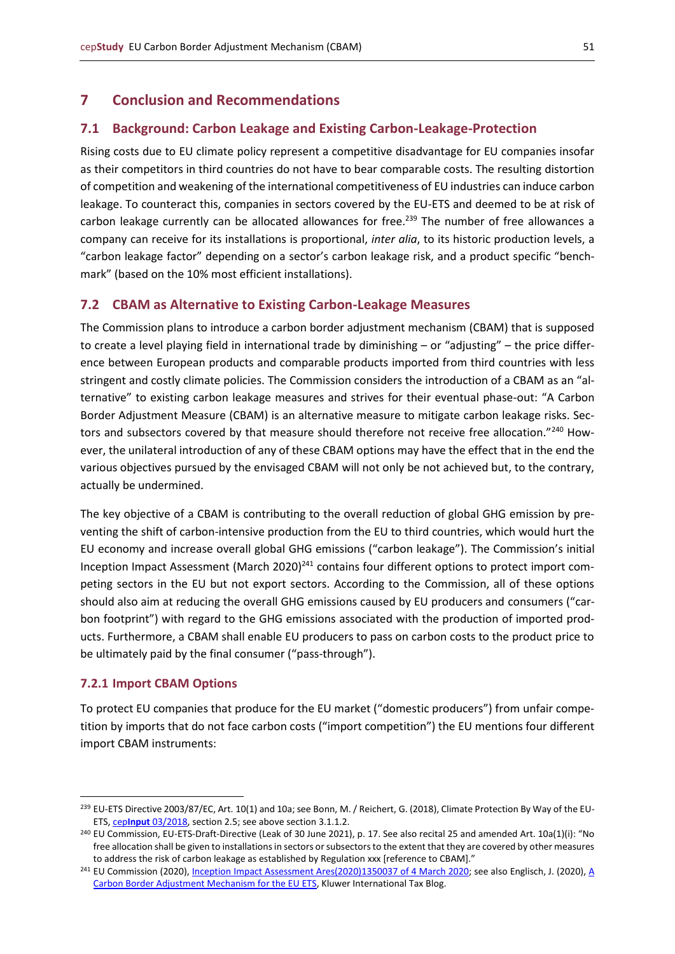## <span id="page-50-0"></span>**7 Conclusion and Recommendations**

## <span id="page-50-1"></span>**7.1 Background: Carbon Leakage and Existing Carbon-Leakage-Protection**

Rising costs due to EU climate policy represent a competitive disadvantage for EU companies insofar as their competitors in third countries do not have to bear comparable costs. The resulting distortion of competition and weakening of the international competitiveness of EU industries can induce carbon leakage. To counteract this, companies in sectors covered by the EU-ETS and deemed to be at risk of carbon leakage currently can be allocated allowances for free.<sup>239</sup> The number of free allowances a company can receive for its installations is proportional, *inter alia*, to its historic production levels, a "carbon leakage factor" depending on a sector's carbon leakage risk, and a product specific "benchmark" (based on the 10% most efficient installations).

#### <span id="page-50-2"></span>**7.2 CBAM as Alternative to Existing Carbon-Leakage Measures**

The Commission plans to introduce a carbon border adjustment mechanism (CBAM) that is supposed to create a level playing field in international trade by diminishing – or "adjusting" – the price difference between European products and comparable products imported from third countries with less stringent and costly climate policies. The Commission considers the introduction of a CBAM as an "alternative" to existing carbon leakage measures and strives for their eventual phase-out: "A Carbon Border Adjustment Measure (CBAM) is an alternative measure to mitigate carbon leakage risks. Sectors and subsectors covered by that measure should therefore not receive free allocation."240 However, the unilateral introduction of any of these CBAM options may have the effect that in the end the various objectives pursued by the envisaged CBAM will not only be not achieved but, to the contrary, actually be undermined.

The key objective of a CBAM is contributing to the overall reduction of global GHG emission by preventing the shift of carbon-intensive production from the EU to third countries, which would hurt the EU economy and increase overall global GHG emissions ("carbon leakage"). The Commission's initial Inception Impact Assessment (March 2020)<sup>241</sup> contains four different options to protect import competing sectors in the EU but not export sectors. According to the Commission, all of these options should also aim at reducing the overall GHG emissions caused by EU producers and consumers ("carbon footprint") with regard to the GHG emissions associated with the production of imported products. Furthermore, a CBAM shall enable EU producers to pass on carbon costs to the product price to be ultimately paid by the final consumer ("pass-through").

### <span id="page-50-3"></span>**7.2.1 Import CBAM Options**

To protect EU companies that produce for the EU market ("domestic producers") from unfair competition by imports that do not face carbon costs ("import competition") the EU mentions four different import CBAM instruments:

<sup>&</sup>lt;sup>239</sup> EU-ETS Directive 2003/87/EC, Art. 10(1) and 10a; see Bonn, M. / Reichert, G. (2018), Climate Protection By Way of the EU-ETS, cep**Input** [03/2018,](https://www.cep.eu/en/eu-topics/details/cep/climate-protection-by-way-of-the-eu-ets.html) section 2.5; see above section 3.1.1.2.

<sup>240</sup> EU Commission, EU-ETS-Draft-Directive (Leak of 30 June 2021), p. 17. See also recital 25 and amended Art. 10a(1)(i): "No free allocation shall be given to installations in sectors or subsectors to the extent that they are covered by other measures to address the risk of carbon leakage as established by Regulation xxx [reference to CBAM]."

<sup>&</sup>lt;sup>241</sup> EU Commission (2020)[, Inception Impact Assessment Ares\(2020\)1350037 of 4](https://ec.europa.eu/info/law/better-regulation/have-your-say/initiatives/12228-Carbon-Border-Adjustment-Mechanism) March 2020; see also Englisch, J. (2020), A [Carbon Border Adjustment Mechanism for the EU ETS,](http://kluwertaxblog.com/2020/10/30/a-carbon-border-adjustment-mechanism-for-the-eu-ets/) Kluwer International Tax Blog.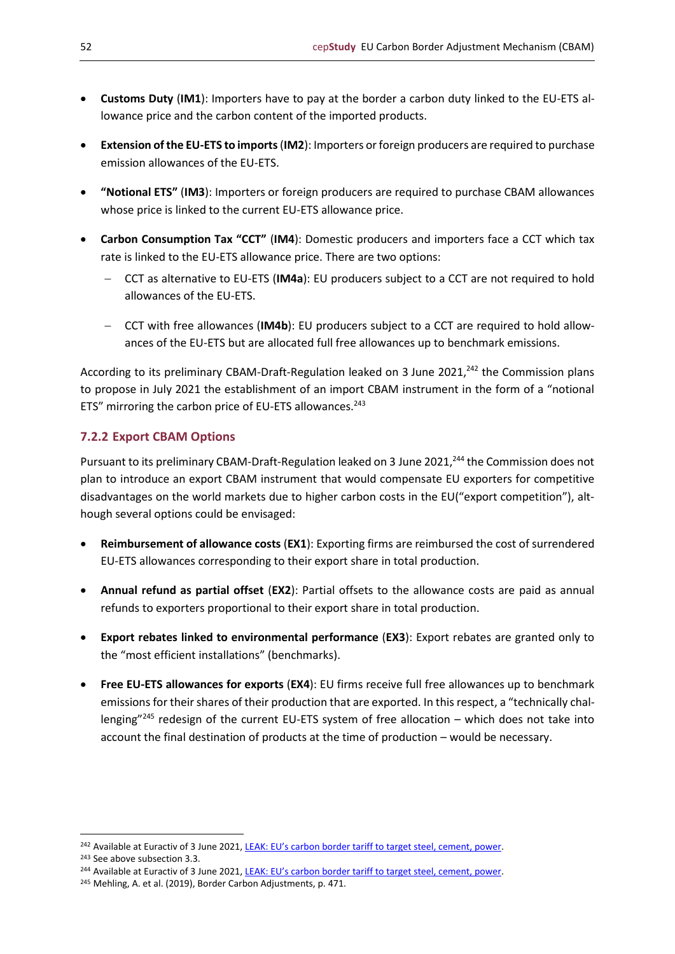- **Customs Duty** (**IM1**): Importers have to pay at the border a carbon duty linked to the EU-ETS allowance price and the carbon content of the imported products.
- **Extension of the EU-ETS to imports** (**IM2**): Importers or foreign producers are required to purchase emission allowances of the EU-ETS.
- **"Notional ETS"** (**IM3**): Importers or foreign producers are required to purchase CBAM allowances whose price is linked to the current EU-ETS allowance price.
- **Carbon Consumption Tax "CCT"** (**IM4**): Domestic producers and importers face a CCT which tax rate is linked to the EU-ETS allowance price. There are two options:
	- − CCT as alternative to EU-ETS (**IM4a**): EU producers subject to a CCT are not required to hold allowances of the EU-ETS.
	- − CCT with free allowances (**IM4b**): EU producers subject to a CCT are required to hold allowances of the EU-ETS but are allocated full free allowances up to benchmark emissions.

According to its preliminary CBAM-Draft-Regulation leaked on 3 June 2021.<sup>242</sup> the Commission plans to propose in July 2021 the establishment of an import CBAM instrument in the form of a "notional ETS" mirroring the carbon price of EU-ETS allowances.<sup>243</sup>

## <span id="page-51-0"></span>**7.2.2 Export CBAM Options**

Pursuant to its preliminary CBAM-Draft-Regulation leaked on 3 June 2021,<sup>244</sup> the Commission does not plan to introduce an export CBAM instrument that would compensate EU exporters for competitive disadvantages on the world markets due to higher carbon costs in the EU("export competition"), although several options could be envisaged:

- **Reimbursement of allowance costs** (**EX1**): Exporting firms are reimbursed the cost of surrendered EU-ETS allowances corresponding to their export share in total production.
- **Annual refund as partial offset** (**EX2**): Partial offsets to the allowance costs are paid as annual refunds to exporters proportional to their export share in total production.
- **Export rebates linked to environmental performance** (**EX3**): Export rebates are granted only to the "most efficient installations" (benchmarks).
- **Free EU-ETS allowances for exports** (**EX4**): EU firms receive full free allowances up to benchmark emissions for their shares of their production that are exported. In this respect, a "technically challenging"<sup>245</sup> redesign of the current EU-ETS system of free allocation – which does not take into account the final destination of products at the time of production – would be necessary.

<sup>&</sup>lt;sup>242</sup> Available at Euractiv of 3 June 2021, [LEAK: EU's carbon border tariff to target steel, cement, power](https://www.euractiv.com/section/energy-environment/news/eus-carbon-border-tariff-to-target-steel-cement-power/).

<sup>243</sup> See above subsection 3.3.

<sup>&</sup>lt;sup>244</sup> Available at Euractiv of 3 June 2021, [LEAK: EU's carbon border tariff to target steel, cement, power](https://www.euractiv.com/section/energy-environment/news/eus-carbon-border-tariff-to-target-steel-cement-power/).

<sup>245</sup> Mehling, A. et al. (2019), Border Carbon Adjustments, p. 471.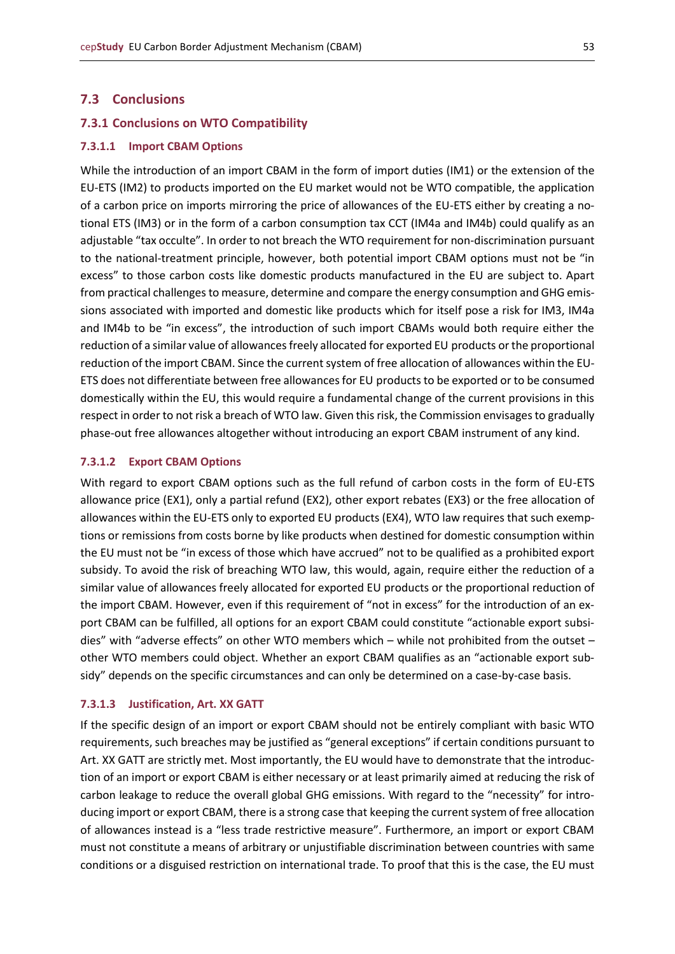## <span id="page-52-0"></span>**7.3 Conclusions**

#### <span id="page-52-1"></span>**7.3.1 Conclusions on WTO Compatibility**

#### <span id="page-52-2"></span>**7.3.1.1 Import CBAM Options**

While the introduction of an import CBAM in the form of import duties (IM1) or the extension of the EU-ETS (IM2) to products imported on the EU market would not be WTO compatible, the application of a carbon price on imports mirroring the price of allowances of the EU-ETS either by creating a notional ETS (IM3) or in the form of a carbon consumption tax CCT (IM4a and IM4b) could qualify as an adjustable "tax occulte". In order to not breach the WTO requirement for non-discrimination pursuant to the national-treatment principle, however, both potential import CBAM options must not be "in excess" to those carbon costs like domestic products manufactured in the EU are subject to. Apart from practical challenges to measure, determine and compare the energy consumption and GHG emissions associated with imported and domestic like products which for itself pose a risk for IM3, IM4a and IM4b to be "in excess", the introduction of such import CBAMs would both require either the reduction of a similar value of allowances freely allocated for exported EU products or the proportional reduction of the import CBAM. Since the current system of free allocation of allowances within the EU-ETS does not differentiate between free allowances for EU products to be exported or to be consumed domestically within the EU, this would require a fundamental change of the current provisions in this respect in order to not risk a breach of WTO law. Given this risk, the Commission envisages to gradually phase-out free allowances altogether without introducing an export CBAM instrument of any kind.

#### <span id="page-52-3"></span>**7.3.1.2 Export CBAM Options**

With regard to export CBAM options such as the full refund of carbon costs in the form of EU-ETS allowance price (EX1), only a partial refund (EX2), other export rebates (EX3) or the free allocation of allowances within the EU-ETS only to exported EU products (EX4), WTO law requires that such exemptions or remissions from costs borne by like products when destined for domestic consumption within the EU must not be "in excess of those which have accrued" not to be qualified as a prohibited export subsidy. To avoid the risk of breaching WTO law, this would, again, require either the reduction of a similar value of allowances freely allocated for exported EU products or the proportional reduction of the import CBAM. However, even if this requirement of "not in excess" for the introduction of an export CBAM can be fulfilled, all options for an export CBAM could constitute "actionable export subsidies" with "adverse effects" on other WTO members which – while not prohibited from the outset – other WTO members could object. Whether an export CBAM qualifies as an "actionable export subsidy" depends on the specific circumstances and can only be determined on a case-by-case basis.

#### <span id="page-52-4"></span>**7.3.1.3 Justification, Art. XX GATT**

If the specific design of an import or export CBAM should not be entirely compliant with basic WTO requirements, such breaches may be justified as "general exceptions" if certain conditions pursuant to Art. XX GATT are strictly met. Most importantly, the EU would have to demonstrate that the introduction of an import or export CBAM is either necessary or at least primarily aimed at reducing the risk of carbon leakage to reduce the overall global GHG emissions. With regard to the "necessity" for introducing import or export CBAM, there is a strong case that keeping the current system of free allocation of allowances instead is a "less trade restrictive measure". Furthermore, an import or export CBAM must not constitute a means of arbitrary or unjustifiable discrimination between countries with same conditions or a disguised restriction on international trade. To proof that this is the case, the EU must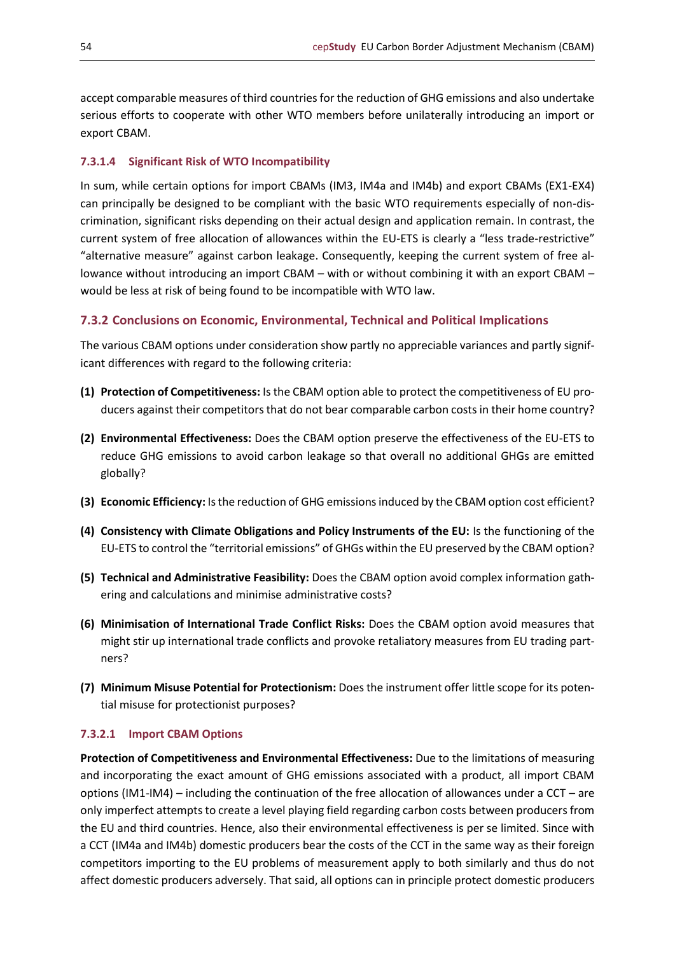accept comparable measures of third countries for the reduction of GHG emissions and also undertake serious efforts to cooperate with other WTO members before unilaterally introducing an import or export CBAM.

## <span id="page-53-0"></span>**7.3.1.4 Significant Risk of WTO Incompatibility**

In sum, while certain options for import CBAMs (IM3, IM4a and IM4b) and export CBAMs (EX1-EX4) can principally be designed to be compliant with the basic WTO requirements especially of non-discrimination, significant risks depending on their actual design and application remain. In contrast, the current system of free allocation of allowances within the EU-ETS is clearly a "less trade-restrictive" "alternative measure" against carbon leakage. Consequently, keeping the current system of free allowance without introducing an import CBAM – with or without combining it with an export CBAM – would be less at risk of being found to be incompatible with WTO law.

## <span id="page-53-1"></span>**7.3.2 Conclusions on Economic, Environmental, Technical and Political Implications**

The various CBAM options under consideration show partly no appreciable variances and partly significant differences with regard to the following criteria:

- **(1) Protection of Competitiveness:** Is the CBAM option able to protect the competitiveness of EU producers against their competitors that do not bear comparable carbon costs in their home country?
- **(2) Environmental Effectiveness:** Does the CBAM option preserve the effectiveness of the EU-ETS to reduce GHG emissions to avoid carbon leakage so that overall no additional GHGs are emitted globally?
- **(3) Economic Efficiency:** Is the reduction of GHG emissions induced by the CBAM option cost efficient?
- **(4) Consistency with Climate Obligations and Policy Instruments of the EU:** Is the functioning of the EU-ETS to control the "territorial emissions" of GHGs within the EU preserved by the CBAM option?
- **(5) Technical and Administrative Feasibility:** Does the CBAM option avoid complex information gathering and calculations and minimise administrative costs?
- **(6) Minimisation of International Trade Conflict Risks:** Does the CBAM option avoid measures that might stir up international trade conflicts and provoke retaliatory measures from EU trading partners?
- **(7) Minimum Misuse Potential for Protectionism:** Does the instrument offer little scope for its potential misuse for protectionist purposes?

## <span id="page-53-2"></span>**7.3.2.1 Import CBAM Options**

**Protection of Competitiveness and Environmental Effectiveness:** Due to the limitations of measuring and incorporating the exact amount of GHG emissions associated with a product, all import CBAM options (IM1-IM4) – including the continuation of the free allocation of allowances under a CCT – are only imperfect attempts to create a level playing field regarding carbon costs between producers from the EU and third countries. Hence, also their environmental effectiveness is per se limited. Since with a CCT (IM4a and IM4b) domestic producers bear the costs of the CCT in the same way as their foreign competitors importing to the EU problems of measurement apply to both similarly and thus do not affect domestic producers adversely. That said, all options can in principle protect domestic producers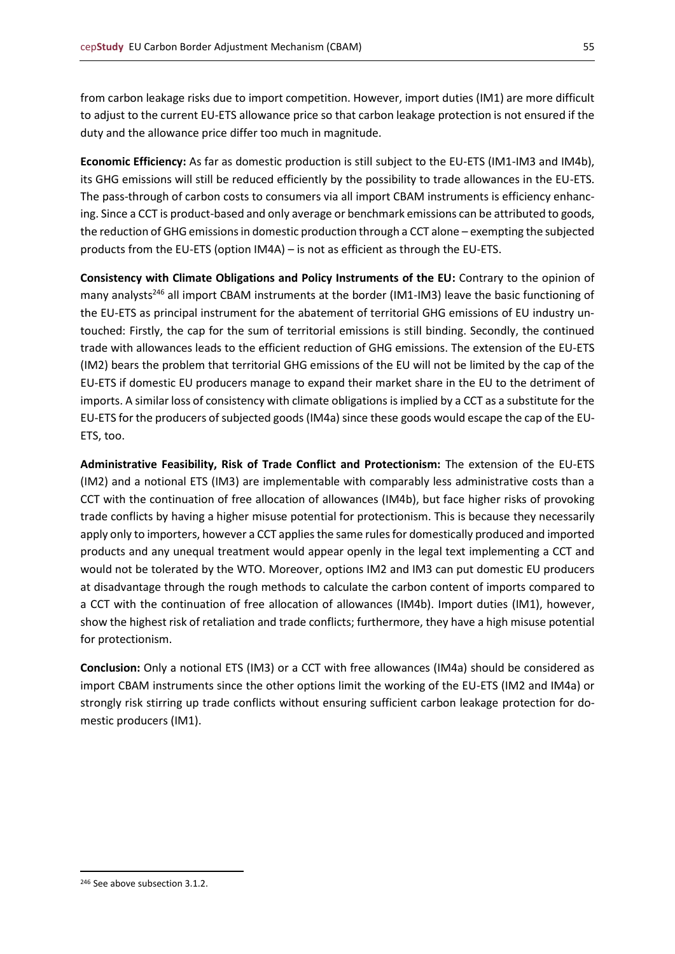from carbon leakage risks due to import competition. However, import duties (IM1) are more difficult to adjust to the current EU-ETS allowance price so that carbon leakage protection is not ensured if the duty and the allowance price differ too much in magnitude.

**Economic Efficiency:** As far as domestic production is still subject to the EU-ETS (IM1-IM3 and IM4b), its GHG emissions will still be reduced efficiently by the possibility to trade allowances in the EU-ETS. The pass-through of carbon costs to consumers via all import CBAM instruments is efficiency enhancing. Since a CCT is product-based and only average or benchmark emissions can be attributed to goods, the reduction of GHG emissions in domestic production through a CCT alone – exempting the subjected products from the EU-ETS (option IM4A) – is not as efficient as through the EU-ETS.

**Consistency with Climate Obligations and Policy Instruments of the EU:** Contrary to the opinion of many analysts<sup>246</sup> all import CBAM instruments at the border (IM1-IM3) leave the basic functioning of the EU-ETS as principal instrument for the abatement of territorial GHG emissions of EU industry untouched: Firstly, the cap for the sum of territorial emissions is still binding. Secondly, the continued trade with allowances leads to the efficient reduction of GHG emissions. The extension of the EU-ETS (IM2) bears the problem that territorial GHG emissions of the EU will not be limited by the cap of the EU-ETS if domestic EU producers manage to expand their market share in the EU to the detriment of imports. A similar loss of consistency with climate obligations is implied by a CCT as a substitute for the EU-ETS for the producers of subjected goods (IM4a) since these goods would escape the cap of the EU-ETS, too.

**Administrative Feasibility, Risk of Trade Conflict and Protectionism:** The extension of the EU-ETS (IM2) and a notional ETS (IM3) are implementable with comparably less administrative costs than a CCT with the continuation of free allocation of allowances (IM4b), but face higher risks of provoking trade conflicts by having a higher misuse potential for protectionism. This is because they necessarily apply only to importers, however a CCT applies the same rules for domestically produced and imported products and any unequal treatment would appear openly in the legal text implementing a CCT and would not be tolerated by the WTO. Moreover, options IM2 and IM3 can put domestic EU producers at disadvantage through the rough methods to calculate the carbon content of imports compared to a CCT with the continuation of free allocation of allowances (IM4b). Import duties (IM1), however, show the highest risk of retaliation and trade conflicts; furthermore, they have a high misuse potential for protectionism.

**Conclusion:** Only a notional ETS (IM3) or a CCT with free allowances (IM4a) should be considered as import CBAM instruments since the other options limit the working of the EU-ETS (IM2 and IM4a) or strongly risk stirring up trade conflicts without ensuring sufficient carbon leakage protection for domestic producers (IM1).

<sup>246</sup> See above subsection 3.1.2.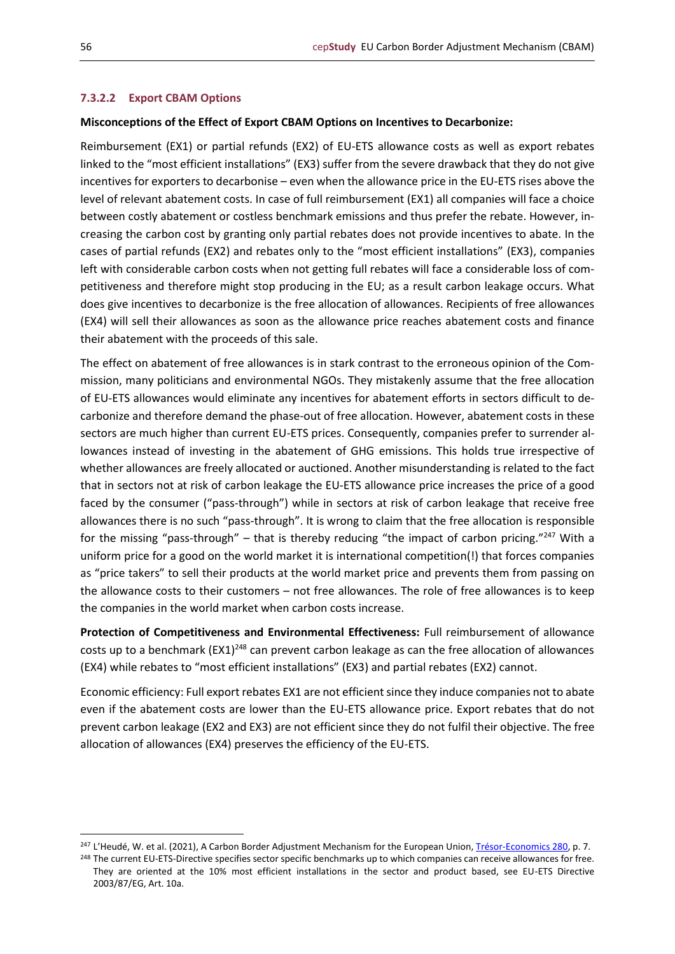#### <span id="page-55-0"></span>**7.3.2.2 Export CBAM Options**

#### **Misconceptions of the Effect of Export CBAM Options on Incentives to Decarbonize:**

Reimbursement (EX1) or partial refunds (EX2) of EU-ETS allowance costs as well as export rebates linked to the "most efficient installations" (EX3) suffer from the severe drawback that they do not give incentives for exporters to decarbonise – even when the allowance price in the EU-ETS rises above the level of relevant abatement costs. In case of full reimbursement (EX1) all companies will face a choice between costly abatement or costless benchmark emissions and thus prefer the rebate. However, increasing the carbon cost by granting only partial rebates does not provide incentives to abate. In the cases of partial refunds (EX2) and rebates only to the "most efficient installations" (EX3), companies left with considerable carbon costs when not getting full rebates will face a considerable loss of competitiveness and therefore might stop producing in the EU; as a result carbon leakage occurs. What does give incentives to decarbonize is the free allocation of allowances. Recipients of free allowances (EX4) will sell their allowances as soon as the allowance price reaches abatement costs and finance their abatement with the proceeds of this sale.

The effect on abatement of free allowances is in stark contrast to the erroneous opinion of the Commission, many politicians and environmental NGOs. They mistakenly assume that the free allocation of EU-ETS allowances would eliminate any incentives for abatement efforts in sectors difficult to decarbonize and therefore demand the phase-out of free allocation. However, abatement costs in these sectors are much higher than current EU-ETS prices. Consequently, companies prefer to surrender allowances instead of investing in the abatement of GHG emissions. This holds true irrespective of whether allowances are freely allocated or auctioned. Another misunderstanding is related to the fact that in sectors not at risk of carbon leakage the EU-ETS allowance price increases the price of a good faced by the consumer ("pass-through") while in sectors at risk of carbon leakage that receive free allowances there is no such "pass-through". It is wrong to claim that the free allocation is responsible for the missing "pass-through" – that is thereby reducing "the impact of carbon pricing."<sup>247</sup> With a uniform price for a good on the world market it is international competition(!) that forces companies as "price takers" to sell their products at the world market price and prevents them from passing on the allowance costs to their customers – not free allowances. The role of free allowances is to keep the companies in the world market when carbon costs increase.

**Protection of Competitiveness and Environmental Effectiveness:** Full reimbursement of allowance costs up to a benchmark (EX1)<sup>248</sup> can prevent carbon leakage as can the free allocation of allowances (EX4) while rebates to "most efficient installations" (EX3) and partial rebates (EX2) cannot.

Economic efficiency: Full export rebates EX1 are not efficient since they induce companies not to abate even if the abatement costs are lower than the EU-ETS allowance price. Export rebates that do not prevent carbon leakage (EX2 and EX3) are not efficient since they do not fulfil their objective. The free allocation of allowances (EX4) preserves the efficiency of the EU-ETS.

<sup>&</sup>lt;sup>247</sup> L'Heudé, W. et al. (2021), A Carbon Border Adjustment Mechanism for the European Union, [Trésor-Economics 280,](https://www.tresor.economie.gouv.fr/Articles/2021/03/23/a-carbon-border-adjustment-mechanism-for-the-european-union) p. 7.

<sup>&</sup>lt;sup>248</sup> The current EU-ETS-Directive specifies sector specific benchmarks up to which companies can receive allowances for free. They are oriented at the 10% most efficient installations in the sector and product based, see EU-ETS Directive 2003/87/EG, Art. 10a.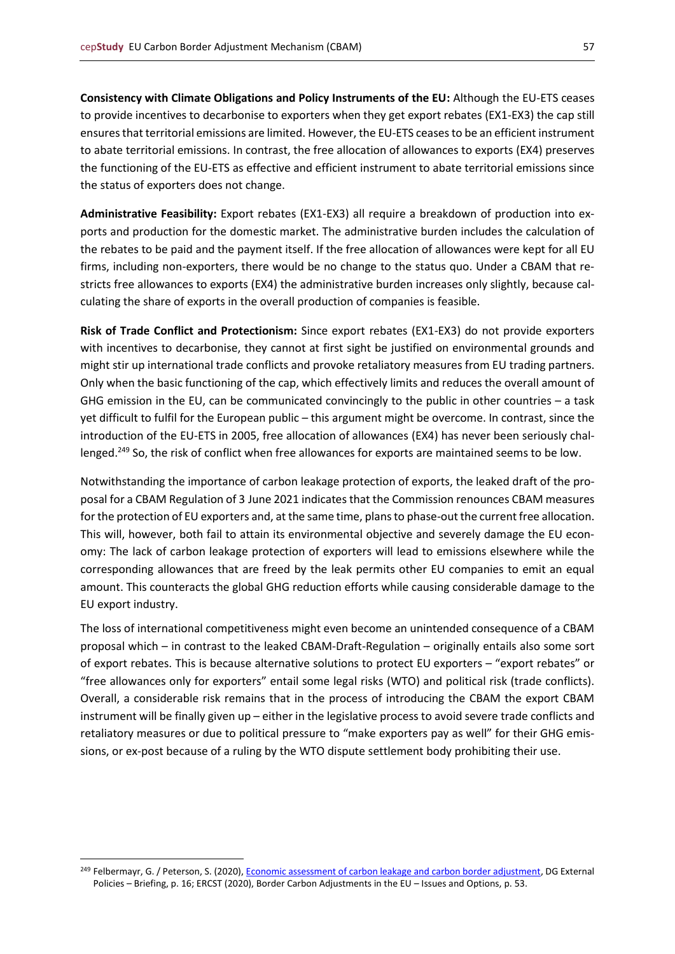**Consistency with Climate Obligations and Policy Instruments of the EU:** Although the EU-ETS ceases to provide incentives to decarbonise to exporters when they get export rebates (EX1-EX3) the cap still ensures that territorial emissions are limited. However, the EU-ETS ceases to be an efficient instrument to abate territorial emissions. In contrast, the free allocation of allowances to exports (EX4) preserves the functioning of the EU-ETS as effective and efficient instrument to abate territorial emissions since the status of exporters does not change.

**Administrative Feasibility:** Export rebates (EX1-EX3) all require a breakdown of production into exports and production for the domestic market. The administrative burden includes the calculation of the rebates to be paid and the payment itself. If the free allocation of allowances were kept for all EU firms, including non-exporters, there would be no change to the status quo. Under a CBAM that restricts free allowances to exports (EX4) the administrative burden increases only slightly, because calculating the share of exports in the overall production of companies is feasible.

**Risk of Trade Conflict and Protectionism:** Since export rebates (EX1-EX3) do not provide exporters with incentives to decarbonise, they cannot at first sight be justified on environmental grounds and might stir up international trade conflicts and provoke retaliatory measures from EU trading partners. Only when the basic functioning of the cap, which effectively limits and reduces the overall amount of GHG emission in the EU, can be communicated convincingly to the public in other countries – a task yet difficult to fulfil for the European public – this argument might be overcome. In contrast, since the introduction of the EU-ETS in 2005, free allocation of allowances (EX4) has never been seriously challenged.<sup>249</sup> So, the risk of conflict when free allowances for exports are maintained seems to be low.

Notwithstanding the importance of carbon leakage protection of exports, the leaked draft of the proposal for a CBAM Regulation of 3 June 2021 indicates that the Commission renounces CBAM measures for the protection of EU exporters and, at the same time, plans to phase-out the current free allocation. This will, however, both fail to attain its environmental objective and severely damage the EU economy: The lack of carbon leakage protection of exporters will lead to emissions elsewhere while the corresponding allowances that are freed by the leak permits other EU companies to emit an equal amount. This counteracts the global GHG reduction efforts while causing considerable damage to the EU export industry.

The loss of international competitiveness might even become an unintended consequence of a CBAM proposal which – in contrast to the leaked CBAM-Draft-Regulation – originally entails also some sort of export rebates. This is because alternative solutions to protect EU exporters – "export rebates" or "free allowances only for exporters" entail some legal risks (WTO) and political risk (trade conflicts). Overall, a considerable risk remains that in the process of introducing the CBAM the export CBAM instrument will be finally given up – either in the legislative process to avoid severe trade conflicts and retaliatory measures or due to political pressure to "make exporters pay as well" for their GHG emissions, or ex-post because of a ruling by the WTO dispute settlement body prohibiting their use.

<sup>&</sup>lt;sup>249</sup> Felbermayr, G. / Peterson, S. (2020), [Economic assessment of carbon leakage and carbon border adjustment,](https://op.europa.eu/en/publication-detail/-/publication/c597c803-e357-11ea-ad25-01aa75ed71a1/language-sl) DG External Policies – Briefing, p. 16; ERCST (2020), Border Carbon Adjustments in the EU – Issues and Options, p. 53.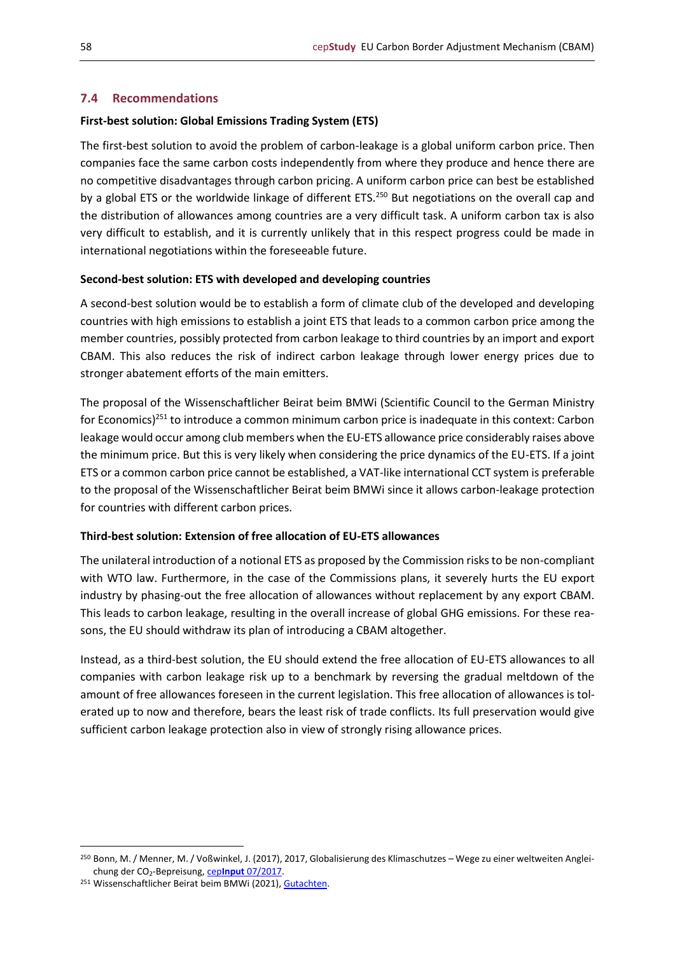## <span id="page-57-0"></span>**7.4 Recommendations**

## **First-best solution: Global Emissions Trading System (ETS)**

The first-best solution to avoid the problem of carbon-leakage is a global uniform carbon price. Then companies face the same carbon costs independently from where they produce and hence there are no competitive disadvantages through carbon pricing. A uniform carbon price can best be established by a global ETS or the worldwide linkage of different ETS.<sup>250</sup> But negotiations on the overall cap and the distribution of allowances among countries are a very difficult task. A uniform carbon tax is also very difficult to establish, and it is currently unlikely that in this respect progress could be made in international negotiations within the foreseeable future.

## **Second-best solution: ETS with developed and developing countries**

A second-best solution would be to establish a form of climate club of the developed and developing countries with high emissions to establish a joint ETS that leads to a common carbon price among the member countries, possibly protected from carbon leakage to third countries by an import and export CBAM. This also reduces the risk of indirect carbon leakage through lower energy prices due to stronger abatement efforts of the main emitters.

The proposal of the Wissenschaftlicher Beirat beim BMWi (Scientific Council to the German Ministry for Economics)<sup>251</sup> to introduce a common minimum carbon price is inadequate in this context: Carbon leakage would occur among club members when the EU-ETS allowance price considerably raises above the minimum price. But this is very likely when considering the price dynamics of the EU-ETS. If a joint ETS or a common carbon price cannot be established, a VAT-like international CCT system is preferable to the proposal of the Wissenschaftlicher Beirat beim BMWi since it allows carbon-leakage protection for countries with different carbon prices.

## **Third-best solution: Extension of free allocation of EU-ETS allowances**

The unilateral introduction of a notional ETS as proposed by the Commission risks to be non-compliant with WTO law. Furthermore, in the case of the Commissions plans, it severely hurts the EU export industry by phasing-out the free allocation of allowances without replacement by any export CBAM. This leads to carbon leakage, resulting in the overall increase of global GHG emissions. For these reasons, the EU should withdraw its plan of introducing a CBAM altogether.

Instead, as a third-best solution, the EU should extend the free allocation of EU-ETS allowances to all companies with carbon leakage risk up to a benchmark by reversing the gradual meltdown of the amount of free allowances foreseen in the current legislation. This free allocation of allowances is tolerated up to now and therefore, bears the least risk of trade conflicts. Its full preservation would give sufficient carbon leakage protection also in view of strongly rising allowance prices.

<sup>250</sup> Bonn, M. / Menner, M. / Voßwinkel, J. (2017), 2017, Globalisierung des Klimaschutzes – Wege zu einer weltweiten Angleichung der CO2-Bepreisung, cep**Input** [07/2017.](https://www.cep.eu/eu-themen/details/cep/globalisierung-des-klimaschutzes.html)

<sup>251</sup> Wissenschaftlicher Beirat beim BMWi (2021)[, Gutachten.](https://www.bmwi.de/Redaktion/DE/Publikationen/Ministerium/Veroeffentlichung-Wissenschaftlicher-Beirat/gutachten-co2-grenzausgleich.html)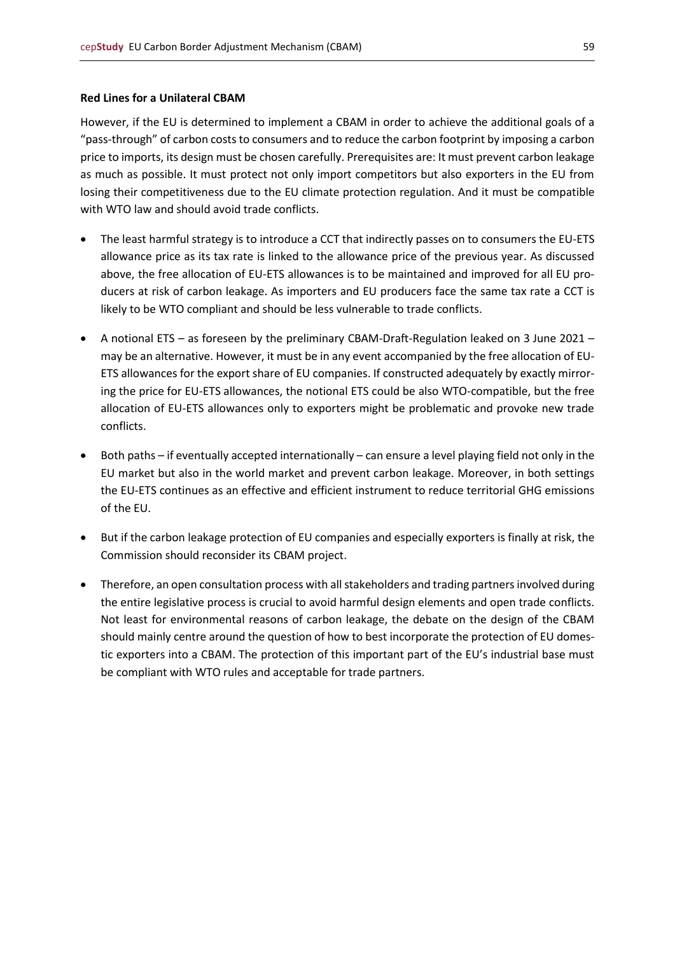#### **Red Lines for a Unilateral CBAM**

However, if the EU is determined to implement a CBAM in order to achieve the additional goals of a "pass-through" of carbon costs to consumers and to reduce the carbon footprint by imposing a carbon price to imports, its design must be chosen carefully. Prerequisites are: It must prevent carbon leakage as much as possible. It must protect not only import competitors but also exporters in the EU from losing their competitiveness due to the EU climate protection regulation. And it must be compatible with WTO law and should avoid trade conflicts.

- The least harmful strategy is to introduce a CCT that indirectly passes on to consumers the EU-ETS allowance price as its tax rate is linked to the allowance price of the previous year. As discussed above, the free allocation of EU-ETS allowances is to be maintained and improved for all EU producers at risk of carbon leakage. As importers and EU producers face the same tax rate a CCT is likely to be WTO compliant and should be less vulnerable to trade conflicts.
- A notional ETS as foreseen by the preliminary CBAM-Draft-Regulation leaked on 3 June 2021 may be an alternative. However, it must be in any event accompanied by the free allocation of EU-ETS allowances for the export share of EU companies. If constructed adequately by exactly mirroring the price for EU-ETS allowances, the notional ETS could be also WTO-compatible, but the free allocation of EU-ETS allowances only to exporters might be problematic and provoke new trade conflicts.
- Both paths if eventually accepted internationally can ensure a level playing field not only in the EU market but also in the world market and prevent carbon leakage. Moreover, in both settings the EU-ETS continues as an effective and efficient instrument to reduce territorial GHG emissions of the EU.
- But if the carbon leakage protection of EU companies and especially exporters is finally at risk, the Commission should reconsider its CBAM project.
- Therefore, an open consultation process with all stakeholders and trading partners involved during the entire legislative process is crucial to avoid harmful design elements and open trade conflicts. Not least for environmental reasons of carbon leakage, the debate on the design of the CBAM should mainly centre around the question of how to best incorporate the protection of EU domestic exporters into a CBAM. The protection of this important part of the EU's industrial base must be compliant with WTO rules and acceptable for trade partners.